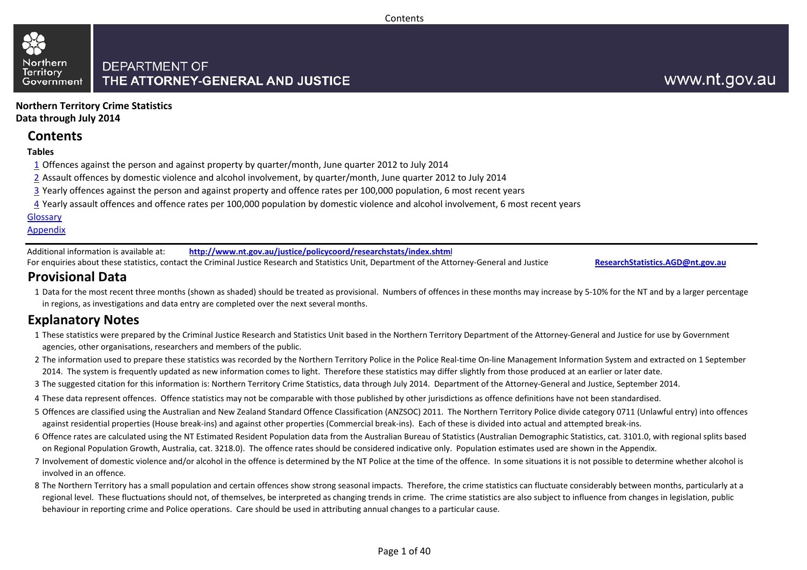#### Contents

#### **DEPARTMENT OF** THE ATTORNEY-GENERAL AND JUSTICE Government

**Northern Territory Crime StatisticsData through July 2014**

### **Contents**

#### **Tables**

Northern

**Territory** 

- $\overline{1}$  Offences against the person and against property by quarter/month, June quarter 2012 to July 2014
- 2 Assault offences by domestic violence and alcohol involvement, by quarter/month, June quarter 2012 to July 2014
- <u>3</u> Yearly offences against the person and against property and offence rates per 100,000 population, 6 most recent years
- <u>4</u> Yearly assault offences and offence rates per 100,000 population by domestic violence and alcohol involvement, 6 most recent years

#### **Glossarv**

#### **Appendix**

Additional information is available at:**http://www.nt.gov.au/justice/policycoord/researchstats/index.shtml**

For enquiries about these statistics, contact the Criminal Justice Research and Statistics Unit, Department of the Attorney-General and Justice:

**ResearchStatistics.AGD@nt.gov.au**

## **Provisional Data**

 1Data for the most recent three months (shown as shaded) should be treated as provisional. Numbers of offences in these months may increase by 5-10% for the NT and by a larger percentage in regions, as investigations and data entry are completed over the next several months.

## **Explanatory Notes**

- 1These statistics were prepared by the Criminal Justice Research and Statistics Unit based in the Northern Territory Department of the Attorney-General and Justice for use by Government agencies, other organisations, researchers and members of the public.
- 2The information used to prepare these statistics was recorded by the Northern Territory Police in the Police Real-time On-line Management Information System and extracted on 1 September 2014. The system is frequently updated as new information comes to light. Therefore these statistics may differ slightly from those produced at an earlier or later date.
- 3The suggested citation for this information is: Northern Territory Crime Statistics, data through July 2014. Department of the Attorney-General and Justice, September 2014.
- 4These data represent offences. Offence statistics may not be comparable with those published by other jurisdictions as offence definitions have not been standardised.
- 5 Offences are classified using the Australian and New Zealand Standard Offence Classification (ANZSOC) 2011. The Northern Territory Police divide category 0711 (Unlawful entry) into offences against residential properties (House break-ins) and against other properties (Commercial break-ins). Each of these is divided into actual and attempted break-ins.
- 6 Offence rates are calculated using the NT Estimated Resident Population data from the Australian Bureau of Statistics (Australian Demographic Statistics, cat. 3101.0, with regional splits based on Regional Population Growth, Australia, cat. 3218.0). The offence rates should be considered indicative only. Population estimates used are shown in the Appendix.
- 7 Involvement of domestic violence and/or alcohol in the offence is determined by the NT Police at the time of the offence. In some situations it is not possible to determine whether alcohol is involved in an offence.
- 8The Northern Territory has a small population and certain offences show strong seasonal impacts. Therefore, the crime statistics can fluctuate considerably between months, particularly at a regional level. These fluctuations should not, of themselves, be interpreted as changing trends in crime. The crime statistics are also subject to influence from changes in legislation, public behaviour in reporting crime and Police operations. Care should be used in attributing annual changes to a particular cause.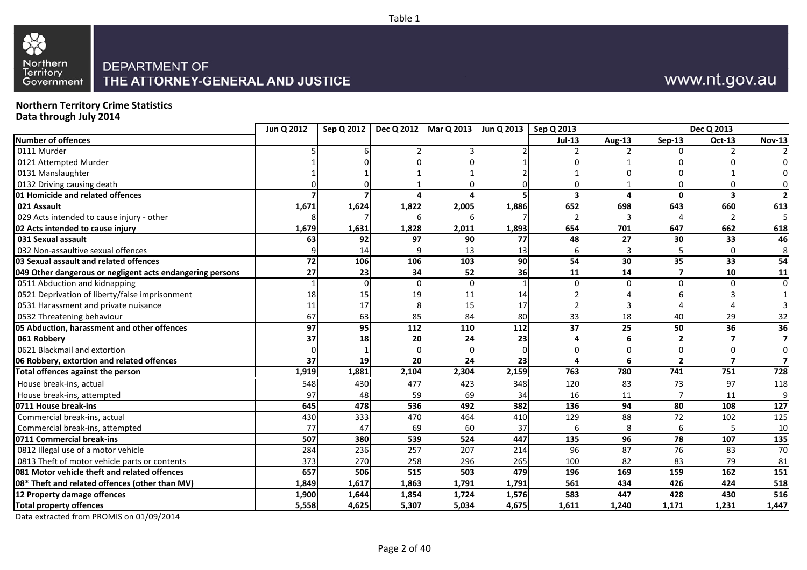



## www.nt.gov.au

**Northern Territory Crime Statistics**

**Data through July 2014**

|                                                           | Jun Q 2012 | Sep Q 2012 |       | Dec Q 2012   Mar Q 2013 |                 | Jun Q 2013   Sep Q 2013 |               |              | Dec Q 2013     |                         |
|-----------------------------------------------------------|------------|------------|-------|-------------------------|-----------------|-------------------------|---------------|--------------|----------------|-------------------------|
| Number of offences                                        |            |            |       |                         |                 | $Jul-13$                | <b>Aug-13</b> | $Sep-13$     | Oct-13         | <b>Nov-13</b>           |
| 0111 Murder                                               |            |            |       |                         |                 |                         |               |              |                |                         |
| 0121 Attempted Murder                                     |            |            |       |                         |                 |                         |               |              |                |                         |
| 0131 Manslaughter                                         |            |            |       |                         |                 |                         |               |              |                |                         |
| 0132 Driving causing death                                |            |            |       |                         |                 |                         |               |              |                |                         |
| 01 Homicide and related offences                          |            |            |       |                         |                 | 3                       | 4             | <sup>0</sup> | 3              | $\overline{2}$          |
| 021 Assault                                               | 1,671      | 1,624      | 1,822 | 2,005                   | 1,886           | 652                     | 698           | 643          | 660            | 613                     |
| 029 Acts intended to cause injury - other                 |            |            |       |                         |                 | 2                       |               |              | $\mathcal{P}$  | 5                       |
| 02 Acts intended to cause injury                          | 1,679      | 1,631      | 1,828 | 2,011                   | 1,893           | 654                     | 701           | 647          | 662            | 618                     |
| 031 Sexual assault                                        | 63         | 92         | 97    | 90                      | 77              | 48                      | 27            | 30           | 33             | 46                      |
| 032 Non-assaultive sexual offences                        |            | 14         |       | 13                      | 13              | 6                       |               |              |                | 8                       |
| 03 Sexual assault and related offences                    | 72         | 106        | 106   | 103                     | 90              | 54                      | 30            | 35           | 33             | 54                      |
| 049 Other dangerous or negligent acts endangering persons | 27         | 23         | 34    | 52                      | 36              | 11                      | 14            |              | 10             | 11                      |
| 0511 Abduction and kidnapping                             |            |            |       |                         |                 | $\Omega$                | $\Omega$      |              |                | $\Omega$                |
| 0521 Deprivation of liberty/false imprisonment            | 18         | 15         | 19    | 11                      | 14              |                         |               |              |                |                         |
| 0531 Harassment and private nuisance                      | 11         | 17         |       | 15                      | 17              |                         |               |              |                |                         |
| 0532 Threatening behaviour                                | 67         | 63         | 85    | 84                      | 80              | 33                      | 18            | 40           | 29             | 32                      |
| 05 Abduction, harassment and other offences               | 97         | 95         | 112   | 110                     | 112             | 37                      | 25            | 50           | 36             | 36                      |
| 061 Robbery                                               | 37         | 18         | 20    | 24                      | 23              | Δ                       |               |              |                | 7                       |
| 0621 Blackmail and extortion                              |            |            |       |                         |                 |                         |               |              |                | $\mathbf 0$             |
| 06 Robbery, extortion and related offences                | 37         | 19         | 20    | 24                      | $\overline{23}$ | 4                       | 6             |              | $\overline{7}$ | $\overline{\mathbf{z}}$ |
| Total offences against the person                         | 1,919      | 1,881      | 2,104 | 2,304                   | 2,159           | 763                     | 780           | 741          | 751            | 728                     |
| House break-ins, actual                                   | 548        | 430        | 477   | 423                     | 348             | 120                     | 83            | 73           | 97             | 118                     |
| House break-ins, attempted                                | 97         | 48         | 59    | 69                      | 34              | 16                      | 11            |              | 11             | 9                       |
| 0711 House break-ins                                      | 645        | 478        | 536   | 492                     | 382             | 136                     | 94            | 80           | 108            | 127                     |
| Commercial break-ins, actual                              | 430        | 333        | 470   | 464                     | 410             | 129                     | 88            | 72           | 102            | 125                     |
| Commercial break-ins, attempted                           | 77         | 47         | 69    | 60                      | 37              | 6                       | 8             | 6            |                | 10                      |
| 0711 Commercial break-ins                                 | 507        | 380        | 539   | 524                     | 447             | 135                     | 96            | 78           | 107            | 135                     |
| 0812 Illegal use of a motor vehicle                       | 284        | 236        | 257   | $\overline{207}$        | 214             | 96                      | 87            | 76           | 83             | 70                      |
| 0813 Theft of motor vehicle parts or contents             | 373        | 270        | 258   | 296                     | 265             | 100                     | 82            | 83           | 79             | 81                      |
| 081 Motor vehicle theft and related offences              | 657        | 506        | 515   | 503                     | 479             | 196                     | 169           | 159          | 162            | 151                     |
| 08* Theft and related offences (other than MV)            | 1,849      | 1,617      | 1,863 | 1,791                   | 1,791           | 561                     | 434           | 426          | 424            | 518                     |
| 12 Property damage offences                               | 1,900      | 1,644      | 1,854 | 1,724                   | 1,576           | 583                     | 447           | 428          | 430            | 516                     |
| <b>Total property offences</b>                            | 5,558      | 4,625      | 5,307 | 5,034                   | 4,675           | 1,611                   | 1,240         | 1,171        | 1,231          | 1,447                   |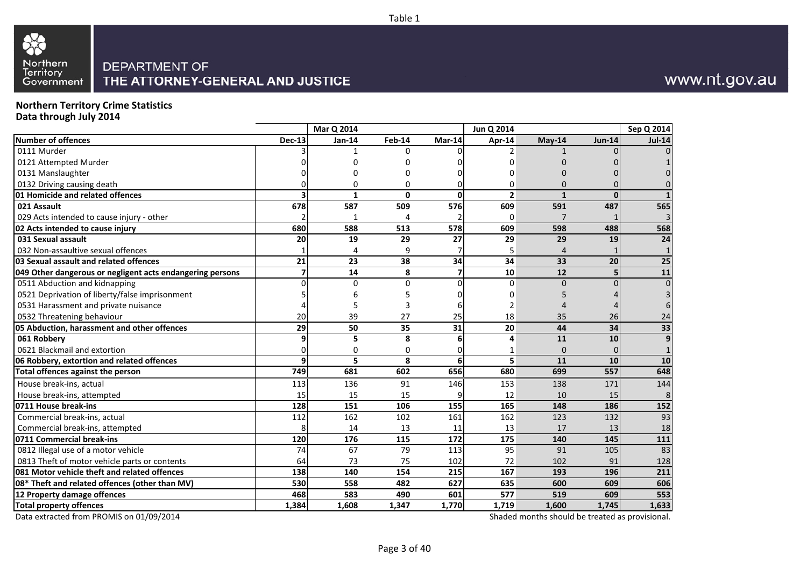



## www.nt.gov.au

#### **Northern Territory Crime StatisticsData through July 2014**

|                                                           |                         | Mar Q 2014      |          |                  | Jun Q 2014     |                                                 |                  | Sep Q 2014      |
|-----------------------------------------------------------|-------------------------|-----------------|----------|------------------|----------------|-------------------------------------------------|------------------|-----------------|
| Number of offences                                        | <b>Dec-13</b>           | Jan-14          | Feb-14   | $Mar-14$         | Apr-14         | May-14                                          | <b>Jun-14</b>    | <b>Jul-14</b>   |
| 0111 Murder                                               |                         |                 | 0        |                  | 2              |                                                 |                  | $\Omega$        |
| 0121 Attempted Murder                                     |                         |                 | ŋ        |                  |                | U                                               |                  |                 |
| 0131 Manslaughter                                         |                         |                 | ŋ        |                  |                |                                                 |                  |                 |
| 0132 Driving causing death                                |                         | 0               | 0        |                  | $\Omega$       |                                                 |                  |                 |
| 01 Homicide and related offences                          |                         | $\mathbf{1}$    | 0        | $\mathbf{0}$     | $\overline{2}$ | $\mathbf{1}$                                    | <sup>0</sup>     |                 |
| 021 Assault                                               | 678                     | 587             | 509      | 576              | 609            | 591                                             | 487              | 565             |
| 029 Acts intended to cause injury - other                 |                         |                 | 4        |                  | 0              | 7                                               |                  | 3               |
| 02 Acts intended to cause injury                          | 680                     | 588             | 513      | $\overline{578}$ | 609            | 598                                             | 488              | 568             |
| 031 Sexual assault                                        | 20                      | 19              | 29       | 27               | 29             | 29                                              | 19               | 24              |
| 032 Non-assaultive sexual offences                        |                         | 4               | 9        |                  | 5              | $\overline{4}$                                  |                  | $\mathbf{1}$    |
| 03 Sexual assault and related offences                    | 21                      | 23              | 38       | 34               | 34             | 33                                              | 20               | 25              |
| 049 Other dangerous or negligent acts endangering persons | $\overline{\mathbf{z}}$ | $\overline{14}$ | 8        | $\overline{7}$   | 10             | $\overline{12}$                                 | 5                | $\overline{11}$ |
| 0511 Abduction and kidnapping                             |                         | $\Omega$        | $\Omega$ | $\Omega$         | $\Omega$       | $\Omega$                                        | በ                | $\mathbf 0$     |
| 0521 Deprivation of liberty/false imprisonment            |                         |                 |          |                  |                |                                                 |                  | 3               |
| 0531 Harassment and private nuisance                      |                         |                 |          |                  | 2              |                                                 |                  | 6               |
| 0532 Threatening behaviour                                | 20                      | 39              | 27       | 25               | 18             | 35                                              | 26               | 24              |
| 05 Abduction, harassment and other offences               | 29                      | 50              | 35       | 31               | 20             | 44                                              | 34               | 33              |
| 061 Robbery                                               |                         | 5               | 8        | 6                | 4              | 11                                              | 10               | 9               |
| 0621 Blackmail and extortion                              |                         | 0               | 0        |                  |                | $\Omega$                                        |                  | $\mathbf{1}$    |
| 06 Robbery, extortion and related offences                | q                       | 5               | 8        | 6                | 5              | 11                                              | 10               | 10              |
| Total offences against the person                         | 749                     | 681             | 602      | 656              | 680            | 699                                             | $\overline{557}$ | 648             |
| House break-ins, actual                                   | 113                     | 136             | 91       | 146              | 153            | 138                                             | 171              | 144             |
| House break-ins, attempted                                | 15                      | 15              | 15       |                  | 12             | 10                                              | 15               | 8               |
| 0711 House break-ins                                      | 128                     | 151             | 106      | 155              | 165            | 148                                             | 186              | 152             |
| Commercial break-ins, actual                              | 112                     | 162             | 102      | 161              | 162            | 123                                             | 132              | 93              |
| Commercial break-ins, attempted                           | 8                       | 14              | 13       | 11               | 13             | 17                                              | 13               | 18              |
| 0711 Commercial break-ins                                 | 120                     | 176             | 115      | 172              | 175            | 140                                             | 145              | 111             |
| 0812 Illegal use of a motor vehicle                       | 74                      | 67              | 79       | 113              | 95             | 91                                              | 105              | 83              |
| 0813 Theft of motor vehicle parts or contents             | 64                      | 73              | 75       | 102              | 72             | 102                                             | 91               | 128             |
| 081 Motor vehicle theft and related offences              | 138                     | 140             | 154      | 215              | 167            | 193                                             | 196              | 211             |
| 08* Theft and related offences (other than MV)            | 530                     | 558             | 482      | 627              | 635            | 600                                             | 609              | 606             |
| 12 Property damage offences                               | 468                     | 583             | 490      | 601              | 577            | 519                                             | 609              | 553             |
| <b>Total property offences</b>                            | 1,384                   | 1,608           | 1,347    | 1,770            | 1,719          | 1,600                                           | 1,745            | 1,633           |
| Data extracted from PROMIS on 01/09/2014                  |                         |                 |          |                  |                | Shaded months should be treated as provisional. |                  |                 |

Page 3 of 40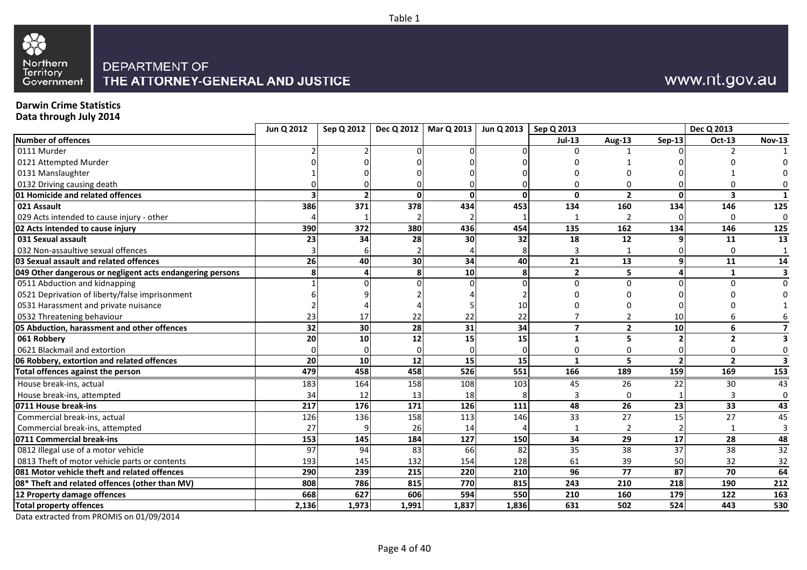



## www.nt.gov.au

### **Darwin Crime Statistics**

**Data through July 2014**

|                                                           | Jun Q 2012 | Sep Q 2012 |                 | Dec Q 2012   Mar Q 2013 | Jun Q 2013   Sep Q 2013 |                         |                 |                 | Dec Q 2013      |                 |
|-----------------------------------------------------------|------------|------------|-----------------|-------------------------|-------------------------|-------------------------|-----------------|-----------------|-----------------|-----------------|
| Number of offences                                        |            |            |                 |                         |                         | <b>Jul-13</b>           | <b>Aug-13</b>   | Sep-13          | Oct-13          | <b>Nov-13</b>   |
| 0111 Murder                                               |            |            |                 |                         |                         |                         |                 |                 |                 |                 |
| 0121 Attempted Murder                                     |            |            |                 |                         |                         |                         |                 |                 |                 |                 |
| 0131 Manslaughter                                         |            |            |                 |                         |                         |                         |                 |                 |                 |                 |
| 0132 Driving causing death                                |            |            |                 |                         |                         |                         |                 |                 |                 |                 |
| 01 Homicide and related offences                          |            |            | n               |                         | $\mathbf{0}$            | $\mathbf{0}$            | $\overline{2}$  | n               | 3               |                 |
| 021 Assault                                               | 386        | 371        | 378             | 434                     | 453                     | 134                     | 160             | 134             | 146             | 125             |
| 029 Acts intended to cause injury - other                 |            |            |                 |                         |                         |                         | 2               |                 | 0               | $\mathbf 0$     |
| 02 Acts intended to cause injury                          | 390        | 372        | 380             | 436                     | 454                     | 135                     | 162             | 134             | 146             | 125             |
| 031 Sexual assault                                        | 23         | 34         | 28              | 30                      | 32                      | 18                      | 12              |                 | 11              | 13              |
| 032 Non-assaultive sexual offences                        |            |            |                 |                         |                         |                         |                 |                 | 0               |                 |
| 03 Sexual assault and related offences                    | 26         | 40         | 30 <sup>1</sup> | 34                      | 40                      | 21                      | 13              |                 | 11              | 14              |
| 049 Other dangerous or negligent acts endangering persons |            |            |                 | 10                      | 8                       | $\overline{2}$          | 5               |                 |                 | 3               |
| 0511 Abduction and kidnapping                             |            |            |                 |                         |                         | $\Omega$                | $\Omega$        |                 | n               | $\Omega$        |
| 0521 Deprivation of liberty/false imprisonment            |            |            |                 |                         |                         |                         |                 |                 |                 |                 |
| 0531 Harassment and private nuisance                      |            |            |                 |                         | 10                      |                         |                 |                 |                 |                 |
| 0532 Threatening behaviour                                | 23         | 17         | 22              |                         | 22                      |                         |                 | 10              |                 |                 |
| 05 Abduction, harassment and other offences               | 32         | 30         | 28              | 31                      | 34                      | $\overline{\mathbf{z}}$ | $\overline{2}$  | 10              | 6               |                 |
| 061 Robbery                                               | 20         | 10         | 12              | 15                      | 15                      | 1                       | 5               |                 | $\overline{2}$  |                 |
| 0621 Blackmail and extortion                              |            |            |                 |                         |                         | Ω                       |                 |                 | U               | 0               |
| 06 Robbery, extortion and related offences                | 20         | 10         | 12              | 15                      | 15                      | $\mathbf{1}$            | 5               |                 | $\overline{2}$  |                 |
| Total offences against the person                         | 479        | 458        | 458             | $\overline{526}$        | $\overline{551}$        | 166                     | 189             | 159             | 169             | 153             |
| House break-ins, actual                                   | 183        | 164        | 158             | 108                     | 103                     | 45                      | 26              | 22              | 30              | 43              |
| House break-ins, attempted                                | 34         | 12         | 13              | 18                      |                         | З                       | $\Omega$        |                 | 3               | $\Omega$        |
| 0711 House break-ins                                      | 217        | 176        | 171             | 126                     | 111                     | 48                      | 26              | 23              | 33              | 43              |
| Commercial break-ins, actual                              | 126        | 136        | 158             | 113                     | 146                     | 33                      | 27              | 15              | 27              | 45              |
| Commercial break-ins, attempted                           | 27         |            | 26              | 14                      |                         |                         |                 |                 |                 | 3               |
| 0711 Commercial break-ins                                 | 153        | 145        | 184             | 127                     | 150                     | 34                      | $\overline{29}$ | 17              | 28              | 48              |
| 0812 Illegal use of a motor vehicle                       | 97         | 94         | 83              | 66                      | 82                      | 35                      | $\overline{38}$ | $\overline{37}$ | $\overline{38}$ | $\overline{32}$ |
| 0813 Theft of motor vehicle parts or contents             | 193        | 145        | 132             | 154                     | 128                     | 61                      | 39              | 50              | 32              | 32              |
| 081 Motor vehicle theft and related offences              | 290        | 239        | 215             | $\overline{220}$        | 210                     | 96                      | $\overline{77}$ | 87              | 70              | 64              |
| 08* Theft and related offences (other than MV)            | 808        | 786        | 815             | 770                     | 815                     | 243                     | 210             | 218             | 190             | 212             |
| 12 Property damage offences                               | 668        | 627        | 606             | 594                     | 550                     | 210                     | 160             | 179             | 122             | 163             |
| <b>Total property offences</b>                            | 2,136      | 1,973      | 1,991           | 1,837                   | 1,836                   | 631                     | 502             | 524             | 443             | 530             |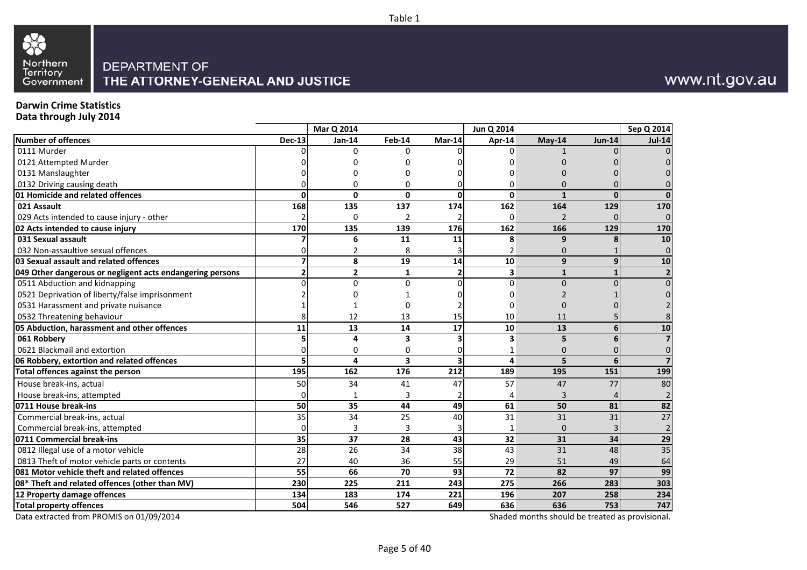



## www.nt.gov.au

## **Darwin Crime Statistics**

**Data through July 2014**

|                                                           |               | Mar Q 2014     |                 |                         | Jun Q 2014 |                 |               | Sep Q 2014      |
|-----------------------------------------------------------|---------------|----------------|-----------------|-------------------------|------------|-----------------|---------------|-----------------|
| Number of offences                                        | <b>Dec-13</b> | Jan-14         | Feb-14          | Mar-14                  | Apr-14     | May-14          | <b>Jun-14</b> | <b>Jul-14</b>   |
| 0111 Murder                                               |               | 0              | 0               |                         | 0          |                 |               |                 |
| 0121 Attempted Murder                                     |               |                |                 |                         |            |                 |               |                 |
| 0131 Manslaughter                                         |               |                |                 |                         |            |                 |               |                 |
| 0132 Driving causing death                                |               | ŋ              | 0               |                         | 0          | Ω               |               |                 |
| 01 Homicide and related offences                          | U             | $\Omega$       | $\Omega$        | $\Omega$                | 0          | $\mathbf{1}$    | $\Omega$      | n               |
| 021 Assault                                               | 168           | 135            | 137             | 174                     | 162        | 164             | 129           | 170             |
| 029 Acts intended to cause injury - other                 |               | $\Omega$       | $\overline{2}$  |                         | 0          | $\overline{2}$  |               | $\Omega$        |
| 02 Acts intended to cause injury                          | 170           | 135            | 139             | 176                     | 162        | 166             | 129           | 170             |
| 031 Sexual assault                                        |               | 6              | 11              | 11                      | 8          | 9               |               | 10              |
| 032 Non-assaultive sexual offences                        |               | 2              | 8               |                         | 2          | $\mathbf{0}$    |               | $\Omega$        |
| 03 Sexual assault and related offences                    |               | 8              | 19              | 14                      | 10         | 9               | 9             | 10              |
| 049 Other dangerous or negligent acts endangering persons | 2             | $\overline{2}$ | $\mathbf{1}$    | $\overline{2}$          | 3          | $\mathbf{1}$    |               |                 |
| 0511 Abduction and kidnapping                             |               | $\Omega$       | $\Omega$        | $\Omega$                | 0          | $\Omega$        |               |                 |
| 0521 Deprivation of liberty/false imprisonment            |               |                |                 |                         |            |                 |               |                 |
| 0531 Harassment and private nuisance                      |               |                |                 |                         | 0          |                 |               |                 |
| 0532 Threatening behaviour                                |               | 12             | 13              | 15                      | 10         | 11              |               |                 |
| 05 Abduction, harassment and other offences               | 11            | 13             | 14              | $\overline{17}$         | 10         | 13              |               | 10              |
| 061 Robbery                                               |               | 4              | 3               |                         | 3          | 5               |               |                 |
| 0621 Blackmail and extortion                              |               | $\Omega$       | 0               |                         | 1          | 0               |               | O               |
| 06 Robbery, extortion and related offences                | 5             | 4              | 3               | $\overline{\mathbf{3}}$ | 4          | 5               | 6             |                 |
| Total offences against the person                         | 195           | 162            | 176             | 212                     | 189        | 195             | 151           | 199             |
| House break-ins, actual                                   | 50            | 34             | 41              | 47                      | 57         | 47              | 77            | 80              |
| House break-ins, attempted                                |               |                | 3               |                         | 4          | 3               |               |                 |
| 0711 House break-ins                                      | 50            | 35             | 44              | 49                      | 61         | 50              | 81            | 82              |
| Commercial break-ins, actual                              | 35            | 34             | 25              | 40                      | 31         | $\overline{31}$ | 31            | $\overline{27}$ |
| Commercial break-ins, attempted                           | 0             | 3              | 3               |                         | 1          | $\overline{0}$  |               |                 |
| 0711 Commercial break-ins                                 | 35            | 37             | 28              | 43                      | 32         | 31              | 34            | 29              |
| 0812 Illegal use of a motor vehicle                       | 28            | 26             | 34              | $\overline{38}$         | 43         | 31              | 48            | $\overline{35}$ |
| 0813 Theft of motor vehicle parts or contents             | 27            | 40             | 36              | 55                      | 29         | 51              | 49            | 64              |
| 081 Motor vehicle theft and related offences              | 55            | 66             | $\overline{70}$ | $\overline{93}$         | 72         | 82              | 97            | 99              |
| 08* Theft and related offences (other than MV)            | 230           | 225            | 211             | 243                     | 275        | 266             | 283           | 303             |
| 12 Property damage offences                               | 134           | 183            | 174             | 221                     | 196        | 207             | 258           | 234             |
| <b>Total property offences</b>                            | 504           | 546            | 527             | 649                     | 636        | 636             | 753           | 747             |

Data extracted from PROMIS on 01/09/2014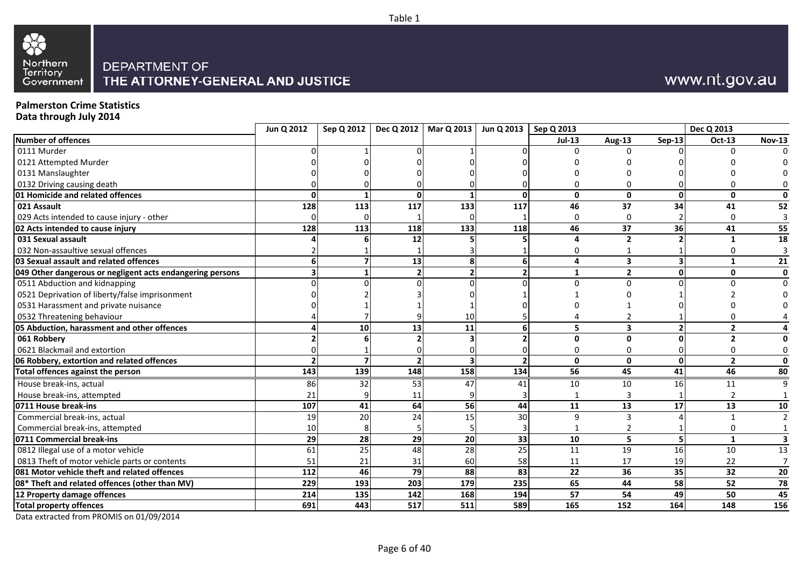



## www.nt.gov.au

## **Palmerston Crime Statistics**

**Data through July 2014**

|                                                           | Jun Q 2012 |     |     | Sep Q 2012   Dec Q 2012   Mar Q 2013   Jun Q 2013   Sep Q 2013 |     |                 |                         |               | Dec Q 2013     |               |
|-----------------------------------------------------------|------------|-----|-----|----------------------------------------------------------------|-----|-----------------|-------------------------|---------------|----------------|---------------|
| Number of offences                                        |            |     |     |                                                                |     | $Jul-13$        | Aug-13                  | <b>Sep-13</b> | Oct-13         | <b>Nov-13</b> |
| 0111 Murder                                               |            |     |     |                                                                |     |                 | U                       |               | U              |               |
| 0121 Attempted Murder                                     |            |     |     |                                                                |     |                 |                         |               |                |               |
| 0131 Manslaughter                                         |            |     |     |                                                                |     |                 |                         |               |                |               |
| 0132 Driving causing death                                |            |     |     |                                                                |     |                 |                         |               |                |               |
| 01 Homicide and related offences                          |            |     | ΩI  |                                                                | ŋ   | $\mathbf{0}$    | $\mathbf{0}$            | <sup>0</sup>  | 0              | O             |
| 021 Assault                                               | 128        | 113 | 117 | 133                                                            | 117 | 46              | 37                      | 34            | 41             | 52            |
| 029 Acts intended to cause injury - other                 |            |     |     |                                                                |     | $\mathbf 0$     | $\Omega$                |               | $\Omega$       |               |
| 02 Acts intended to cause injury                          | 128        | 113 | 118 | 133                                                            | 118 | 46              | 37                      | 36            | 41             | 55            |
| 031 Sexual assault                                        |            |     | 12  |                                                                |     | 4               | $\overline{2}$          |               | $\mathbf{1}$   | 18            |
| 032 Non-assaultive sexual offences                        |            |     |     |                                                                |     | 0               |                         |               |                |               |
| 03 Sexual assault and related offences                    |            |     | 13  | 8                                                              |     | 4               | 3                       |               | 1              | 21            |
| 049 Other dangerous or negligent acts endangering persons |            |     |     |                                                                |     | 1               | $\overline{2}$          | ŋ             | 0              | $\mathbf{0}$  |
| 0511 Abduction and kidnapping                             |            |     |     |                                                                |     | U               | $\Omega$                |               | n              | $\Omega$      |
| 0521 Deprivation of liberty/false imprisonment            |            |     |     |                                                                |     |                 |                         |               |                |               |
| 0531 Harassment and private nuisance                      |            |     |     |                                                                |     |                 |                         |               |                |               |
| 0532 Threatening behaviour                                |            |     |     | 10                                                             |     |                 |                         |               |                |               |
| 05 Abduction, harassment and other offences               |            | 10  | 13  | 11                                                             |     | 5               | $\overline{\mathbf{3}}$ |               | $\overline{2}$ |               |
| 061 Robbery                                               |            |     |     |                                                                |     | $\mathbf{0}$    | U                       |               | $\overline{2}$ |               |
| 0621 Blackmail and extortion                              |            |     |     |                                                                |     | 0               | O                       |               | 0              |               |
| 06 Robbery, extortion and related offences                |            |     |     |                                                                |     | $\mathbf{0}$    | $\mathbf{0}$            | 0             | $\overline{2}$ | 0             |
| Total offences against the person                         | 143        | 139 | 148 | $\frac{158}{158}$                                              | 134 | $\overline{56}$ | 45                      | 41            | 46             | 80            |
| House break-ins, actual                                   | 86         | 32  | 53  | 47                                                             | 41  | 10              | 10                      | 16            | 11             | q             |
| House break-ins, attempted                                | 21         |     | 11  |                                                                |     |                 | 3                       |               |                |               |
| 0711 House break-ins                                      | 107        | 41  | 64  | 56                                                             | 44  | 11              | 13                      | 17            | 13             | 10            |
| Commercial break-ins, actual                              | 19         | 20  | 24  | 15                                                             | 30  | 9               | $\mathbf{a}$            |               |                |               |
| Commercial break-ins, attempted                           | 10         |     |     |                                                                |     |                 |                         |               | 0              |               |
| 0711 Commercial break-ins                                 | 29         | 28  | 29  | 20                                                             | 33  | 10              | 5                       |               | $\mathbf{1}$   |               |
| 0812 Illegal use of a motor vehicle                       | 61         | 25  | 48  | 28                                                             | 25  | 11              | $\overline{19}$         | 16            | 10             | 13            |
| 0813 Theft of motor vehicle parts or contents             | 51         |     | 31  | 60                                                             | 58  | 11              | 17                      | 19            | 22             |               |
| 081 Motor vehicle theft and related offences              | 112        | 46  | 79  | 88                                                             | 83  | $\overline{22}$ | $\overline{36}$         | 35            | 32             | 20            |
| 08* Theft and related offences (other than MV)            | 229        | 193 | 203 | 179                                                            | 235 | 65              | 44                      | 58            | 52             | 78            |
| 12 Property damage offences                               | 214        | 135 | 142 | 168                                                            | 194 | 57              | 54                      | 49            | 50             | 45            |
| <b>Total property offences</b>                            | 691        | 443 | 517 | 511                                                            | 589 | 165             | 152                     | 164           | 148            | 156           |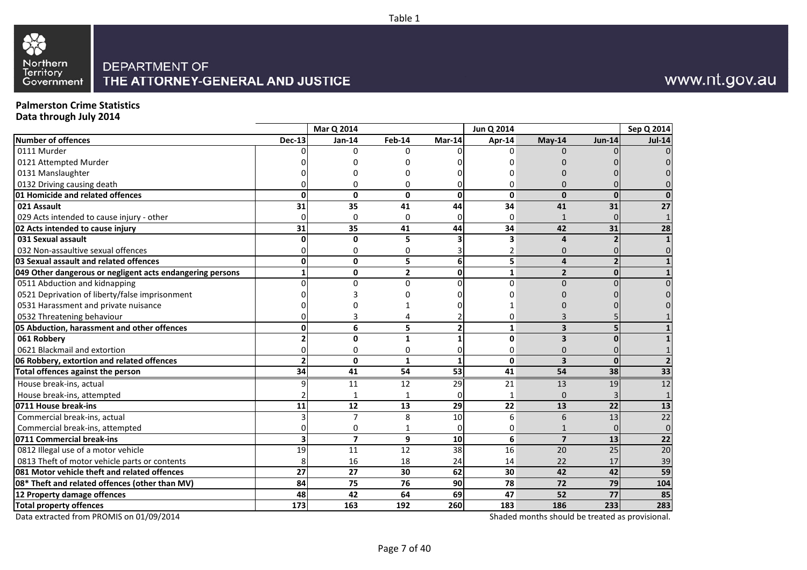



## www.nt.gov.au

## **Palmerston Crime Statistics**

**Data through July 2014**

|                                                           |               | <b>Mar Q 2014</b>       |                |                 | Jun Q 2014   |                         |                 | Sep Q 2014      |
|-----------------------------------------------------------|---------------|-------------------------|----------------|-----------------|--------------|-------------------------|-----------------|-----------------|
| <b>Number of offences</b>                                 | <b>Dec-13</b> | Jan-14                  | <b>Feb-14</b>  | $Mar-14$        | Apr-14       | May-14                  | <b>Jun-14</b>   | <b>Jul-14</b>   |
| 0111 Murder                                               |               | ∩                       | U              |                 | ∩            | $\Omega$                |                 |                 |
| 0121 Attempted Murder                                     |               |                         |                |                 |              |                         |                 |                 |
| 0131 Manslaughter                                         |               |                         |                |                 |              |                         |                 |                 |
| 0132 Driving causing death                                |               |                         | n              |                 |              |                         |                 |                 |
| 01 Homicide and related offences                          | U             | 0                       | 0              | $\mathbf{0}$    | $\mathbf 0$  | $\mathbf{0}$            | ŋ               |                 |
| 021 Assault                                               | 31            | 35                      | 41             | 44              | 34           | 41                      | 31              | 27              |
| 029 Acts intended to cause injury - other                 |               | $\Omega$                | 0              |                 | 0            | $\mathbf{1}$            |                 |                 |
| 02 Acts intended to cause injury                          | 31            | 35                      | 41             | 44              | 34           | $\overline{42}$         | $\overline{31}$ | 28              |
| 031 Sexual assault                                        |               | 0                       | 5              |                 | 3            | 4                       |                 |                 |
| 032 Non-assaultive sexual offences                        |               | <sup>0</sup>            | 0              |                 | 2            | 0                       |                 |                 |
| 03 Sexual assault and related offences                    |               | 0                       | 5              | 6               | 5            | $\overline{a}$          |                 |                 |
| 049 Other dangerous or negligent acts endangering persons |               | $\Omega$                | $\overline{2}$ | $\mathbf{0}$    | $\mathbf{1}$ | $\overline{2}$          | ŋ               |                 |
| 0511 Abduction and kidnapping                             |               | $\Omega$                | $\Omega$       | n               | $\Omega$     | $\Omega$                |                 |                 |
| 0521 Deprivation of liberty/false imprisonment            |               |                         |                |                 |              |                         |                 |                 |
| 0531 Harassment and private nuisance                      |               |                         |                |                 |              |                         |                 |                 |
| 0532 Threatening behaviour                                |               |                         |                |                 | 0            |                         |                 |                 |
| 05 Abduction, harassment and other offences               |               | 6                       | 5              | $\overline{2}$  | $\mathbf{1}$ | 3                       |                 |                 |
| 061 Robbery                                               |               | $\Omega$                | $\mathbf{1}$   |                 | 0            | 3                       |                 |                 |
| 0621 Blackmail and extortion                              |               | $\Omega$                | 0              |                 | 0            | 0                       |                 |                 |
| 06 Robbery, extortion and related offences                |               | 0                       | $\mathbf{1}$   | 1               | $\mathbf 0$  | $\overline{\mathbf{3}}$ | $\Omega$        |                 |
| Total offences against the person                         | 34            | 41                      | 54             | $\overline{53}$ | 41           | 54                      | $\overline{38}$ | 33              |
| House break-ins, actual                                   |               | 11                      | 12             | 29              | 21           | 13                      | 19              | 12              |
| House break-ins, attempted                                |               |                         |                | 0               | 1            | 0                       |                 |                 |
| 0711 House break-ins                                      | 11            | 12                      | 13             | 29              | 22           | 13                      | 22              | 13              |
| Commercial break-ins, actual                              |               | $\overline{7}$          | 8              | 10              | 6            | 6                       | 13              | $\overline{22}$ |
| Commercial break-ins, attempted                           |               | $\Omega$                | 1              | $\Omega$        | 0            |                         | $\Omega$        | $\Omega$        |
| 0711 Commercial break-ins                                 |               | $\overline{\mathbf{z}}$ | 9              | 10              | 6            | $\overline{7}$          | 13              | 22              |
| 0812 Illegal use of a motor vehicle                       | 19            | 11                      | 12             | 38              | 16           | 20                      | 25              | $\overline{20}$ |
| 0813 Theft of motor vehicle parts or contents             | 8             | 16                      | 18             | 24              | 14           | 22                      | 17              | 39              |
| 081 Motor vehicle theft and related offences              | 27            | 27                      | 30             | 62              | 30           | 42                      | 42              | 59              |
| 08* Theft and related offences (other than MV)            | 84            | 75                      | 76             | 90              | 78           | 72                      | 79              | 104             |
| 12 Property damage offences                               | 48            | 42                      | 64             | 69              | 47           | 52                      | 77              | 85              |
| <b>Total property offences</b>                            | 173           | 163                     | 192            | 260             | 183          | 186                     | 233             | 283             |

Data extracted from PROMIS on 01/09/2014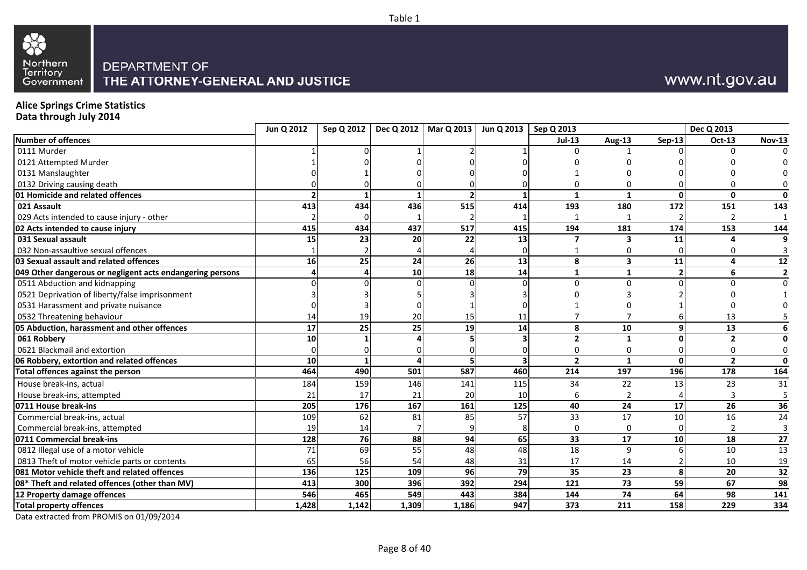



## **Alice Springs Crime Statistics**

**Data through July 2014**

|                                                           | Jun Q 2012 | Sep Q 2012 |           | Dec Q 2012   Mar Q 2013 | Jun Q 2013   Sep Q 2013 |                 |                 |               | Dec Q 2013      |                |
|-----------------------------------------------------------|------------|------------|-----------|-------------------------|-------------------------|-----------------|-----------------|---------------|-----------------|----------------|
| Number of offences                                        |            |            |           |                         |                         | $Jul-13$        | <b>Aug-13</b>   | <b>Sep-13</b> | Oct-13          | <b>Nov-13</b>  |
| 0111 Murder                                               |            |            |           |                         |                         |                 |                 |               | U               |                |
| 0121 Attempted Murder                                     |            |            |           |                         |                         |                 |                 |               |                 |                |
| 0131 Manslaughter                                         |            |            |           |                         |                         |                 |                 |               |                 |                |
| 0132 Driving causing death                                |            |            |           |                         |                         |                 |                 |               |                 |                |
| 01 Homicide and related offences                          |            |            |           |                         |                         | -1              |                 | ŋ             | 0               | 0              |
| 021 Assault                                               | 413        | 434        | 436       | 515                     | 414                     | 193             | 180             | 172           | 151             | 143            |
| 029 Acts intended to cause injury - other                 |            |            |           |                         |                         |                 |                 |               |                 | -1             |
| 02 Acts intended to cause injury                          | 415        | 434        | 437       | 517                     | 415                     | 194             | 181             | 174           | 153             | 144            |
| 031 Sexual assault                                        | 15         | 23         | <b>20</b> | 22                      | 13                      | 7               | 3               | 11            |                 | q              |
| 032 Non-assaultive sexual offences                        |            |            |           |                         |                         |                 |                 |               |                 |                |
| 03 Sexual assault and related offences                    | 16         | 25         | 24        | 26                      | 13                      | 8               | 3               | 11            | 4               | 12             |
| 049 Other dangerous or negligent acts endangering persons |            |            | 10        | 18                      | 14                      | 1               |                 |               | 6               | $\overline{2}$ |
| 0511 Abduction and kidnapping                             |            |            |           |                         |                         | $\Omega$        | $\Omega$        |               | U               | $\Omega$       |
| 0521 Deprivation of liberty/false imprisonment            |            |            |           |                         |                         |                 |                 |               |                 |                |
| 0531 Harassment and private nuisance                      |            |            |           |                         |                         |                 |                 |               |                 |                |
| 0532 Threatening behaviour                                |            | 19         | 20        | 15                      | 11                      |                 |                 |               | 13              |                |
| 05 Abduction, harassment and other offences               | 17         | 25         | 25        | 19                      | 14                      | 8               | 10              |               | 13              |                |
| 061 Robbery                                               | 10         |            |           |                         |                         | $\overline{2}$  |                 |               | $\overline{2}$  |                |
| 0621 Blackmail and extortion                              |            |            |           |                         |                         | 0               | 0               |               | 0               | 0              |
| 06 Robbery, extortion and related offences                | 10         |            |           |                         | 3                       | $\overline{2}$  |                 | U             | $\overline{2}$  | $\mathbf{0}$   |
| Total offences against the person                         | 464        | 490        | 501       | 587                     | 460                     | 214             | 197             | 196           | 178             | 164            |
| House break-ins, actual                                   | 184        | 159        | 146       | 141                     | 115                     | 34              | 22              | 13            | 23              | 31             |
| House break-ins, attempted                                | 21         | 17         | 21        | 20                      | 10                      | 6               |                 |               | 3               |                |
| 0711 House break-ins                                      | 205        | 176        | 167       | 161                     | 125                     | 40              | 24              | 17            | $\overline{26}$ | 36             |
| Commercial break-ins, actual                              | 109        | 62         | 81        | 85                      | 57                      | 33              | 17              | 10            | 16              | 24             |
| Commercial break-ins, attempted                           | 19         | 14         |           |                         |                         | 0               | 0               |               |                 | $\overline{3}$ |
| 0711 Commercial break-ins                                 | 128        | 76         | 88        | 94                      | 65                      | 33              | 17              | 10            | 18              | 27             |
| 0812 Illegal use of a motor vehicle                       | 71         | 69         | 55        | 48                      | 48                      | $\overline{18}$ | 9               |               | 10              | 13             |
| 0813 Theft of motor vehicle parts or contents             | 65         | 56         | 54        | 48                      | 31                      | 17              | 14              |               | 10              | 19             |
| 081 Motor vehicle theft and related offences              | 136        | 125        | 109       | 96                      | 79                      | 35              | 23              | 8             | 20              | 32             |
| 08* Theft and related offences (other than MV)            | 413        | 300        | 396       | 392                     | 294                     | 121             | $\overline{73}$ | 59            | 67              | 98             |
| 12 Property damage offences                               | 546        | 465        | 549       | 443                     | 384                     | 144             | 74              | 64            | 98              | 141            |
| <b>Total property offences</b>                            | 1,428      | 1,142      | 1,309     | 1,186                   | 947                     | 373             | 211             | 158           | 229             | 334            |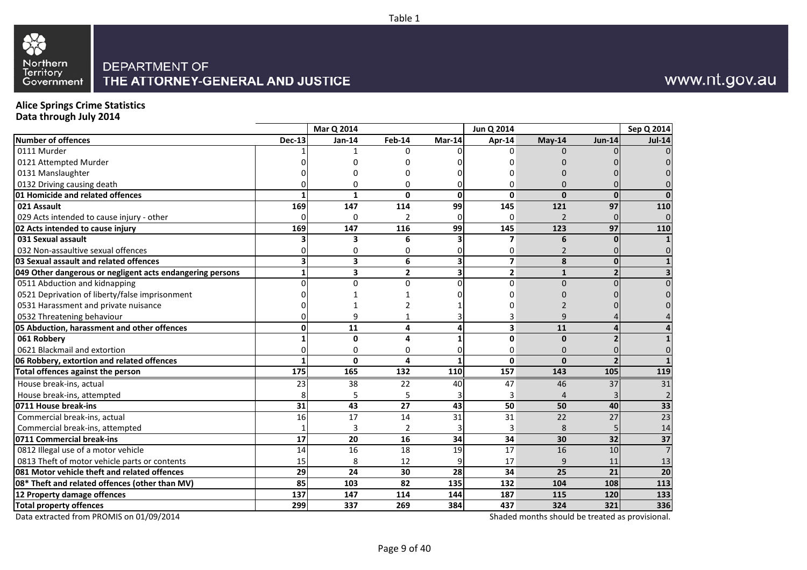



## www.nt.gov.au

## **Alice Springs Crime Statistics**

**Data through July 2014**

|                                                           |               | Mar Q 2014   |               |              | Jun Q 2014              |                |          | Sep Q 2014      |
|-----------------------------------------------------------|---------------|--------------|---------------|--------------|-------------------------|----------------|----------|-----------------|
| Number of offences                                        | <b>Dec-13</b> | $Jan-14$     | Feb-14        | Mar-14       | Apr-14                  | $May-14$       | $Jun-14$ | <b>Jul-14</b>   |
| 0111 Murder                                               |               |              | ∩             |              | $\Omega$                | $\Omega$       |          | $\Omega$        |
| 0121 Attempted Murder                                     |               |              |               |              |                         |                |          |                 |
| 0131 Manslaughter                                         |               |              |               |              |                         |                |          | $\Omega$        |
| 0132 Driving causing death                                |               | U            |               |              | 0                       | O              |          | $\Omega$        |
| 01 Homicide and related offences                          |               | 1            | <sup>0</sup>  | $\mathbf{0}$ | $\mathbf{0}$            | $\Omega$       | $\bf{0}$ | $\mathbf{0}$    |
| 021 Assault                                               | 169           | 147          | 114           | 99           | 145                     | 121            | 97       | 110             |
| 029 Acts intended to cause injury - other                 |               | 0            | $\mathcal{P}$ |              | 0                       | $\overline{2}$ |          | $\overline{0}$  |
| 02 Acts intended to cause injury                          | 169           | 147          | 116           | 99           | 145                     | 123            | 97       | 110             |
| 031 Sexual assault                                        |               | 3            | 6             |              | 7                       | 6              |          |                 |
| 032 Non-assaultive sexual offences                        |               | 0            | 0             |              | 0                       | $\overline{2}$ |          | $\Omega$        |
| 03 Sexual assault and related offences                    |               | 3            | 6             | 3            | $\overline{\mathbf{z}}$ | 8              | $\bf{0}$ | $\mathbf{1}$    |
| 049 Other dangerous or negligent acts endangering persons |               | 3            | $\mathbf{2}$  | 3            | $\overline{2}$          | $\mathbf{1}$   |          | 3               |
| 0511 Abduction and kidnapping                             |               | $\Omega$     | $\Omega$      |              | $\Omega$                | $\Omega$       |          | $\Omega$        |
| 0521 Deprivation of liberty/false imprisonment            |               |              |               |              |                         |                |          | $\Omega$        |
| 0531 Harassment and private nuisance                      |               |              |               |              |                         |                |          |                 |
| 0532 Threatening behaviour                                |               | q            |               |              |                         | q              |          |                 |
| 05 Abduction, harassment and other offences               |               | 11           | 4             | л            | $\overline{\mathbf{3}}$ | 11             |          | 4               |
| 061 Robbery                                               |               | 0            | Δ             |              | $\Omega$                | $\mathbf{0}$   |          |                 |
| 0621 Blackmail and extortion                              |               | 0            | U             |              | 0                       | 0              |          | $\overline{0}$  |
| 06 Robbery, extortion and related offences                |               | $\mathbf{0}$ | 4             |              | $\Omega$                | $\mathbf{0}$   |          | $\mathbf{1}$    |
| Total offences against the person                         | 175           | 165          | 132           | 110          | 157                     | 143            | 105      | 119             |
| House break-ins, actual                                   | 23            | 38           | 22            | 40           | 47                      | 46             | 37       | 31              |
| House break-ins, attempted                                |               | 5            |               |              | 3                       | 4              |          |                 |
| 0711 House break-ins                                      | 31            | 43           | 27            | 43           | 50                      | 50             | 40       | 33              |
| Commercial break-ins, actual                              | 16            | 17           | 14            | 31           | 31                      | 22             | 27       | $\overline{23}$ |
| Commercial break-ins, attempted                           |               | 3            | 2             |              | 3                       | 8              |          | 14              |
| 0711 Commercial break-ins                                 | 17            | 20           | 16            | 34           | 34                      | 30             | 32       | 37              |
| 0812 Illegal use of a motor vehicle                       | 14            | 16           | 18            | 19           | 17                      | 16             | 10       | $\overline{7}$  |
| 0813 Theft of motor vehicle parts or contents             | 15            | 8            | 12            |              | 17                      | 9              | 11       | 13              |
| 081 Motor vehicle theft and related offences              | 29            | 24           | 30            | 28           | 34                      | 25             | 21       | 20              |
| 08* Theft and related offences (other than MV)            | 85            | 103          | 82            | 135          | 132                     | 104            | 108      | 113             |
| 12 Property damage offences                               | 137           | 147          | 114           | 144          | 187                     | 115            | 120      | 133             |
| <b>Total property offences</b>                            | 299           | 337          | 269           | 384          | 437                     | 324            | 321      | 336             |

Data extracted from PROMIS on 01/09/2014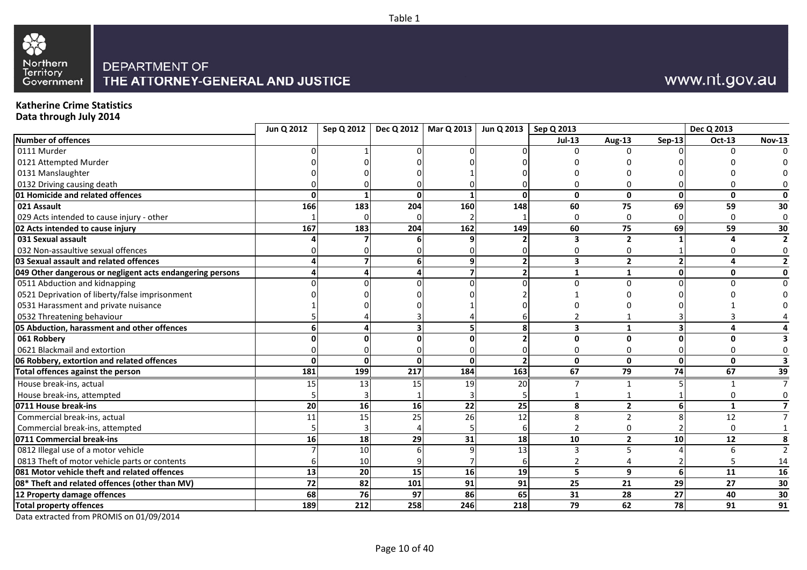



## www.nt.gov.au

## **Katherine Crime Statistics**

**Data through July 2014**

|                                                           | Jun Q 2012      |     |                 | Sep Q 2012   Dec Q 2012   Mar Q 2013   Jun Q 2013   Sep Q 2013 |                 |                         |                |               | Dec Q 2013  |               |
|-----------------------------------------------------------|-----------------|-----|-----------------|----------------------------------------------------------------|-----------------|-------------------------|----------------|---------------|-------------|---------------|
| Number of offences                                        |                 |     |                 |                                                                |                 | $Jul-13$                | Aug-13         | <b>Sep-13</b> | Oct-13      | <b>Nov-13</b> |
| 0111 Murder                                               |                 |     |                 |                                                                |                 |                         | U              |               | U           |               |
| 0121 Attempted Murder                                     |                 |     |                 |                                                                |                 |                         |                |               |             |               |
| 0131 Manslaughter                                         |                 |     |                 |                                                                |                 |                         |                |               |             |               |
| 0132 Driving causing death                                |                 |     |                 |                                                                |                 |                         |                |               |             |               |
| 01 Homicide and related offences                          |                 |     | ΩI              |                                                                | ŋ               | $\mathbf{0}$            | 0              | <sup>0</sup>  | 0           | O             |
| 021 Assault                                               | 166             | 183 | 204             | 160                                                            | 148             | 60                      | 75             | 69            | 59          | 30            |
| 029 Acts intended to cause injury - other                 |                 |     |                 |                                                                |                 | $\mathbf 0$             | O              |               | $\Omega$    | $\Omega$      |
| 02 Acts intended to cause injury                          | 167             | 183 | 204             | 162                                                            | 149             | 60                      | 75             | 69            | 59          | 30            |
| 031 Sexual assault                                        |                 |     |                 |                                                                |                 | 3                       | $\overline{2}$ |               |             |               |
| 032 Non-assaultive sexual offences                        |                 |     |                 |                                                                |                 |                         |                |               |             |               |
| 03 Sexual assault and related offences                    |                 |     |                 |                                                                |                 | 3                       | $\overline{2}$ |               |             |               |
| 049 Other dangerous or negligent acts endangering persons |                 |     |                 |                                                                |                 | -1                      |                | ŋ             | 0           | 0             |
| 0511 Abduction and kidnapping                             |                 |     |                 |                                                                |                 | U                       | U              |               |             |               |
| 0521 Deprivation of liberty/false imprisonment            |                 |     |                 |                                                                |                 |                         |                |               |             |               |
| 0531 Harassment and private nuisance                      |                 |     |                 |                                                                |                 |                         |                |               |             |               |
| 0532 Threatening behaviour                                |                 |     |                 |                                                                |                 |                         |                |               |             |               |
| 05 Abduction, harassment and other offences               |                 |     |                 |                                                                |                 | $\overline{\mathbf{3}}$ |                |               | 4           |               |
| 061 Robbery                                               |                 |     |                 |                                                                |                 | $\mathbf{0}$            | ŋ              |               | n           |               |
| 0621 Blackmail and extortion                              |                 |     |                 |                                                                |                 | 0                       | O              |               | 0           |               |
| 06 Robbery, extortion and related offences                |                 |     | ΩI              | $\Omega$                                                       |                 | $\mathbf{0}$            | $\mathbf{0}$   | 0             | $\Omega$    |               |
| Total offences against the person                         | 181             | 199 | 217             | 184                                                            | $\frac{163}{ }$ | 67                      | 79             | 74            | 67          | 39            |
| House break-ins, actual                                   | 15              | 13  | 15 <sup>1</sup> | 19                                                             | 20              |                         |                |               |             |               |
| House break-ins, attempted                                |                 |     |                 |                                                                |                 |                         |                |               |             |               |
| 0711 House break-ins                                      | 20              | 16  | 16              | 22                                                             | 25              | 8                       | $\overline{2}$ |               | $\mathbf 1$ |               |
| Commercial break-ins, actual                              | 11              | 15  | 25              | 26                                                             | 12              | 8                       |                |               | 12          |               |
| Commercial break-ins, attempted                           |                 |     |                 |                                                                |                 | $\overline{2}$          |                |               | 0           |               |
| 0711 Commercial break-ins                                 | 16              | 18  | 29              | 31                                                             | 18              | 10                      | $\overline{2}$ | 10            | 12          | 8             |
| 0812 Illegal use of a motor vehicle                       |                 | 10  |                 |                                                                | 13              | з                       |                |               | 6           |               |
| 0813 Theft of motor vehicle parts or contents             |                 | 10  |                 |                                                                |                 |                         |                |               |             | 14            |
| 081 Motor vehicle theft and related offences              | 13              | 20  | 15              | 16                                                             | 19              | 5                       | 9              | 6             | 11          | 16            |
| 08* Theft and related offences (other than MV)            | $\overline{72}$ | 82  | 101             | 91                                                             | 91              | 25                      | 21             | 29            | 27          | 30            |
| 12 Property damage offences                               | 68              | 76  | 97              | 86                                                             | 65              | 31                      | 28             | 27            | 40          | $30\,$        |
| <b>Total property offences</b>                            | 189             | 212 | 258             | 246                                                            | 218             | 79                      | 62             | 78            | 91          | 91            |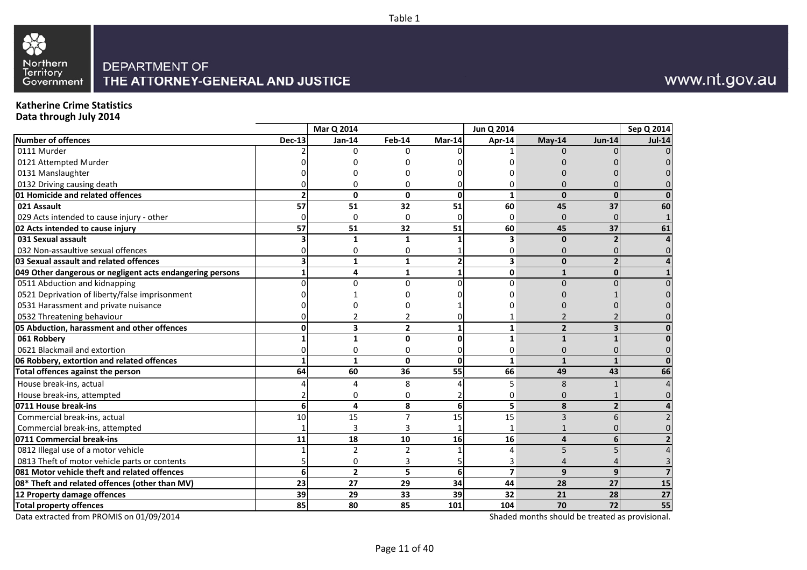



## www.nt.gov.au

## **Katherine Crime Statistics**

**Data through July 2014**

|                                                           |                 | Mar Q 2014     |                 |                 | Jun Q 2014     |                |                 | Sep Q 2014    |
|-----------------------------------------------------------|-----------------|----------------|-----------------|-----------------|----------------|----------------|-----------------|---------------|
| <b>Number of offences</b>                                 | <b>Dec-13</b>   | Jan-14         | <b>Feb-14</b>   | Mar-14          | Apr-14         | May-14         | <b>Jun-14</b>   | <b>Jul-14</b> |
| 0111 Murder                                               |                 | n              | U               |                 |                | $\Omega$       |                 |               |
| 0121 Attempted Murder                                     |                 |                |                 |                 |                |                |                 |               |
| 0131 Manslaughter                                         |                 |                |                 |                 |                |                |                 |               |
| 0132 Driving causing death                                |                 |                | n               |                 | O              | n              |                 |               |
| 01 Homicide and related offences                          |                 | 0              | 0               | 0               | 1              | $\mathbf{0}$   |                 |               |
| 021 Assault                                               | 57              | 51             | 32              | 51              | 60             | 45             | 37              | 60            |
| 029 Acts intended to cause injury - other                 |                 | $\Omega$       | $\Omega$        |                 | 0              | $\mathbf{0}$   |                 |               |
| 02 Acts intended to cause injury                          | $\overline{57}$ | 51             | $\overline{32}$ | 51              | 60             | 45             | $\overline{37}$ | 61            |
| 031 Sexual assault                                        |                 | 1              | 1               |                 | 3              | $\mathbf{0}$   |                 |               |
| 032 Non-assaultive sexual offences                        |                 | ŋ              | 0               |                 | 0              | 0              |                 |               |
| 03 Sexual assault and related offences                    |                 | 1              | 1               | 2               | 3              | $\mathbf{0}$   |                 |               |
| 049 Other dangerous or negligent acts endangering persons |                 | 4              | 1               |                 | $\mathbf{0}$   | $\mathbf{1}$   |                 |               |
| 0511 Abduction and kidnapping                             |                 | U              | $\Omega$        |                 | $\Omega$       | $\Omega$       |                 |               |
| 0521 Deprivation of liberty/false imprisonment            |                 |                |                 |                 |                |                |                 |               |
| 0531 Harassment and private nuisance                      |                 |                |                 |                 |                |                |                 |               |
| 0532 Threatening behaviour                                |                 |                |                 |                 |                |                |                 |               |
| 05 Abduction, harassment and other offences               |                 | 3              | $\overline{2}$  |                 | $\mathbf{1}$   | $\overline{2}$ |                 |               |
| 061 Robbery                                               |                 | 1              | $\Omega$        | O               | $\mathbf{1}$   | $\mathbf{1}$   |                 |               |
| 0621 Blackmail and extortion                              |                 | U              | 0               |                 | 0              | 0              |                 |               |
| 06 Robbery, extortion and related offences                |                 | 1              | $\mathbf{0}$    | $\mathbf 0$     | $\mathbf{1}$   | $\mathbf{1}$   |                 |               |
| Total offences against the person                         | 64              | 60             | 36              | $\overline{55}$ | 66             | 49             | 43              | 66            |
| House break-ins, actual                                   |                 | Δ              | 8               |                 | 5              | 8              |                 |               |
| House break-ins, attempted                                |                 | ŋ              | 0               |                 | 0              | 0              |                 |               |
| 0711 House break-ins                                      | 6               | 4              | 8               | 6               | 5              | 8              |                 |               |
| Commercial break-ins, actual                              | 10              | 15             | 7               | 15              | 15             | $\overline{3}$ |                 |               |
| Commercial break-ins, attempted                           |                 | 3              | 3               |                 |                |                |                 |               |
| 0711 Commercial break-ins                                 | 11              | 18             | 10              | 16              | 16             | 4              |                 |               |
| 0812 Illegal use of a motor vehicle                       |                 | $\overline{2}$ | $\mathfrak{p}$  |                 | 4              | 5              |                 |               |
| 0813 Theft of motor vehicle parts or contents             |                 | O              |                 |                 | 3              |                |                 |               |
| 081 Motor vehicle theft and related offences              | $6 \mid$        | $\overline{2}$ | 5               | 6               | $\overline{7}$ | 9              |                 |               |
| 08* Theft and related offences (other than MV)            | 23              | 27             | 29              | 34              | 44             | 28             | 27              | 15            |
| 12 Property damage offences                               | 39              | 29             | 33              | 39              | 32             | 21             | 28              | 27            |
| <b>Total property offences</b>                            | 85              | 80             | 85              | 101             | 104            | 70             | 72              | 55            |

Data extracted from PROMIS on 01/09/2014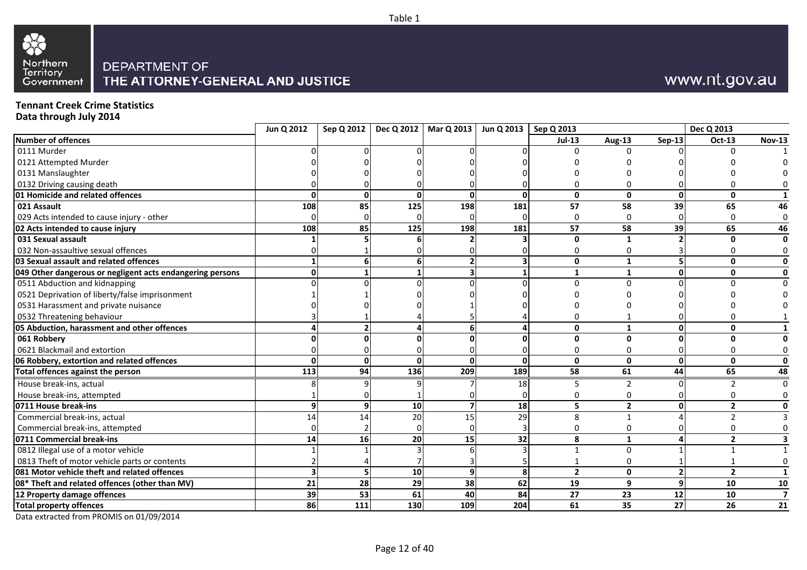



## www.nt.gov.au

## **Tennant Creek Crime Statistics**

**Data through July 2014**

|                                                           | Jun Q 2012 |     |     | Sep Q 2012   Dec Q 2012   Mar Q 2013   Jun Q 2013   Sep Q 2013 |     |                |                |                 | Dec Q 2013     |                         |
|-----------------------------------------------------------|------------|-----|-----|----------------------------------------------------------------|-----|----------------|----------------|-----------------|----------------|-------------------------|
| Number of offences                                        |            |     |     |                                                                |     | <b>Jul-13</b>  | Aug-13         | <b>Sep-13</b>   | Oct-13         | <b>Nov-13</b>           |
| 0111 Murder                                               |            |     |     |                                                                |     |                | U              |                 | $\Omega$       |                         |
| 0121 Attempted Murder                                     |            |     |     |                                                                |     |                |                |                 |                |                         |
| 0131 Manslaughter                                         |            |     |     |                                                                |     |                |                |                 |                |                         |
| 0132 Driving causing death                                |            |     |     |                                                                |     |                |                |                 |                |                         |
| 01 Homicide and related offences                          |            |     |     | ŋ                                                              | ŋ   | 0              | 0              | <sup>0</sup>    | 0              |                         |
| 021 Assault                                               | 108        | 85  | 125 | 198                                                            | 181 | 57             | 58             | 39              | 65             | 46                      |
| 029 Acts intended to cause injury - other                 |            |     |     |                                                                |     | 0              | $\Omega$       |                 | <sup>0</sup>   |                         |
| 02 Acts intended to cause injury                          | 108        | 85  | 125 | 198                                                            | 181 | 57             | 58             | 39              | 65             | 46                      |
| 031 Sexual assault                                        |            |     |     |                                                                |     | 0              |                |                 | n              |                         |
| 032 Non-assaultive sexual offences                        |            |     |     |                                                                |     | 0              | 0              |                 |                |                         |
| 03 Sexual assault and related offences                    |            |     |     |                                                                |     | 0              | $\mathbf{1}$   |                 | $\mathbf{0}$   |                         |
| 049 Other dangerous or negligent acts endangering persons |            |     |     |                                                                |     | 1              | $\mathbf{1}$   | 0               | 0              |                         |
| 0511 Abduction and kidnapping                             |            |     |     |                                                                |     | $\Omega$       | $\Omega$       |                 |                |                         |
| 0521 Deprivation of liberty/false imprisonment            |            |     |     |                                                                |     |                |                |                 |                |                         |
| 0531 Harassment and private nuisance                      |            |     |     |                                                                |     |                |                |                 |                |                         |
| 0532 Threatening behaviour                                |            |     |     |                                                                |     |                |                |                 |                |                         |
| 05 Abduction, harassment and other offences               |            |     |     |                                                                |     | $\mathbf{0}$   |                | ΩI              | $\mathbf{0}$   |                         |
| 061 Robbery                                               |            |     |     |                                                                |     | 0              | O              |                 | ŋ              |                         |
| 0621 Blackmail and extortion                              |            |     |     |                                                                |     | 0              | 0              |                 |                |                         |
| 06 Robbery, extortion and related offences                |            |     | ŋ   | $\Omega$                                                       | ŋ   | $\mathbf{0}$   | $\mathbf{0}$   | ΩI              | $\mathbf{0}$   | $\Omega$                |
| Total offences against the person                         | 113        | 94  | 136 | 209                                                            | 189 | 58             | 61             | 44              | 65             | 48                      |
| House break-ins, actual                                   |            |     |     |                                                                | 18  | 5              |                |                 |                |                         |
| House break-ins, attempted                                |            |     |     |                                                                |     |                | 0              |                 |                |                         |
| 0711 House break-ins                                      |            |     | 10  |                                                                | 18  | 5              | $\overline{2}$ | ΩI              | $\overline{2}$ |                         |
| Commercial break-ins, actual                              | 14         | 14  | 20  | 15                                                             | 29  | 8              | 1              |                 |                |                         |
| Commercial break-ins, attempted                           |            |     |     |                                                                |     | 0              | 0              |                 | <sup>0</sup>   |                         |
| 0711 Commercial break-ins                                 | 14         | 16  | 20  | 15                                                             | 32  | 8              | $\mathbf{1}$   |                 | $\overline{2}$ |                         |
| 0812 Illegal use of a motor vehicle                       |            |     |     |                                                                |     | $\mathbf{1}$   | $\Omega$       |                 |                |                         |
| 0813 Theft of motor vehicle parts or contents             |            |     |     |                                                                |     |                |                |                 |                |                         |
| 081 Motor vehicle theft and related offences              |            |     | 10  | q                                                              | 8   | $\overline{2}$ | $\mathbf{0}$   |                 | $\overline{2}$ |                         |
| 08* Theft and related offences (other than MV)            | 21         | 28  | 29  | 38                                                             | 62  | 19             | 9              | 9               | 10             | 10                      |
| 12 Property damage offences                               | 39         | 53  | 61  | 40                                                             | 84  | 27             | 23             | 12 <sup>1</sup> | 10             | $\overline{\mathbf{z}}$ |
| <b>Total property offences</b>                            | 86         | 111 | 130 | 109                                                            | 204 | 61             | 35             | 27              | 26             | 21                      |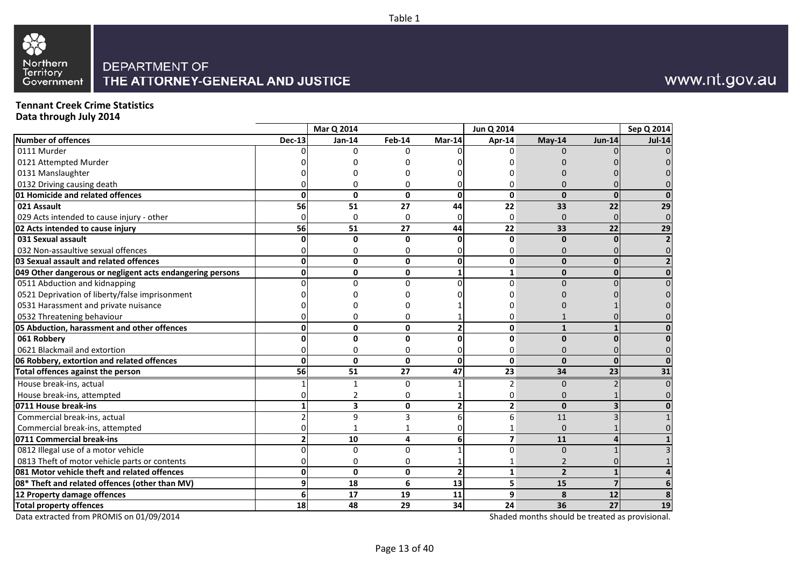



## www.nt.gov.au

## **Tennant Creek Crime Statistics**

**Data through July 2014**

|                                                           |               | <b>Mar Q 2014</b> |              |                 | Jun Q 2014              |                |               | Sep Q 2014    |
|-----------------------------------------------------------|---------------|-------------------|--------------|-----------------|-------------------------|----------------|---------------|---------------|
| <b>Number of offences</b>                                 | <b>Dec-13</b> | $Jan-14$          | Feb-14       | Mar-14          | Apr-14                  | May-14         | <b>Jun-14</b> | <b>Jul-14</b> |
| 0111 Murder                                               |               | U                 | $\Omega$     |                 | O                       | 0              |               |               |
| 0121 Attempted Murder                                     |               |                   |              |                 |                         |                |               |               |
| 0131 Manslaughter                                         |               |                   |              |                 |                         |                |               |               |
| 0132 Driving causing death                                |               |                   |              |                 | 0                       | ŋ              |               |               |
| 01 Homicide and related offences                          | U             | 0                 | 0            | $\mathbf{0}$    | 0                       | $\mathbf{0}$   | <sup>0</sup>  |               |
| 021 Assault                                               | 56            | 51                | 27           | 44              | 22                      | 33             | 22            | 29            |
| 029 Acts intended to cause injury - other                 |               | $\Omega$          | $\Omega$     |                 | 0                       | $\mathbf{0}$   | $\Omega$      | $\Omega$      |
| 02 Acts intended to cause injury                          | 56            | 51                | 27           | 44              | 22                      | 33             | 22            | 29            |
| 031 Sexual assault                                        |               | $\Omega$          | $\mathbf{0}$ | O               | 0                       | $\mathbf{0}$   |               |               |
| 032 Non-assaultive sexual offences                        |               |                   | 0            |                 | 0                       | $\Omega$       |               |               |
| 03 Sexual assault and related offences                    |               | $\Omega$          | $\mathbf{0}$ | $\mathbf 0$     | 0                       | $\mathbf{0}$   |               |               |
| 049 Other dangerous or negligent acts endangering persons |               | 0                 | 0            |                 | 1                       | $\mathbf{0}$   |               | $\Omega$      |
| 0511 Abduction and kidnapping                             |               | ∩                 | $\Omega$     |                 | $\Omega$                | $\Omega$       |               |               |
| 0521 Deprivation of liberty/false imprisonment            |               |                   |              |                 |                         |                |               |               |
| 0531 Harassment and private nuisance                      |               |                   |              |                 |                         |                |               |               |
| 0532 Threatening behaviour                                |               |                   |              |                 | 0                       |                |               |               |
| 05 Abduction, harassment and other offences               |               | $\Omega$          | $\Omega$     |                 | $\Omega$                | $\mathbf{1}$   |               |               |
| 061 Robbery                                               |               | n                 | 0            | ŋ               | 0                       | $\mathbf{0}$   |               |               |
| 0621 Blackmail and extortion                              |               | <sup>0</sup>      | 0            |                 | 0                       | $\Omega$       |               |               |
| 06 Robbery, extortion and related offences                | U             | $\Omega$          | $\mathbf{0}$ | $\Omega$        | 0                       | $\Omega$       | ŋ             |               |
| Total offences against the person                         | 56            | 51                | 27           | $\overline{47}$ | 23                      | 34             | 23            | 31            |
| House break-ins, actual                                   |               |                   | 0            |                 | 2                       | $\mathbf 0$    |               |               |
| House break-ins, attempted                                |               |                   | 0            |                 | 0                       | $\Omega$       |               |               |
| 0711 House break-ins                                      |               | 3                 | 0            | $\overline{2}$  | $\mathbf{2}$            | $\mathbf{0}$   |               |               |
| Commercial break-ins, actual                              |               | 9                 | 3            | 6               | 6                       | 11             |               |               |
| Commercial break-ins, attempted                           |               |                   |              |                 |                         | $\Omega$       |               |               |
| 0711 Commercial break-ins                                 |               | 10                | 4            | 6               | $\overline{\mathbf{z}}$ | 11             |               |               |
| 0812 Illegal use of a motor vehicle                       |               | $\Omega$          | $\Omega$     |                 | $\Omega$                | $\Omega$       |               |               |
| 0813 Theft of motor vehicle parts or contents             |               | $\Omega$          | 0            |                 |                         |                |               |               |
| 081 Motor vehicle theft and related offences              | U             | $\Omega$          | $\mathbf{0}$ | $\overline{2}$  | $\mathbf{1}$            | $\overline{2}$ |               |               |
| 08* Theft and related offences (other than MV)            |               | 18                | 6            | 13              | 5                       | 15             |               |               |
| 12 Property damage offences                               | 6             | 17                | 19           | 11              | 9                       | 8              | 12            | 8             |
| <b>Total property offences</b>                            | 18            | 48                | 29           | 34              | 24                      | 36             | 27            | 19            |

Data extracted from PROMIS on 01/09/2014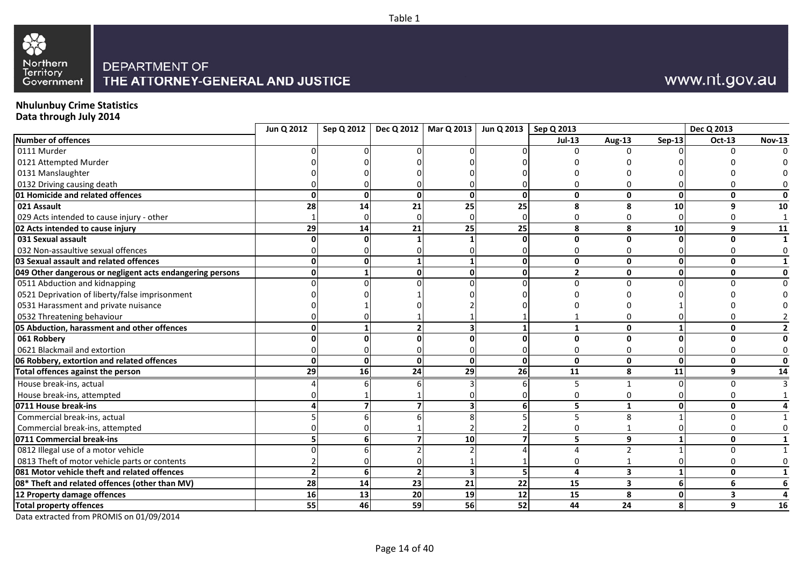



## www.nt.gov.au

## **Nhulunbuy Crime Statistics**

**Data through July 2014**

|                                                           | Jun Q 2012 |    |           | Sep Q 2012   Dec Q 2012   Mar Q 2013   Jun Q 2013   Sep Q 2013 |          |                |                          |               | Dec Q 2013   |               |
|-----------------------------------------------------------|------------|----|-----------|----------------------------------------------------------------|----------|----------------|--------------------------|---------------|--------------|---------------|
| <b>Number of offences</b>                                 |            |    |           |                                                                |          | $Jul-13$       | <b>Aug-13</b>            | <b>Sep-13</b> | Oct-13       | <b>Nov-13</b> |
| 0111 Murder                                               |            |    |           |                                                                |          |                | ∩                        |               |              |               |
| 0121 Attempted Murder                                     |            |    |           |                                                                |          |                |                          |               |              |               |
| 0131 Manslaughter                                         |            |    |           |                                                                |          |                |                          |               |              |               |
| 0132 Driving causing death                                |            |    |           |                                                                |          |                |                          |               |              |               |
| 01 Homicide and related offences                          |            |    | ŋ         |                                                                | O        | $\mathbf 0$    | 0                        | ŋ             | 0            | O             |
| 021 Assault                                               | 28         | 14 | 21        | 25                                                             | 25       | 8              | ጸ                        | 10            | q            | 10            |
| 029 Acts intended to cause injury - other                 |            |    |           |                                                                |          | 0              | O                        |               |              |               |
| 02 Acts intended to cause injury                          | 29         | 14 | 21        | 25                                                             | 25       | 8              | 8                        | 10            | 9            | 11            |
| 031 Sexual assault                                        |            |    |           |                                                                |          | 0              | U                        |               | U            |               |
| 032 Non-assaultive sexual offences                        |            |    |           |                                                                |          | U              |                          |               |              |               |
| 03 Sexual assault and related offences                    |            |    |           |                                                                |          | 0              | $\mathbf{0}$             | O             | $\mathbf{0}$ |               |
| 049 Other dangerous or negligent acts endangering persons |            |    |           |                                                                | ŋ        | $\overline{2}$ | 0                        | O             | 0            | 0             |
| 0511 Abduction and kidnapping                             |            |    |           |                                                                |          | O              | U                        |               |              |               |
| 0521 Deprivation of liberty/false imprisonment            |            |    |           |                                                                |          |                |                          |               |              |               |
| 0531 Harassment and private nuisance                      |            |    |           |                                                                |          |                |                          |               |              |               |
| 0532 Threatening behaviour                                |            |    |           |                                                                |          |                |                          |               |              |               |
| 05 Abduction, harassment and other offences               |            |    |           |                                                                |          | $\mathbf{1}$   | 0                        |               | 0            |               |
| 061 Robbery                                               |            |    |           |                                                                |          | 0              | ŋ                        |               | ŋ            |               |
| 0621 Blackmail and extortion                              |            |    |           |                                                                |          | 0              |                          |               |              |               |
| 06 Robbery, extortion and related offences                |            | U  | U         | $\Omega$                                                       | $\Omega$ | $\mathbf 0$    | $\mathbf{0}$             | <sup>0</sup>  | $\mathbf{0}$ | $\mathbf{0}$  |
| Total offences against the person                         | 29         | 16 | 24        | 29                                                             | 26       | 11             | 8                        | 11            | 9            | 14            |
| House break-ins, actual                                   |            |    |           |                                                                |          | 5              |                          |               | U            |               |
| House break-ins, attempted                                |            |    |           |                                                                |          |                |                          |               |              |               |
| 0711 House break-ins                                      |            |    |           |                                                                |          | 5              |                          |               | 0            |               |
| Commercial break-ins, actual                              |            |    |           |                                                                |          |                | 8                        |               | n            |               |
| Commercial break-ins, attempted                           |            |    |           |                                                                |          | 0              |                          |               |              |               |
| 0711 Commercial break-ins                                 |            |    |           | 10                                                             |          | 5              | 9                        |               | 0            |               |
| 0812 Illegal use of a motor vehicle                       |            |    |           |                                                                |          |                | $\overline{\phantom{a}}$ |               | U            |               |
| 0813 Theft of motor vehicle parts or contents             |            |    |           |                                                                |          |                |                          |               |              |               |
| 081 Motor vehicle theft and related offences              |            |    |           |                                                                |          | 4              | 3                        |               | $\mathbf{0}$ |               |
| 08* Theft and related offences (other than MV)            | 28         | 14 | 23        | 21                                                             | 22       | 15             | 3                        |               | 6            |               |
| 12 Property damage offences                               | 16         | 13 | <b>20</b> | 19                                                             | 12       | 15             | 8                        | Ω             | 3            |               |
| <b>Total property offences</b>                            | 55         | 46 | 59        | 56                                                             | 52       | 44             | 24                       | 8             | 9            | 16            |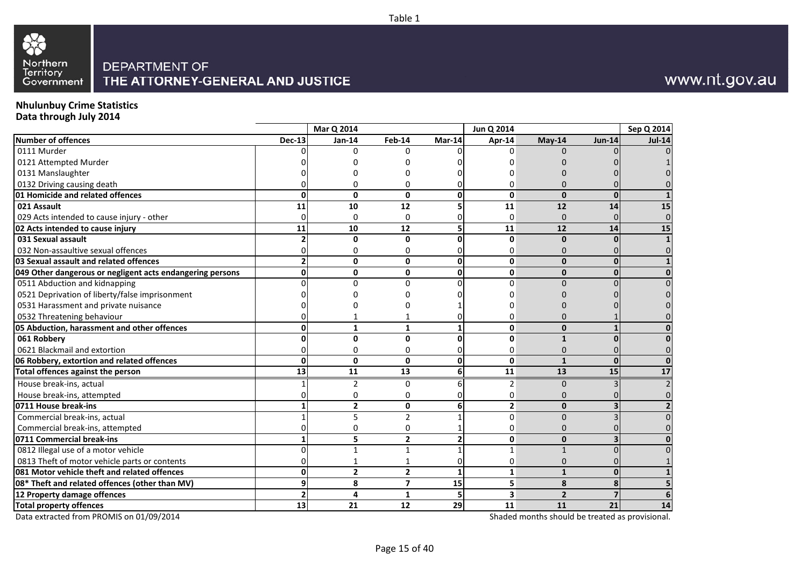



## www.nt.gov.au

## **Nhulunbuy Crime Statistics**

**Data through July 2014**

|                                                           |               | Mar Q 2014     |                         |              | Jun Q 2014   |                |               | Sep Q 2014    |
|-----------------------------------------------------------|---------------|----------------|-------------------------|--------------|--------------|----------------|---------------|---------------|
| <b>Number of offences</b>                                 | <b>Dec-13</b> | Jan-14         | Feb-14                  | Mar-14       | Apr-14       | May-14         | <b>Jun-14</b> | <b>Jul-14</b> |
| 0111 Murder                                               |               | <sup>n</sup>   | <sup>0</sup>            |              | $\Omega$     | 0              |               |               |
| 0121 Attempted Murder                                     |               |                |                         |              |              |                |               |               |
| 0131 Manslaughter                                         |               |                |                         |              |              |                |               |               |
| 0132 Driving causing death                                |               |                | n                       |              | ŋ            | n              |               |               |
| 01 Homicide and related offences                          | U             | 0              | 0                       | $\Omega$     | 0            | $\mathbf{0}$   | <sup>0</sup>  |               |
| 021 Assault                                               | 11            | 10             | 12                      |              | 11           | 12             | 14            | 15            |
| 029 Acts intended to cause injury - other                 |               | $\Omega$       | $\Omega$                |              | 0            | $\mathbf{0}$   |               |               |
| 02 Acts intended to cause injury                          | 11            | 10             | 12                      | 5            | 11           | 12             | 14            | 15            |
| 031 Sexual assault                                        |               | $\Omega$       | $\mathbf{0}$            | ŋ            | 0            | $\mathbf{0}$   |               |               |
| 032 Non-assaultive sexual offences                        |               |                | 0                       |              | $\Omega$     | 0              |               |               |
| 03 Sexual assault and related offences                    |               | $\Omega$       | $\mathbf{0}$            | $\mathbf 0$  | 0            | $\mathbf{0}$   |               |               |
| 049 Other dangerous or negligent acts endangering persons |               | 0              | 0                       | 0            | 0            | $\mathbf 0$    |               |               |
| 0511 Abduction and kidnapping                             |               | $\Omega$       | $\Omega$                |              | $\Omega$     | $\Omega$       |               |               |
| 0521 Deprivation of liberty/false imprisonment            |               |                |                         |              |              |                |               |               |
| 0531 Harassment and private nuisance                      |               |                |                         |              |              |                |               |               |
| 0532 Threatening behaviour                                |               |                |                         |              | ŋ            | ი              |               |               |
| 05 Abduction, harassment and other offences               |               | 1              | 1                       |              | 0            | $\Omega$       |               |               |
| 061 Robbery                                               |               | <sup>0</sup>   | $\mathbf{0}$            |              | 0            | $\mathbf{1}$   |               |               |
| 0621 Blackmail and extortion                              |               | O              | 0                       |              | 0            | 0              |               |               |
| 06 Robbery, extortion and related offences                | U             | $\Omega$       | $\mathbf{0}$            | $\Omega$     | 0            | $\mathbf{1}$   |               |               |
| Total offences against the person                         | 13            | 11             | 13                      | 6            | 11           | 13             | 15            | 17            |
| House break-ins, actual                                   |               | $\overline{2}$ | 0                       | 6            | 2            | $\mathbf 0$    |               |               |
| House break-ins, attempted                                |               |                | 0                       |              | 0            | 0              |               |               |
| 0711 House break-ins                                      |               | $\overline{2}$ | $\mathbf 0$             | 6            | $\mathbf{2}$ | $\mathbf{0}$   |               |               |
| Commercial break-ins, actual                              |               | 5              | $\overline{2}$          |              | $\Omega$     | $\Omega$       |               |               |
| Commercial break-ins, attempted                           |               | $\Omega$       | 0                       |              | 0            | 0              |               |               |
| 0711 Commercial break-ins                                 |               | 5              | $\overline{2}$          |              | 0            | $\mathbf{0}$   |               |               |
| 0812 Illegal use of a motor vehicle                       |               | 1              | 1                       |              | 1            | $\mathbf{1}$   |               |               |
| 0813 Theft of motor vehicle parts or contents             |               |                |                         |              | 0            | 0              |               |               |
| 081 Motor vehicle theft and related offences              | ሰ             | $\overline{2}$ | $\overline{2}$          | $\mathbf{1}$ | $\mathbf{1}$ | $\mathbf{1}$   | $\Omega$      |               |
| 08* Theft and related offences (other than MV)            |               | 8              | $\overline{\mathbf{z}}$ | 15           | 5            | 8              |               |               |
| 12 Property damage offences                               |               | 4              | $\mathbf{1}$            | 5            | 3            | $\overline{2}$ |               |               |
| <b>Total property offences</b>                            | 13            | 21             | 12                      | 29           | 11           | 11             | 21            | 14            |

Data extracted from PROMIS on 01/09/2014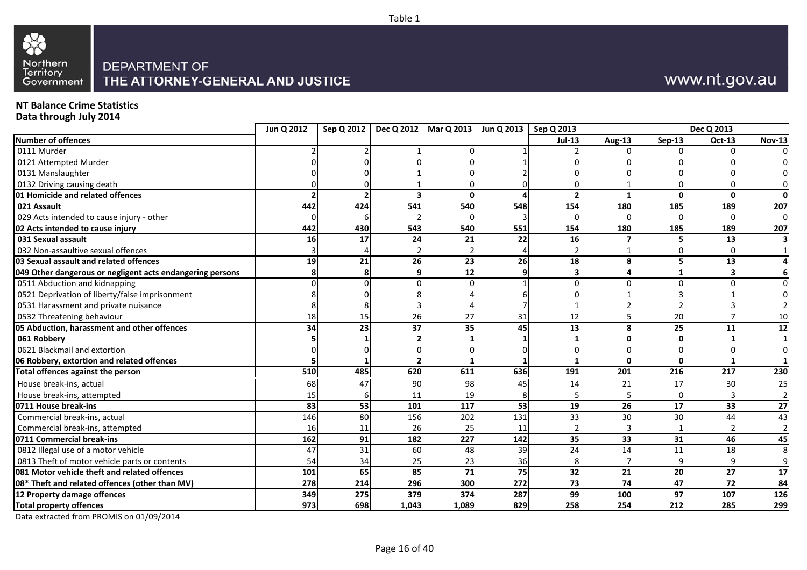



## www.nt.gov.au

## **NT Balance Crime Statistics**

**Data through July 2014**

|                                                           | Jun Q 2012 |     |           | Sep Q 2012   Dec Q 2012   Mar Q 2013 | Jun Q 2013   Sep Q 2013 |                         |               |                 | Dec Q 2013              |                       |
|-----------------------------------------------------------|------------|-----|-----------|--------------------------------------|-------------------------|-------------------------|---------------|-----------------|-------------------------|-----------------------|
| <b>Number of offences</b>                                 |            |     |           |                                      |                         | <b>Jul-13</b>           | <b>Aug-13</b> | <b>Sep-13</b>   | Oct-13                  | <b>Nov-13</b>         |
| 0111 Murder                                               |            |     |           |                                      |                         |                         | $\Omega$      |                 | <sup>0</sup>            |                       |
| 0121 Attempted Murder                                     |            |     |           |                                      |                         |                         |               |                 |                         |                       |
| 0131 Manslaughter                                         |            |     |           |                                      |                         |                         |               |                 |                         |                       |
| 0132 Driving causing death                                |            |     |           |                                      |                         |                         |               |                 |                         |                       |
| 01 Homicide and related offences                          |            |     |           |                                      |                         | $\overline{2}$          |               | ŋ               | $\mathbf{0}$            | O                     |
| 021 Assault                                               | 442        | 424 | 541       | 540                                  | 548                     | 154                     | 180           | 185             | 189                     | 207                   |
| 029 Acts intended to cause injury - other                 |            |     |           |                                      |                         | 0                       | $\Omega$      |                 | 0                       | $\mathbf 0$           |
| 02 Acts intended to cause injury                          | 442        | 430 | 543       | 540                                  | 551                     | 154                     | 180           | 185             | 189                     | 207                   |
| 031 Sexual assault                                        | 16         | 17  | 24        | 21                                   | 22                      | $\overline{16}$         |               |                 | 13                      |                       |
| 032 Non-assaultive sexual offences                        |            |     |           |                                      |                         | 2                       |               |                 | O                       |                       |
| <b>03 Sexual assault and related offences</b>             | 19         | 21  | <b>26</b> | 23                                   | 26                      | 18                      | 8             |                 | 13                      |                       |
| 049 Other dangerous or negligent acts endangering persons |            |     | q         | 12                                   | q                       | $\overline{\mathbf{3}}$ | 4             |                 | $\overline{\mathbf{3}}$ | 6                     |
| 0511 Abduction and kidnapping                             |            |     |           |                                      |                         | $\Omega$                | $\Omega$      |                 |                         |                       |
| 0521 Deprivation of liberty/false imprisonment            |            |     |           |                                      |                         |                         |               |                 |                         |                       |
| 0531 Harassment and private nuisance                      |            |     |           |                                      |                         |                         |               |                 |                         |                       |
| 0532 Threatening behaviour                                | 18         | 15  | 26        | 27                                   | 31                      | 12                      |               | 20              |                         |                       |
| 05 Abduction, harassment and other offences               | 34         | 23  | 37        | 35                                   | 45                      | 13                      | 8             | 25              | 11                      | 12                    |
| 061 Robbery                                               |            |     |           |                                      |                         | 1                       | ŋ             |                 |                         |                       |
| 0621 Blackmail and extortion                              |            |     |           |                                      |                         | Ω                       |               |                 |                         | ŋ                     |
| 06 Robbery, extortion and related offences                |            |     |           |                                      |                         | $\mathbf{1}$            | $\mathbf{0}$  | <sup>0</sup>    |                         |                       |
| Total offences against the person                         | 510        | 485 | 620       | 611                                  | 636                     | 191                     | 201           | 216             | 217                     | 230                   |
| House break-ins, actual                                   | 68         | 47  | 90        | 98                                   | 45                      | 14                      | 21            | 17              | 30                      | 25                    |
| House break-ins, attempted                                | 15         |     | 11        | 19                                   |                         | 5                       | 5             |                 | 3                       |                       |
| 0711 House break-ins                                      | 83         | 53  | 101       | 117                                  | 53                      | 19                      | 26            | 17              | 33                      | 27                    |
| Commercial break-ins, actual                              | 146        | 80  | 156       | 202                                  | 131                     | 33                      | 30            | 30              | 44                      | 43                    |
| Commercial break-ins, attempted                           | 16         | 11  | 26        | 25                                   | 11                      | $\overline{2}$          | 3             |                 |                         |                       |
| 0711 Commercial break-ins                                 | 162        | 91  | 182       | 227                                  | 142                     | 35                      | 33            | 31              | 46                      | 45                    |
| 0812 Illegal use of a motor vehicle                       | 47         | 31  | 60        | 48                                   | 39                      | 24                      | 14            | 11              | 18                      | $\mathsf{\mathsf{R}}$ |
| 0813 Theft of motor vehicle parts or contents             | 54         | 34  | 25        | 23                                   | 36                      | 8                       |               |                 | 9                       |                       |
| 081 Motor vehicle theft and related offences              | 101        | 65  | 85        | $\overline{71}$                      | $\overline{75}$         | 32                      | 21            | $\overline{20}$ | $\overline{27}$         | $\overline{17}$       |
| 08* Theft and related offences (other than MV)            | 278        | 214 | 296       | 300                                  | 272                     | 73                      | 74            | 47              | 72                      | 84                    |
| 12 Property damage offences                               | 349        | 275 | 379       | 374                                  | 287                     | 99                      | 100           | 97              | 107                     | 126                   |
| <b>Total property offences</b>                            | 973        | 698 | 1,043     | 1,089                                | 829                     | 258                     | 254           | 212             | 285                     | 299                   |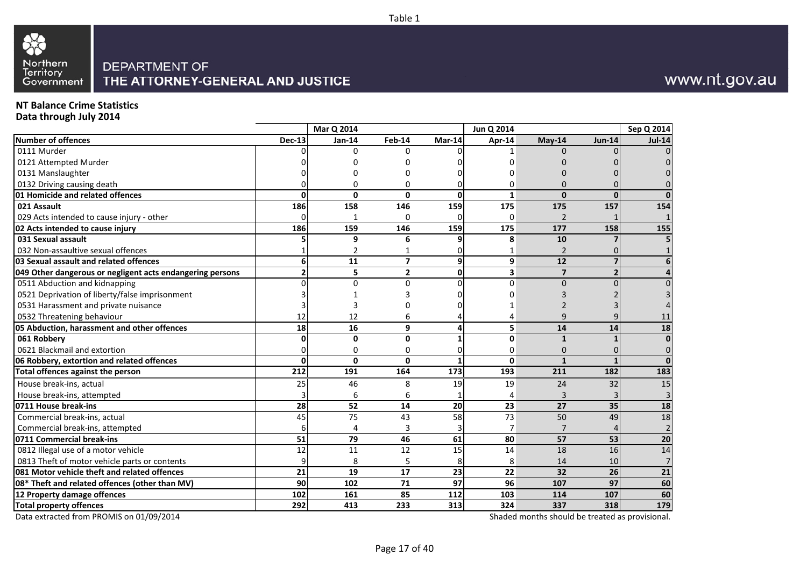



## www.nt.gov.au

## **NT Balance Crime Statistics**

**Data through July 2014**

|                                                           |                 | Mar Q 2014      |                         |                 | Jun Q 2014              |                 |                | Sep Q 2014      |
|-----------------------------------------------------------|-----------------|-----------------|-------------------------|-----------------|-------------------------|-----------------|----------------|-----------------|
| Number of offences                                        | <b>Dec-13</b>   | Jan-14          | <b>Feb-14</b>           | Mar-14          | Apr-14                  | May-14          | <b>Jun-14</b>  | <b>Jul-14</b>   |
| 0111 Murder                                               |                 | 0               | $\Omega$                |                 |                         | $\Omega$        |                | $\overline{0}$  |
| 0121 Attempted Murder                                     |                 |                 |                         |                 |                         |                 |                | $\overline{0}$  |
| 0131 Manslaughter                                         |                 |                 |                         |                 |                         |                 |                | $\overline{0}$  |
| 0132 Driving causing death                                |                 | 0               | $\Omega$                | ŋ               | 0                       | $\Omega$        |                | $\overline{0}$  |
| 01 Homicide and related offences                          | U               | $\Omega$        | $\Omega$                | $\Omega$        | $\mathbf{1}$            | $\Omega$        | $\Omega$       | $\Omega$        |
| 021 Assault                                               | 186             | 158             | 146                     | 159             | 175                     | 175             | 157            | 154             |
| 029 Acts intended to cause injury - other                 |                 |                 | <sup>0</sup>            |                 | $\Omega$                | $\overline{2}$  |                | $\mathbf{1}$    |
| 02 Acts intended to cause injury                          | 186             | 159             | 146                     | 159             | 175                     | 177             | 158            | 155             |
| 031 Sexual assault                                        |                 | 9               | 6                       |                 | 8                       | 10              |                | 5 <sup>1</sup>  |
| 032 Non-assaultive sexual offences                        |                 | 2               |                         |                 | 1                       | 2               |                |                 |
| 03 Sexual assault and related offences                    |                 | 11              | $\overline{\mathbf{z}}$ | 9               | 9                       | 12              |                | 6 <sup>1</sup>  |
| 049 Other dangerous or negligent acts endangering persons |                 | 5               | $\mathbf{2}$            | $\mathbf{0}$    | $\overline{\mathbf{3}}$ | $\overline{7}$  | $\overline{2}$ | $\overline{4}$  |
| 0511 Abduction and kidnapping                             |                 | <sup>o</sup>    | $\Omega$                | $\Omega$        | $\Omega$                | $\Omega$        |                | $\overline{0}$  |
| 0521 Deprivation of liberty/false imprisonment            |                 |                 |                         |                 |                         |                 |                | $\overline{3}$  |
| 0531 Harassment and private nuisance                      |                 |                 |                         |                 |                         |                 |                | 4               |
| 0532 Threatening behaviour                                | 12              | 12              | 6                       |                 |                         | 9               |                | $11\,$          |
| 05 Abduction, harassment and other offences               | 18              | 16              | 9                       | Δ               | 5                       | 14              | 14             | 18              |
| 061 Robbery                                               |                 | 0               | 0                       |                 | 0                       | $\mathbf{1}$    |                | $\mathbf{0}$    |
| 0621 Blackmail and extortion                              |                 | 0               | $\Omega$                | C               | 0                       | 0               |                | $\overline{0}$  |
| 06 Robbery, extortion and related offences                | O               | $\Omega$        | $\Omega$                |                 | $\Omega$                | $\mathbf{1}$    |                | $\Omega$        |
| Total offences against the person                         | 212             | 191             | 164                     | 173             | 193                     | 211             | 182            | 183             |
| House break-ins, actual                                   | 25              | 46              | 8                       | 19              | 19                      | 24              | 32             | 15              |
| House break-ins, attempted                                |                 | 6               | 6                       |                 | 4                       | 3               |                | $\overline{3}$  |
| 0711 House break-ins                                      | 28              | 52              | 14                      | 20              | 23                      | 27              | 35             | 18              |
| Commercial break-ins, actual                              | 45              | 75              | 43                      | 58              | 73                      | 50              | 49             | $18\,$          |
| Commercial break-ins, attempted                           | 6               | 4               | 3                       |                 | 7                       | $\overline{7}$  | $\Delta$       | $\overline{2}$  |
| 0711 Commercial break-ins                                 | 51              | 79              | 46                      | 61              | 80                      | 57              | 53             | 20              |
| 0812 Illegal use of a motor vehicle                       | 12              | 11              | 12                      | 15              | 14                      | 18              | 16             | 14              |
| 0813 Theft of motor vehicle parts or contents             |                 | 8               |                         |                 | 8                       | 14              | 10             | $\overline{7}$  |
| 081 Motor vehicle theft and related offences              | $\overline{21}$ | $\overline{19}$ | $\overline{17}$         | $\overline{23}$ | $\overline{22}$         | $\overline{32}$ | 26             | $\overline{21}$ |
| 08* Theft and related offences (other than MV)            | 90              | 102             | 71                      | 97              | 96                      | 107             | 97             | 60              |
| 12 Property damage offences                               | 102             | 161             | 85                      | 112             | 103                     | 114             | 107            | 60              |
| <b>Total property offences</b>                            | 292             | 413             | 233                     | 313             | 324                     | 337             | 318            | 179             |

Data extracted from PROMIS on 01/09/2014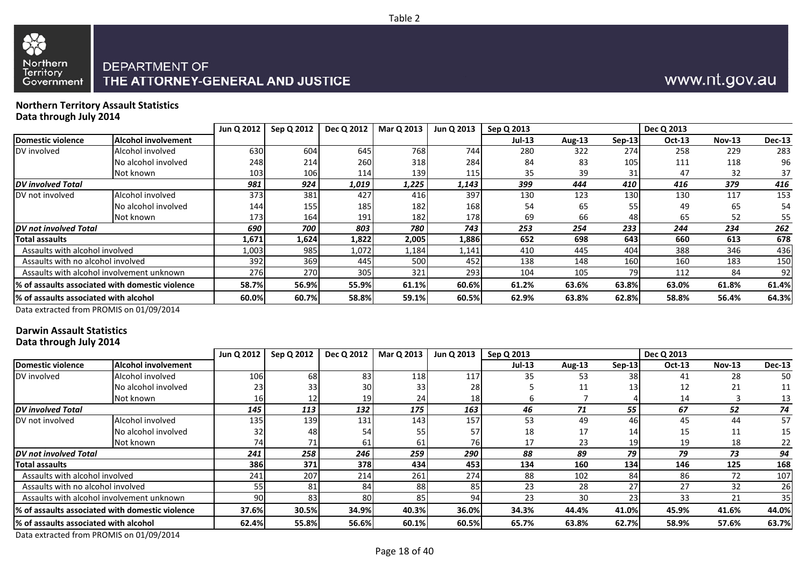



# THE ATTORNEY-GENERAL AND JUSTICE

#### **Northern Territory Assault StatisticsData through July 2014**

|                                        |                                                  | Jun Q 2012 | Sep Q 2012 | Dec Q 2012 | <b>Mar Q 2013</b> | Jun Q 2013 | Sep Q 2013    |        |          | Dec Q 2013    |          |               |
|----------------------------------------|--------------------------------------------------|------------|------------|------------|-------------------|------------|---------------|--------|----------|---------------|----------|---------------|
| Domestic violence                      | <b>Alcohol involvement</b>                       |            |            |            |                   |            | <b>Jul-13</b> | Aug-13 | $Sep-13$ | <b>Oct-13</b> | $Nov-13$ | <b>Dec-13</b> |
| DV involved                            | Alcohol involved                                 | 630        | 604        | 645        | 768               | 744        | 280           | 322    | 274      | 258           | 229      | 283           |
|                                        | No alcohol involved                              | 248        | 214        | 260        | 318               | 284        | 84            | 83     | 105      | 111           | 118      | 96            |
|                                        | Not known                                        | 103        | 106        | 114        | 139 <b>1</b>      | 115        | 35            | 39     | 31       | 47            | 32       | 37            |
| <b>DV</b> involved Total               |                                                  | 981        | 924        | 1,019      | 1,225             | 1,143      | 399           | 444    | 410      | 416           | 379      | 416           |
| DV not involved                        | Alcohol involved                                 | 373        | 381        | 427        | 416               | 397        | 130           | 123    | 130      | 130           | 117      | 153           |
|                                        | No alcohol involved                              | 144        | 155        | 185        | 182               | 168        | 54            | 65     | 55       | 49            | 65       | 54            |
|                                        | Not known                                        | 173        | 164        | 191        | 182               | 178        | 69            | 66     | 48       | 65            | 52       | 55            |
| <b>IDV</b> not involved Total          |                                                  | 690        | 700        | 803        | 780               | 743        | 253           | 254    | 233      | 244           | 234      | 262           |
| <b>Total assaults</b>                  |                                                  | 1,671      | 1,624      | 1,822      | 2,005             | 1,886      | 652           | 698    | 643      | 660           | 613      | 678           |
| Assaults with alcohol involved         |                                                  | 1,003      | 985        | 1,072      | 1,184             | 1,141      | 410           | 445    | 404      | 388           | 346      | 436           |
| Assaults with no alcohol involved      |                                                  | 392        | 369        | 445        | 500               | 452        | 138           | 148    | 160      | 160           | 183      | 150           |
|                                        | Assaults with alcohol involvement unknown        | 276        | 270        | 305        | 321               | 293        | 104           | 105    | 79       | 112           | 84       | 92            |
|                                        | 1% of assaults associated with domestic violence | 58.7%      | 56.9%      | 55.9%      | 61.1%             | 60.6%      | 61.2%         | 63.6%  | 63.8%    | 63.0%         | 61.8%    | 61.4%         |
| 1% of assaults associated with alcohol |                                                  | 60.0%      | 60.7%      | 58.8%      | 59.1%             | 60.5%      | 62.9%         | 63.8%  | 62.8%    | 58.8%         | 56.4%    | 64.3%         |

Data extracted from PROMIS on 01/09/2014

#### **Darwin Assault StatisticsData through July 2014**

|                                       |                                                  | Jun Q 2012 | Sep Q 2012 | Dec Q 2012 | Mar Q 2013 | Jun Q 2013 | Sep Q 2013 |        |          | Dec Q 2013    |               |               |
|---------------------------------------|--------------------------------------------------|------------|------------|------------|------------|------------|------------|--------|----------|---------------|---------------|---------------|
| Domestic violence                     | <b>Alcohol involvement</b>                       |            |            |            |            |            | $Jul-13$   | Aug-13 | $Sep-13$ | <b>Oct-13</b> | <b>Nov-13</b> | <b>Dec-13</b> |
| DV involved                           | Alcohol involved                                 | 106        | 68         | 83         | 118        | 117        | 35         | 53     | 38       | 41            | 28            | 50            |
|                                       | No alcohol involved                              |            | 331        | 30         | 33         | 28         |            |        | 13       | 12            | 21            | 11            |
|                                       | Not known                                        | 16         |            | 19         | 24         | 18         |            |        |          | 14            |               | 13            |
| <b>DV</b> involved Total              |                                                  | 145        | 113        | 132        | 175        | 163        | 46         | 71     | 55       | 67            | 52            | 74            |
| DV not involved                       | Alcohol involved                                 | 135        | 139        | 131        | 143        | 157        | 53         | 49     | 46       | 45            | 44            | 57            |
|                                       | No alcohol involved                              |            | 48         | 54         | 55         | 57         | 18         | 17     | 14       | 15            | 11            | 15            |
|                                       | Not known                                        | 741        | 71         | 61         | 61         | <b>76</b>  | 17         | 23     | 19       | 19            | 18            | 22            |
| <b>DV</b> not involved Total          |                                                  | 241        | 258        | 246        | 259        | 290        | 88         | 89     | 79       | 79            | 73            | 94            |
| Total assaults                        |                                                  | 386        | 371        | 378        | 434        | 453        | 134        | 160    | 134      | 146           | 125           | 168           |
| Assaults with alcohol involved        |                                                  | 241        | 207        | 214        | 261        | 274        | 88         | 102    | 84       | 86            | 72            | 107           |
| Assaults with no alcohol involved     |                                                  | 55         | 81         | 84         | 88         | 85         | 23         | 28     | 27       | 27            | 32            | 26            |
|                                       | Assaults with alcohol involvement unknown        | 90.        | 83         | 80         | 85         | 94         | 23         | 30     | 23       | 33            | 21            | 35            |
|                                       | l% of assaults associated with domestic violence | 37.6%      | 30.5%      | 34.9%      | 40.3%      | 36.0%      | 34.3%      | 44.4%  | 41.0%    | 45.9%         | 41.6%         | 44.0%         |
| % of assaults associated with alcohol |                                                  | 62.4%      | 55.8%      | 56.6%      | 60.1%      | 60.5%      | 65.7%      | 63.8%  | 62.7%    | 58.9%         | 57.6%         | 63.7%         |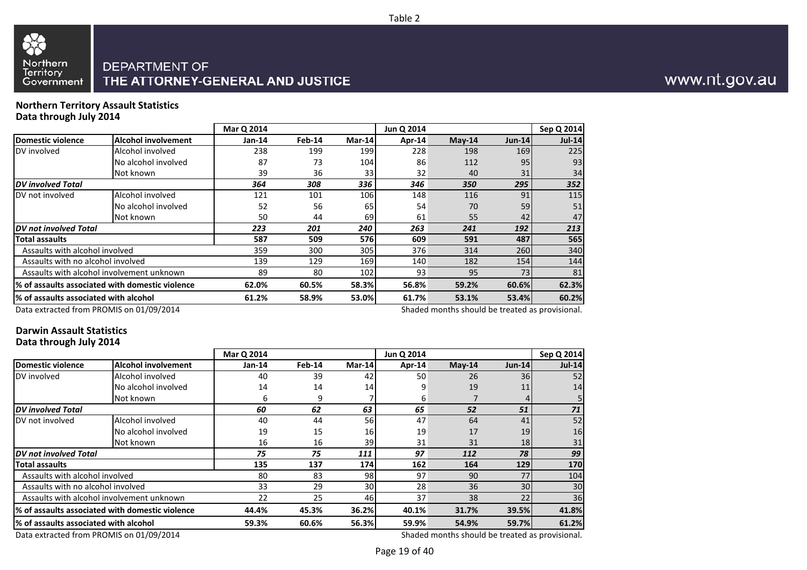

#### **Northern Territory Assault StatisticsData through July 2014**

|                                        |                                                  | Mar Q 2014 |        |        | Jun Q 2014 |          |               | Sep Q 2014    |
|----------------------------------------|--------------------------------------------------|------------|--------|--------|------------|----------|---------------|---------------|
| Domestic violence                      | <b>Alcohol involvement</b>                       | Jan-14     | Feb-14 | Mar-14 | Apr-14     | $May-14$ | <b>Jun-14</b> | <b>Jul-14</b> |
| DV involved                            | Alcohol involved                                 | 238        | 199    | 199    | 228        | 198      | 169           | 225           |
|                                        | No alcohol involved                              | 87         | 73     | 104    | 86         | 112      | 95            | 93            |
|                                        | Not known                                        | 39         | 36     | 33     | 32         | 40       | 31            | 34            |
| <b>DV</b> involved Total               |                                                  | 364        | 308    | 336    | 346        | 350      | 295           | 352           |
| DV not involved                        | Alcohol involved                                 | 121        | 101    | 106    | 148        | 116      | 91            | 115           |
|                                        | No alcohol involved                              | 52         | 56     | 65     | 54         | 70       | 59            | 51            |
|                                        | Not known                                        | 50         | 44     | 69     | 61         | 55       | 42            | 47            |
| <b>DV</b> not involved Total           |                                                  | 223        | 201    | 240    | 263        | 241      | 192           | 213           |
| <b>Total assaults</b>                  |                                                  | 587        | 509    | 576    | 609        | 591      | 487           | 565           |
| Assaults with alcohol involved         |                                                  | 359        | 300    | 305    | 376        | 314      | 260           | 340           |
| Assaults with no alcohol involved      |                                                  | 139        | 129    | 169    | 140        | 182      | 154           | 144           |
|                                        | Assaults with alcohol involvement unknown        | 89         | 80     | 102    | 93         | 95       | 73            | 81            |
|                                        | l% of assaults associated with domestic violence | 62.0%      | 60.5%  | 58.3%  | 56.8%      | 59.2%    | 60.6%         | 62.3%         |
| l% of assaults associated with alcohol |                                                  | 61.2%      | 58.9%  | 53.0%  | 61.7%      | 53.1%    | 53.4%         | 60.2%         |
|                                        |                                                  |            |        |        |            |          |               |               |

Data extracted from PROMIS on 01/09/2014

Shaded months should be treated as provisional.

#### **Darwin Assault StatisticsData through July 2014**

|                                        |                                                  | Mar Q 2014 |          |                 | Jun Q 2014 |          |                 | Sep Q 2014    |
|----------------------------------------|--------------------------------------------------|------------|----------|-----------------|------------|----------|-----------------|---------------|
| Domestic violence                      | <b>Alcohol involvement</b>                       | $Jan-14$   | $Feb-14$ | Mar-14          | Apr-14     | $May-14$ | <b>Jun-14</b>   | <b>Jul-14</b> |
| DV involved                            | Alcohol involved                                 | 40         | 39       | 42              | 50         | 26       | 36 <sup>l</sup> | 52            |
|                                        | No alcohol involved                              | 14         | 14       | 14              | 9          | 19       | 11              | 14            |
|                                        | Not known                                        | 6          | 9        |                 | 6          |          |                 |               |
| <b>DV</b> involved Total               |                                                  | 60         | 62       | 63              | 65         | 52       | 51              | 71            |
| DV not involved                        | Alcohol involved                                 | 40         | 44       | 56              | 47         | 64       | 41              | 52            |
|                                        | No alcohol involved                              | 19         | 15       | <b>16</b>       | 19         | 17       | 19              | 16            |
|                                        | Not known                                        | 16         | 16       | 39              | 31         | 31       | 18              | 31            |
| <b>DV</b> not involved Total           |                                                  | 75         | 75       | 111             | 97         | 112      | 78              | 99            |
| Total assaults                         |                                                  | 135        | 137      | <b>174</b>      | 162        | 164      | <b>129</b>      | 170           |
| Assaults with alcohol involved         |                                                  | 80         | 83       | 98              | 97         | 90       | 77              | 104           |
| Assaults with no alcohol involved      |                                                  | 33         | 29       | 30 <sup>1</sup> | 28         | 36       | 30 <sup>l</sup> | 30            |
|                                        | Assaults with alcohol involvement unknown        | 22         | 25       | 46              | 37         | 38       | 22              | 36            |
|                                        | 1% of assaults associated with domestic violence | 44.4%      | 45.3%    | 36.2%           | 40.1%      | 31.7%    | 39.5%           | 41.8%         |
| 1% of assaults associated with alcohol |                                                  | 59.3%      | 60.6%    | 56.3%           | 59.9%      | 54.9%    | 59.7%           | 61.2%         |

Data extracted from PROMIS on 01/09/2014

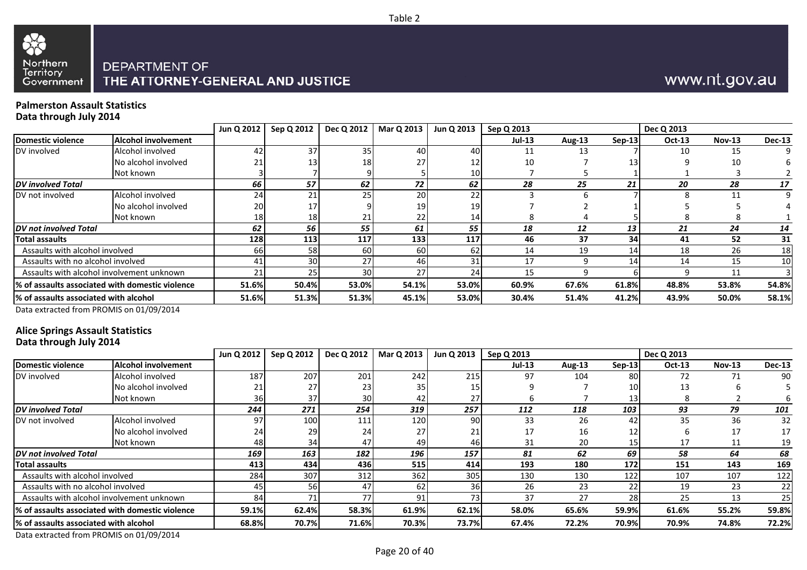



## www.nt.gov.au

#### **Palmerston Assault StatisticsData through July 2014**

|                                        |                                                  | Jun Q 2012 | Sep Q 2012 | Dec Q 2012 | Mar Q 2013 | Jun Q 2013      | Sep Q 2013 |               |          | Dec Q 2013 |          |               |
|----------------------------------------|--------------------------------------------------|------------|------------|------------|------------|-----------------|------------|---------------|----------|------------|----------|---------------|
| Domestic violence                      | <b>Alcohol involvement</b>                       |            |            |            |            |                 | $Jul-13$   | <b>Aug-13</b> | $Sep-13$ | Oct-13     | $Nov-13$ | <b>Dec-13</b> |
| DV involved                            | Alcohol involved                                 | 42         | 37         | 35         | 40         | 40              | 11         |               |          | 10         | 15       |               |
|                                        | No alcohol involved                              |            |            | 18         | 27         | 12 <sub>1</sub> | 10         |               |          |            | 10       |               |
|                                        | Not known                                        |            |            |            |            | 10 <sup>1</sup> |            |               |          |            |          |               |
| DV involved Total                      |                                                  | 66         | 57         | 62         | 72         | 62              | 28         | 25            | 21       | 20         | 28       | 17            |
| DV not involved                        | Alcohol involved                                 | 24         |            | 25         | 20         | 22              |            |               |          |            |          |               |
|                                        | No alcohol involved                              | 20         | 17         |            | 19         | 19 <sup>l</sup> |            |               |          |            |          |               |
|                                        | Not known                                        | 18         | 18         | 21         | 22         | 14 <sub>l</sub> |            |               |          |            |          |               |
| DV not involved Total                  |                                                  | 62         | 56         | 55         | 61         | 55              | 18         | 12            | 13       | 21         | 24       | 14            |
| <b>Total assaults</b>                  |                                                  | 128        | 113        | 117        | 133        | 117             | 46         | 37            | 34       | 41         | 52       | 31            |
| Assaults with alcohol involved         |                                                  | <b>66</b>  | 58         | 60I        | 60         | 62              | 14         | 19            | 14       | 18         | 26       | 18            |
| Assaults with no alcohol involved      |                                                  | 41         | 30         | 27         | 46         | 31              | 17         |               | 14.      | 14         | 15       | 10            |
|                                        | Assaults with alcohol involvement unknown        | 21         |            | 30         | 27         | 24              | 15         |               |          |            |          |               |
|                                        | 1% of assaults associated with domestic violence | 51.6%      | 50.4%      | 53.0%      | 54.1%      | 53.0%           | 60.9%      | 67.6%         | 61.8%    | 48.8%      | 53.8%    | 54.8%         |
| 1% of assaults associated with alcohol |                                                  | 51.6%      | 51.3%      | 51.3%      | 45.1%      | 53.0%           | 30.4%      | 51.4%         | 41.2%    | 43.9%      | 50.0%    | 58.1%         |

Data extracted from PROMIS on 01/09/2014

#### **Alice Springs Assault StatisticsData through July 2014**

|                                        |                                                 | Jun Q 2012 | Sep Q 2012 | Dec Q 2012 | Mar Q 2013     | Jun Q 2013 | Sep Q 2013 |        |                 | Dec Q 2013 |               |               |
|----------------------------------------|-------------------------------------------------|------------|------------|------------|----------------|------------|------------|--------|-----------------|------------|---------------|---------------|
| Domestic violence                      | <b>Alcohol involvement</b>                      |            |            |            |                |            | $Jul-13$   | Aug-13 | $Sep-13$        | $Oct-13$   | <b>Nov-13</b> | <b>Dec-13</b> |
| DV involved                            | Alcohol involved                                | 187        | 207        | 201        | 242            | 215        | 97         | 104    | 80              | 72         | 71            | 90            |
|                                        | No alcohol involved                             | 21         | 27         | 23         | 35 I           | 15         |            |        | 10              | 13         |               |               |
|                                        | Not known                                       | 36         | 37         | 30I        | 42             | 27         |            |        | 13              | 8          |               |               |
| <b>DV</b> involved Total               |                                                 | 244        | 271        | 254        | 319            | 257        | 112        | 118    | 103             | 93         | 79            | 101           |
| DV not involved                        | Alcohol involved                                | 97         | 100        | 111        | 120            | 90         | 33         | 26     | 42              | 35         | 36            | 32            |
|                                        | No alcohol involved                             | 24         | 29         | 24         | 27             |            |            | 16     |                 |            |               | 17            |
|                                        | Not known                                       | 48         | 34         | 47         | 49             | 46         | 31         | 20     | 15              | 17         | 11            | 19            |
| DV not involved Total                  |                                                 | 169        | 163        | 182        | 196            | 157        | 81         | 62     | 69              | 58         | 64            | 68            |
| Total assaults                         |                                                 | 413        | 434        | 436        | 515            | 414        | 193        | 180    | 172             | 151        | 143           | 169           |
| Assaults with alcohol involved         |                                                 | 284        | 307        | 312        | 362            | 305        | 130        | 130    | 122             | 107        | 107           | 122           |
| Assaults with no alcohol involved      |                                                 | 45         | 56         | 47         | 62             | 36         | 26         | 23     | 22 <sub>1</sub> | 19         | 23            | 22            |
|                                        | Assaults with alcohol involvement unknown       | 84         | 71         |            | Q <sub>1</sub> | 73         | 37         | 27     | 28              | 25         | 13            | 25            |
|                                        | % of assaults associated with domestic violence | 59.1%      | 62.4%      | 58.3%      | 61.9%          | 62.1%      | 58.0%      | 65.6%  | 59.9%           | 61.6%      | 55.2%         | 59.8%         |
| l% of assaults associated with alcohol |                                                 | 68.8%      | 70.7%      | 71.6%      | 70.3%          | 73.7%      | 67.4%      | 72.2%  | 70.9%           | 70.9%      | 74.8%         | 72.2%         |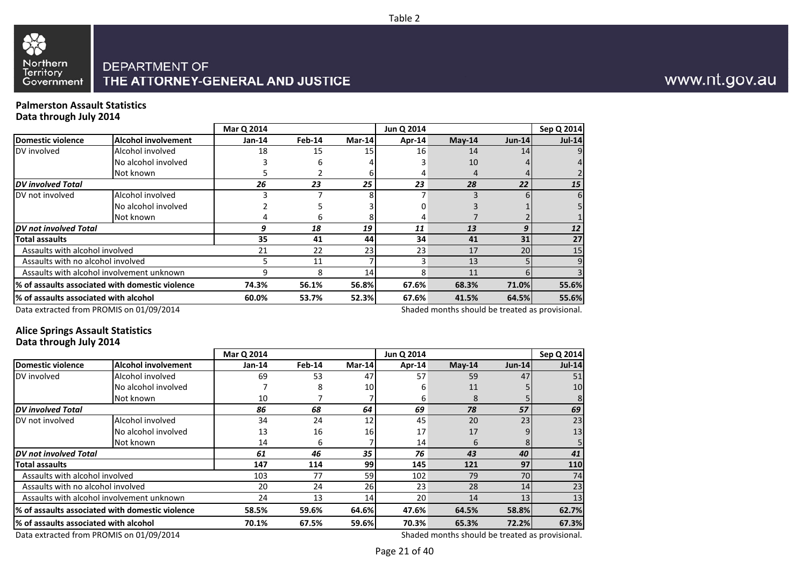



#### **Palmerston Assault StatisticsData through July 2014**

|                                        |                                                  | Mar Q 2014 |        |                 | Jun Q 2014 |          |                 |            |
|----------------------------------------|--------------------------------------------------|------------|--------|-----------------|------------|----------|-----------------|------------|
|                                        |                                                  |            |        |                 |            |          |                 | Sep Q 2014 |
| Domestic violence                      | Alcohol involvement                              | $Jan-14$   | Feb-14 | Mar-14          | Apr-14     | $May-14$ | $Jun-14$        | $Jul-14$   |
| DV involved                            | Alcohol involved                                 | 18         | 15     | 15 <sup>1</sup> | 16         | 14       | 14              | 9          |
|                                        | No alcohol involved                              |            |        |                 |            | 10       |                 |            |
|                                        | Not known                                        |            |        |                 | 4          | 4        |                 |            |
| <b>DV</b> involved Total               |                                                  | 26         | 23     | 25              | 23         | 28       | 22              | 15         |
| DV not involved                        | Alcohol involved                                 |            |        | Զ               |            |          |                 | 6          |
|                                        | No alcohol involved                              |            |        |                 |            |          |                 |            |
|                                        | Not known                                        |            | ь      |                 | 4          |          |                 |            |
| DV not involved Total                  |                                                  | 9          | 18     | 19              | 11         | 13       | 9               | 12         |
| <b>Total assaults</b>                  |                                                  | 35         | 41     | 44              | 34         | 41       | 31              | 27         |
| Assaults with alcohol involved         |                                                  | 21         | 22     | 23              | 23         | 17       | 20 <sup>1</sup> | 15         |
| Assaults with no alcohol involved      |                                                  |            | 11     |                 | 3          | 13       |                 | 9          |
|                                        | Assaults with alcohol involvement unknown        |            | 8      | 14              | 8          | 11       |                 |            |
|                                        | 1% of assaults associated with domestic violence | 74.3%      | 56.1%  | 56.8%           | 67.6%      | 68.3%    | 71.0%           | 55.6%      |
| 1% of assaults associated with alcohol |                                                  | 60.0%      | 53.7%  | 52.3%           | 67.6%      | 41.5%    | 64.5%           | 55.6%      |
|                                        |                                                  |            |        |                 |            |          |                 |            |

Data extracted from PROMIS on 01/09/2014

Shaded months should be treated as provisional.

#### **Alice Springs Assault StatisticsData through July 2014**

|                                        |                                                  | Mar Q 2014 |        |        | Jun Q 2014 |          |          | Sep Q 2014    |
|----------------------------------------|--------------------------------------------------|------------|--------|--------|------------|----------|----------|---------------|
| Domestic violence                      | <b>Alcohol involvement</b>                       | $Jan-14$   | Feb-14 | Mar-14 | Apr-14     | $May-14$ | $Jun-14$ | <b>Jul-14</b> |
| DV involved                            | Alcohol involved                                 | 69         | 53     | 47     | 57         | 59       | 47       | 51            |
|                                        | No alcohol involved                              |            | 8      | 10     | 6          | 11       |          | 10            |
|                                        | Not known                                        | 10         |        |        | 6          | 8        |          |               |
| <b>DV</b> involved Total               |                                                  | 86         | 68     | 64     | 69         | 78       | 57       | 69            |
| DV not involved                        | Alcohol involved                                 | 34         | 24     | 12     | 45         | 20       | 23       | 23            |
|                                        | No alcohol involved                              | 13         | 16     | 16     | 17         | 17       |          | 13            |
|                                        | Not known                                        | 14         | 6      |        | 14         | 6        |          |               |
| <b>DV</b> not involved Total           |                                                  | 61         | 46     | 35     | 76         | 43       | 40       | 41            |
| <b>Total assaults</b>                  |                                                  | 147        | 114    | 99     | 145        | 121      | 97       | 110           |
| Assaults with alcohol involved         |                                                  | 103        | 77     | 59     | 102        | 79       | 70       | 74            |
| Assaults with no alcohol involved      |                                                  | 20         | 24     | 26     | 23         | 28       | 14       | 23            |
|                                        | Assaults with alcohol involvement unknown        | 24         | 13     | 14     | 20         | 14       | 13       | 13            |
|                                        | l% of assaults associated with domestic violence | 58.5%      | 59.6%  | 64.6%  | 47.6%      | 64.5%    | 58.8%    | 62.7%         |
| 1% of assaults associated with alcohol |                                                  | 70.1%      | 67.5%  | 59.6%  | 70.3%      | 65.3%    | 72.2%    | 67.3%         |
|                                        |                                                  |            |        |        |            |          |          |               |

Data extracted from PROMIS on 01/09/2014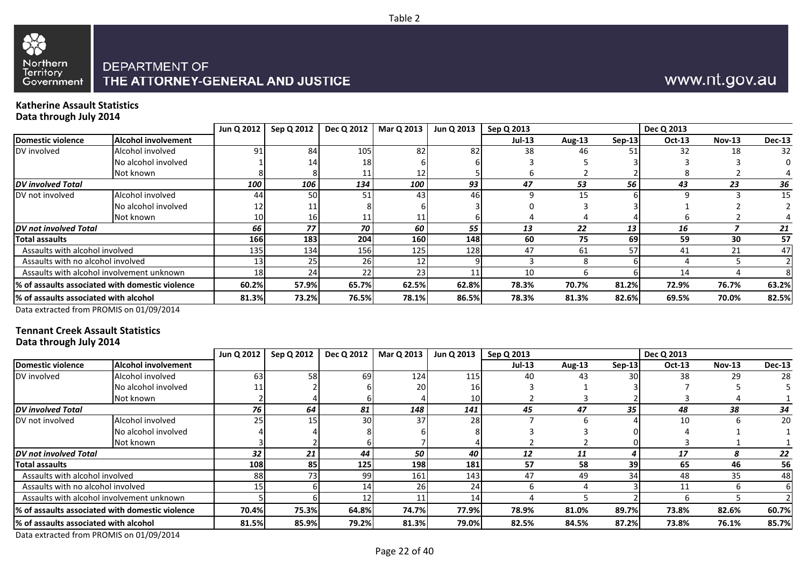

## www.nt.gov.au

#### **Katherine Assault StatisticsData through July 2014**

|                                        |                                                  | Jun Q 2012 | Sep Q 2012 | Dec Q 2012 | Mar Q 2013 | Jun Q 2013 | Sep Q 2013 |               |        | Dec Q 2013    |               |               |
|----------------------------------------|--------------------------------------------------|------------|------------|------------|------------|------------|------------|---------------|--------|---------------|---------------|---------------|
| Domestic violence                      | <b>Alcohol involvement</b>                       |            |            |            |            |            | $Jul-13$   | <b>Aug-13</b> | Sep-13 | <b>Oct-13</b> | <b>Nov-13</b> | <b>Dec-13</b> |
| DV involved                            | Alcohol involved                                 | 91         | 84         | 105        | 82         | 82         | 38         | 46            |        | 32            | 18            | 32            |
|                                        | No alcohol involved                              |            | 14         | 18         |            |            |            |               |        |               |               |               |
|                                        | Not known                                        |            |            | 11         |            |            |            |               |        |               |               |               |
| <b>DV</b> involved Total               |                                                  | 100        | 106        | 134        | 100        | 93         | 47         | 53            | 56     | 43            | 23            | 36            |
| <b>IDV</b> not involved                | Alcohol involved                                 | 44         | 50         | 51         | 43         | 46         |            | 15            |        |               |               | 15            |
|                                        | No alcohol involved                              |            |            |            |            |            |            |               |        |               |               |               |
|                                        | Not known                                        |            | 16         | 11         |            |            |            |               |        |               |               |               |
| <b>IDV</b> not involved Total          |                                                  | 66         | 77         | 70         | 60         | 55         | 13         | 22            | 13     | 16            |               | 21            |
| Total assaults                         |                                                  | 166        | 183        | 204        | 160        | 148        | 60         | 75            | 69     | 59            | 30            | 57            |
| Assaults with alcohol involved         |                                                  | 135        | 134        | 156        | 125        | 128        | 47         | 61            | 57     | 41            | 21            | 47            |
| Assaults with no alcohol involved      |                                                  |            |            | 261        |            |            |            |               |        |               |               |               |
|                                        | Assaults with alcohol involvement unknown        |            |            | 22         | 23         |            | 10         |               |        | 14            |               |               |
|                                        | 1% of assaults associated with domestic violence | 60.2%      | 57.9%      | 65.7%      | 62.5%      | 62.8%      | 78.3%      | 70.7%         | 81.2%  | 72.9%         | 76.7%         | 63.2%         |
| 1% of assaults associated with alcohol |                                                  | 81.3%      | 73.2%      | 76.5%      | 78.1%      | 86.5%      | 78.3%      | 81.3%         | 82.6%  | 69.5%         | 70.0%         | 82.5%         |

Table 2

Data extracted from PROMIS on 01/09/2014

#### **Tennant Creek Assault StatisticsData through July 2014**

|                                       |                                                  | Jun Q 2012 | Sep Q 2012 | <b>Dec Q 2012</b> | Mar Q 2013 | Jun Q 2013 | Sep Q 2013    |        |          | Dec Q 2013    |               |               |
|---------------------------------------|--------------------------------------------------|------------|------------|-------------------|------------|------------|---------------|--------|----------|---------------|---------------|---------------|
| Domestic violence                     | <b>Alcohol involvement</b>                       |            |            |                   |            |            | <b>Jul-13</b> | Aug-13 | $Sep-13$ | <b>Oct-13</b> | <b>Nov-13</b> | <b>Dec-13</b> |
| DV involved                           | Alcohol involved                                 | 631        | 58         | 69                | 124        | 115        | 40            | 43     | 30       | 38            | 29            | 28            |
|                                       | No alcohol involved                              |            |            |                   | 20         | 16         |               |        |          |               |               |               |
|                                       | Not known                                        |            |            |                   |            | 10         |               |        |          |               |               |               |
| DV involved Total                     |                                                  | 76         | 64         | 81                | 148        | 141        | 45            | 47     | 35       | 48            | 38            | 34            |
| DV not involved                       | Alcohol involved                                 |            |            | 30                | 37         | 28         |               |        |          | 10            |               | 20            |
|                                       | No alcohol involved                              |            |            |                   |            |            |               |        |          |               |               |               |
|                                       | Not known                                        |            |            |                   |            |            |               |        |          |               |               |               |
| DV not involved Total                 |                                                  | 32         | 21         | 44                | 50         | 40         | 12            | 11     |          | 17            |               | 22            |
| Total assaults                        |                                                  | 108        | 85         | 125               | 198        | 181        | 57            | 58     | 39       | 65            | 46            | 56            |
| Assaults with alcohol involved        |                                                  | 88         |            | 99                | 161        | 143        | 47            | 49     | 34       | 48            | 35            | 48            |
| Assaults with no alcohol involved     |                                                  |            |            | 14                | 261        | 24         |               |        |          | 11            |               | 6             |
|                                       | Assaults with alcohol involvement unknown        |            |            |                   |            | 14         |               |        |          |               |               |               |
|                                       | l% of assaults associated with domestic violence | 70.4%      | 75.3%      | 64.8%             | 74.7%      | 77.9%      | 78.9%         | 81.0%  | 89.7%    | 73.8%         | 82.6%         | 60.7%         |
| % of assaults associated with alcohol |                                                  | 81.5%      | 85.9%      | 79.2%             | 81.3%      | 79.0%      | 82.5%         | 84.5%  | 87.2%    | 73.8%         | 76.1%         | 85.7%         |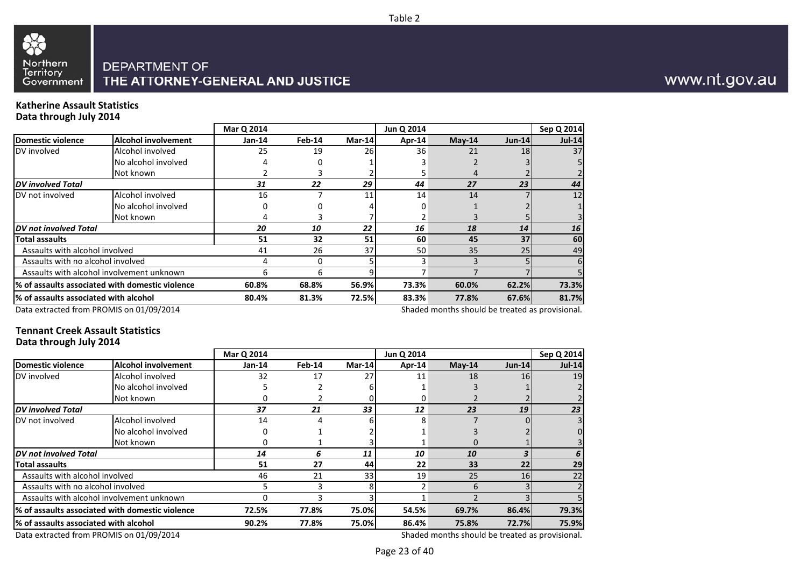

#### Northern<br>Territory **DEPARTMENT OF** THE ATTORNEY-GENERAL AND JUSTICE Government

#### **Katherine Assault StatisticsData through July 2014**

88

|                                        |                                                  | Mar Q 2014 |          |        | Jun Q 2014 |              |               | Sep Q 2014    |
|----------------------------------------|--------------------------------------------------|------------|----------|--------|------------|--------------|---------------|---------------|
| Domestic violence                      | <b>Alcohol involvement</b>                       | $Jan-14$   | $Feb-14$ | Mar-14 | Apr-14     | $May-14$     | <b>Jun-14</b> | <b>Jul-14</b> |
| DV involved                            | Alcohol involved                                 | 25         | 19       | 26     | 36         | 21           | 18            | 37            |
|                                        | No alcohol involved                              |            |          |        |            |              |               |               |
|                                        | Not known                                        |            |          |        |            |              |               |               |
| <b>DV</b> involved Total               |                                                  | 31         | 22       | 29     | 44         | 27           | 23            | 44            |
| DV not involved                        | Alcohol involved                                 | 16         |          | 11     | 14         | 14           |               | 12            |
|                                        | No alcohol involved                              |            |          |        |            |              |               |               |
|                                        | Not known                                        |            |          |        |            |              |               |               |
| DV not involved Total                  |                                                  | 20         | 10       | 22     | 16         | 18           | 14            | 16            |
| <b>Total assaults</b>                  |                                                  | 51         | 32       | 51     | 60         | 45           | 37            | 60            |
| Assaults with alcohol involved         |                                                  | 41         | 26       | 37     | 50         | 35           | 25            | 49            |
| Assaults with no alcohol involved      |                                                  |            | $\Omega$ |        | 3          | $\mathbf{a}$ |               | 6             |
|                                        | Assaults with alcohol involvement unknown        | 6          | 6        |        |            |              |               |               |
|                                        | 1% of assaults associated with domestic violence | 60.8%      | 68.8%    | 56.9%  | 73.3%      | 60.0%        | 62.2%         | 73.3%         |
| 1% of assaults associated with alcohol |                                                  | 80.4%      | 81.3%    | 72.5%  | 83.3%      | 77.8%        | 67.6%         | 81.7%         |
|                                        |                                                  |            |          |        |            |              |               |               |

Data extracted from PROMIS on 01/09/2014

Shaded months should be treated as provisional.

#### **Tennant Creek Assault StatisticsData through July 2014**

|                                        |                                                  | Mar Q 2014 |        |        | Jun Q 2014     |          |               | Sep Q 2014 |
|----------------------------------------|--------------------------------------------------|------------|--------|--------|----------------|----------|---------------|------------|
| Domestic violence                      | <b>Alcohol involvement</b>                       | $Jan-14$   | Feb-14 | Mar-14 | Apr-14         | $May-14$ | <b>Jun-14</b> | $Jul-14$   |
| DV involved                            | Alcohol involved                                 | 32         | 17     | 27     | 11             | 18       | 16            | 19         |
|                                        | No alcohol involved                              |            |        |        |                |          |               |            |
|                                        | Not known                                        |            |        |        |                |          |               |            |
| <b>DV</b> involved Total               |                                                  | 37         | 21     | 33     | 12             | 23       | 19            | 23         |
| DV not involved                        | Alcohol involved                                 | 14         |        |        | 8              |          |               | 3          |
|                                        | No alcohol involved                              |            |        |        |                |          |               | 0          |
|                                        | Not known                                        |            |        |        |                |          |               |            |
| DV not involved Total                  |                                                  | 14         | 6      | 11     | 10             | 10       |               | 6          |
| <b>Total assaults</b>                  |                                                  | 51         | 27     | 44     | 22             | 33       | 22            | 29         |
| Assaults with alcohol involved         |                                                  | 46         | 21     | 33     | 19             | 25       | 16I           | 22         |
| Assaults with no alcohol involved      |                                                  |            | 3      | 81     | $\overline{2}$ | 6        |               |            |
|                                        | Assaults with alcohol involvement unknown        | 0          |        |        |                |          |               |            |
|                                        | 1% of assaults associated with domestic violence | 72.5%      | 77.8%  | 75.0%  | 54.5%          | 69.7%    | 86.4%         | 79.3%      |
| 1% of assaults associated with alcohol |                                                  | 90.2%      | 77.8%  | 75.0%  | 86.4%          | 75.8%    | <b>72.7%</b>  | 75.9%      |
|                                        |                                                  |            |        |        |                |          |               |            |

Data extracted from PROMIS on 01/09/2014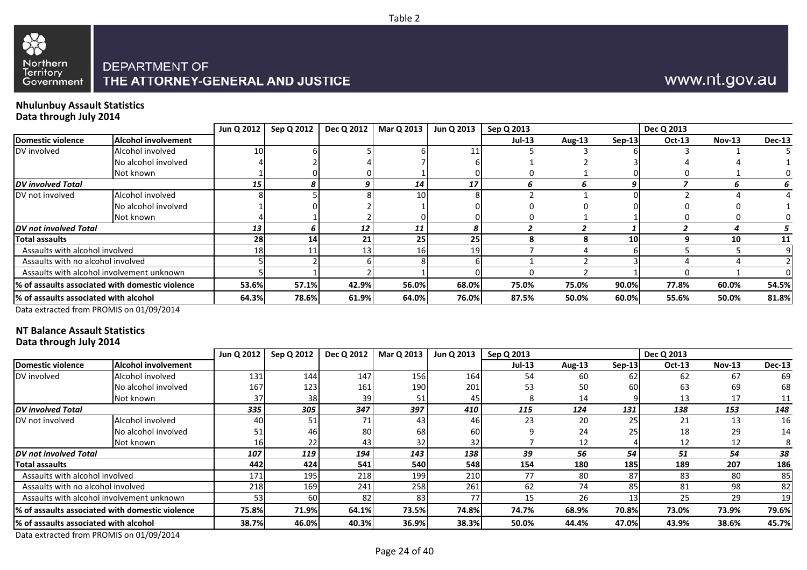



## www.nt.gov.au

#### **Nhulunbuy Assault StatisticsData through July 2014**

|                                        |                                                 | Jun Q 2012 | Sep Q 2012 | Dec Q 2012 | Mar Q 2013 | Jun Q 2013 | Sep Q 2013    |        |           | Dec Q 2013 |               |               |
|----------------------------------------|-------------------------------------------------|------------|------------|------------|------------|------------|---------------|--------|-----------|------------|---------------|---------------|
| Domestic violence                      | <b>Alcohol involvement</b>                      |            |            |            |            |            | <b>Jul-13</b> | Aug-13 | $Sep-13$  | Oct-13     | <b>Nov-13</b> | <b>Dec-13</b> |
| DV involved                            | Alcohol involved                                | <b>10</b>  |            |            |            | 11         |               |        |           |            |               |               |
|                                        | No alcohol involved                             |            |            |            |            |            |               |        |           |            |               |               |
|                                        | Not known                                       |            |            |            |            |            |               |        |           |            |               |               |
| DV involved Total                      |                                                 | 15         |            |            | 14         | 17         |               |        |           |            |               |               |
| DV not involved                        | Alcohol involved                                |            |            |            | <b>10</b>  |            |               |        |           |            |               |               |
|                                        | No alcohol involved                             |            |            |            |            |            |               |        |           |            |               |               |
|                                        | Not known                                       |            |            |            |            |            |               |        |           |            |               |               |
| DV not involved Total                  |                                                 | 13         |            | 12         | 11         |            |               |        |           |            |               |               |
| <b>Total assaults</b>                  |                                                 | 28         | 14         | 21         | <b>25</b>  | 25         |               |        | <b>10</b> |            | 10            | 11            |
| Assaults with alcohol involved         |                                                 | 18I        |            | 13         | <b>16</b>  | 19         |               |        |           |            |               |               |
| Assaults with no alcohol involved      |                                                 |            |            |            |            |            |               |        |           |            |               |               |
|                                        | Assaults with alcohol involvement unknown       |            |            |            |            |            |               |        |           |            |               |               |
|                                        | % of assaults associated with domestic violence | 53.6%      | 57.1%      | 42.9%      | 56.0%      | 68.0%      | 75.0%         | 75.0%  | 90.0%     | 77.8%      | 60.0%         | 54.5%         |
| 1% of assaults associated with alcohol |                                                 | 64.3%      | 78.6%      | 61.9%      | 64.0%      | 76.0%      | 87.5%         | 50.0%  | 60.0%     | 55.6%      | 50.0%         | 81.8%         |

Data extracted from PROMIS on 01/09/2014

#### **NT Balance Assault StatisticsData through July 2014**

|                                           |                                                 | Jun Q 2012 | Sep Q 2012 | Dec Q 2012 | Mar Q 2013      | Jun Q 2013 | Sep Q 2013    |        |          | Dec Q 2013    |               |               |
|-------------------------------------------|-------------------------------------------------|------------|------------|------------|-----------------|------------|---------------|--------|----------|---------------|---------------|---------------|
| <b>Domestic violence</b>                  | <b>Alcohol involvement</b>                      |            |            |            |                 |            | <b>Jul-13</b> | Aug-13 | $Sep-13$ | <b>Oct-13</b> | <b>Nov-13</b> | <b>Dec-13</b> |
| DV involved                               | Alcohol involved                                | 131        | 144        | 147        | 156             | 164        | 54            | 60     | 62       | 62            | 67            | 69            |
|                                           | No alcohol involved                             | 167        | 123        | 161        | 190             | 201        | 53            | 50     | 60       | 63            | 69            | 68            |
|                                           | Not known                                       | 37         | 38         | 39         | 51              | 45         |               | 14     |          | 13            | 17            | 11            |
| <b>DV</b> involved Total                  |                                                 | 335        | 305        | 347        | 397             | 410        | 115           | 124    | 131      | 138           | 153           | 148           |
| DV not involved                           | Alcohol involved                                |            | 51         |            | 43              | 46         | 23            | 20     | 25       | 21            | 13            | 16            |
|                                           | No alcohol involved                             |            | 46         | 80         | 68I             | 60         |               | 24     | 25       | 18            | 29            | 14            |
|                                           | Not known                                       | 16         | 22         | 431        | 32 <sub>l</sub> | 32         |               | 12     |          | 12            | 12            |               |
| DV not involved Total                     |                                                 | 107        | 119        | 194        | 143             | 138        | 39            | 56     | 54       | 51            | 54            | 38            |
| <b>Total assaults</b>                     |                                                 | 442        | 424        | 541        | 540             | 548        | 154           | 180    | 185      | 189           | 207           | 186           |
| Assaults with alcohol involved            |                                                 | 171        | 195        | 218        | 199             | 210        | 77            | -80    | 87       | 83            | 80            | 85            |
| Assaults with no alcohol involved         |                                                 | 218        | 169        | 241        | 258             | 261        | 62            | 74     | 85       | 81            | 98            | 82            |
| Assaults with alcohol involvement unknown |                                                 | 53         | 60         | 82         | 83              | 77         | 15            | 26     | 13       | 25            | 29            | 19            |
|                                           | % of assaults associated with domestic violence | 75.8%      | 71.9%      | 64.1%      | 73.5%           | 74.8%      | 74.7%         | 68.9%  | 70.8%    | 73.0%         | 73.9%         | 79.6%         |
| % of assaults associated with alcohol     |                                                 | 38.7%      | 46.0%      | 40.3%      | 36.9%           | 38.3%      | 50.0%         | 44.4%  | 47.0%    | 43.9%         | 38.6%         | 45.7%         |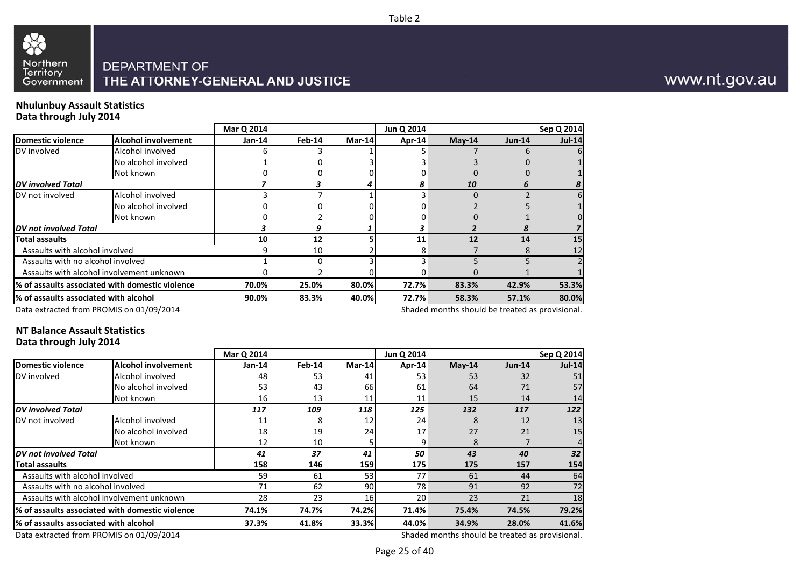



#### **Nhulunbuy Assault StatisticsData through July 2014**

|                                                  | Mar Q 2014 |        |       | Jun Q 2014 |                 |          | Sep Q 2014 |
|--------------------------------------------------|------------|--------|-------|------------|-----------------|----------|------------|
| <b>Alcohol involvement</b>                       | Jan-14     | Feb-14 |       | Apr-14     | $May-14$        | $Jun-14$ | $Jul-14$   |
| Alcohol involved                                 | h          |        |       |            |                 |          |            |
| No alcohol involved                              |            |        |       |            |                 |          |            |
| Not known                                        |            |        |       |            |                 |          |            |
|                                                  |            |        |       | 8          | 10              | 6        |            |
| Alcohol involved                                 |            |        |       |            | $\Omega$        |          |            |
| No alcohol involved                              |            |        |       |            |                 |          |            |
| Not known                                        |            |        |       |            |                 |          |            |
|                                                  |            | 9      |       | 3          |                 |          |            |
|                                                  | 10         | 12     |       | 11         | 12              | 14       | 15         |
| Assaults with alcohol involved                   |            | 10     |       | 8          |                 |          | 12         |
| Assaults with no alcohol involved                |            | 0      |       | R          |                 |          |            |
| Assaults with alcohol involvement unknown        |            | C      |       |            |                 |          |            |
| 1% of assaults associated with domestic violence | 70.0%      | 25.0%  |       | 72.7%      | 83.3%           | 42.9%    | 53.3%      |
| % of assaults associated with alcohol            | 90.0%      | 83.3%  | 40.0% | 72.7%      | 58.3%           | 57.1%    | 80.0%      |
|                                                  |            |        |       |            | Mar-14<br>80.0% |          |            |

Data extracted from PROMIS on 01/09/2014

Shaded months should be treated as provisional.

#### **NT Balance Assault StatisticsData through July 2014**

|                                       |                                                  | Mar Q 2014 |        |        | Jun Q 2014 |          |               | Sep Q 2014 |
|---------------------------------------|--------------------------------------------------|------------|--------|--------|------------|----------|---------------|------------|
| Domestic violence                     | <b>Alcohol involvement</b>                       | Jan-14     | Feb-14 | Mar-14 | Apr-14     | $May-14$ | <b>Jun-14</b> | $Jul-14$   |
| DV involved                           | Alcohol involved                                 | 48         | 53     | 41     | 53         | 53       | 32            | 51         |
|                                       | No alcohol involved                              | 53         | 43     | 66     | 61         | 64       | 71            | 57         |
|                                       | Not known                                        | 16         | 13     | 11     | 11         | 15       | 14            | 14         |
| <b>DV</b> involved Total              |                                                  | 117        | 109    | 118    | 125        | 132      | 117           | 122        |
| DV not involved                       | Alcohol involved                                 | 11         | 8      | 12     | 24         | 8        | 12            | 13         |
|                                       | No alcohol involved                              | 18         | 19     | 24     | 17         | 27       | 21            | 15         |
|                                       | Not known                                        | 12         | 10     |        | 9          | 8        |               |            |
| DV not involved Total                 |                                                  | 41         | 37     | 41     | 50         | 43       | 40            | 32         |
| <b>Total assaults</b>                 |                                                  | 158        | 146    | 159    | 175        | 175      | 157           | 154        |
| Assaults with alcohol involved        |                                                  | 59         | 61     | 53     | 77         | 61       | 44            | 64         |
| Assaults with no alcohol involved     |                                                  | 71         | 62     | 90     | 78         | 91       | 92            | 72         |
|                                       | Assaults with alcohol involvement unknown        | 28         | 23     | 16     | 20         | 23       | 21            | 18         |
|                                       | l% of assaults associated with domestic violence | 74.1%      | 74.7%  | 74.2%  | 71.4%      | 75.4%    | 74.5%         | 79.2%      |
| % of assaults associated with alcohol |                                                  | 37.3%      | 41.8%  | 33.3%  | 44.0%      | 34.9%    | 28.0%         | 41.6%      |

Data extracted from PROMIS on 01/09/2014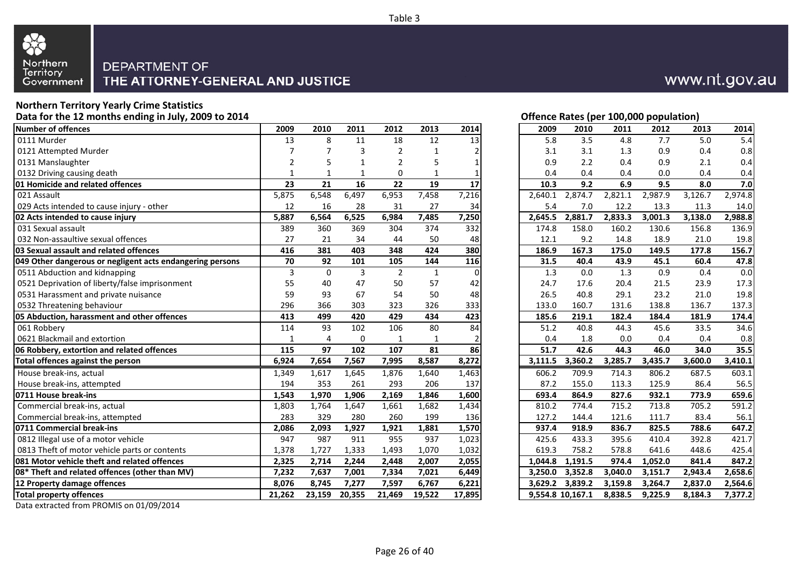

## **Northern Territory Yearly Crime Statistics**

 **Data for the 12 months ending in July, 2009 to 2014 Offence Rates (per 100,000 population) Number of offences <sup>2009</sup>**0111 Murder 13 0121 Attempted Murder 7 0131 Manslaughter 2 0132 Driving causing death 1 and 1 and 1 and 1 and 1 and 1 and 1 and 1 and 1 and 1 and 1 and 1 and 1 and 1 and 1 **01 Homicide and related offences 23**021 Assault 5.875 029 Acts intended to cause injury - other 12 **02 Acts intended to cause injury 5,887**031 Sexual assault 389 032 Non-assaultive sexual offences 27**03 Sexual assault and related offences** and the second assault and related offences **049 Other dangerous or negligent acts endangering persons 70**0511 Abduction and kidnapping 3 0521 Deprivation of liberty/false imprisonment 155 0531 Harassment and private nuisance 590532 Threatening behaviour 296 **05 Abduction, harassment and other offences 413**061 Robbery 114 0621 Blackmail and extortion 1 and 1 and 1 and 1 and 1 and 1 and 1 and 1 and 1 and 1 and 1 and 1 and 1 and 1 and 1 and 1 and 1 and 1 and 1 and 1 and 1 and 1 and 1 and 1 and 1 and 1 and 1 and 1 and 1 and 1 and 1 and 1 and 1 **06 Robbery, extortion and related offences** 115 Total offences against the person **6,924**  House break-ins, actual 1,349 1,617 1,645 1,876 1,640 1,463 606.2 709.9 714.3 806.2 687.5 603.1 House break-ins, attempted <sup>194</sup> <sup>353</sup> <sup>261</sup> <sup>293</sup> <sup>206</sup> <sup>137</sup> 87.2 155.0 113.3 125.9 86.4 56.5 **0711 House break-ins 1,543**  Commercial break-ins, actual 1,803 Commercial break-ins, attempted 283**0711 Commercial break-ins 1996** 12,086 0812 Illegal use of a motor vehicle example that the same of  $\sim$  947 0813 Theft of motor vehicle parts or contents 1,378 **081 Motor vehicle theft and related offences 2,32508\* Theft and related offences (other than MV) 7,23212 Property damage offences** 8,076 **Total property offences 21,26223,159 20,355 21,469 19,522 17,895 9,554.8 10,167.1 8,838.5 9,225.9 8,184.3 7,377.2**

## www.nt.gov.au

| 9              | 2010             | 2011           | 2012           | 2013         | 2014           |
|----------------|------------------|----------------|----------------|--------------|----------------|
| 3              | 8                | 11             | 18             | 12           | 13             |
| 7              | 7                | 3              | $\overline{2}$ | $\mathbf{1}$ | 2              |
| 2              | 5                | $\mathbf{1}$   | $\overline{2}$ | 5            | 1              |
| 1              | $\mathbf{1}$     | $\mathbf{1}$   | 0              | $\mathbf{1}$ | 1              |
| 3              | 21               | 16             | 22             | 19           | 17             |
| 5              | 6,548            | 6,497          | 6,953          | 7,458        | 7,216          |
| $\overline{2}$ | 16               | 28             | 31             | 27           | 34             |
| 7              | 6,564            | 6,525          | 6,984          | 7,485        | 7,250          |
| 9              | 360              | 369            | 304            | 374          | 332            |
| 7              | 21               | 34             | 44             | 50           | 48             |
| 6              | 381              | 403            | 348            | 424          | 380            |
| $\frac{1}{3}$  | 92               | 101            | 105            | 144          | 116            |
|                | $\boldsymbol{0}$ | $\overline{3}$ | $\overline{2}$ | $\mathbf 1$  | $\Omega$       |
| 5              | 40               | 47             | 50             | 57           | 42             |
| 9              | 93               | 67             | 54             | 50           | 48             |
| 6              | 366              | 303            | 323            | 326          | 333            |
| 3              | 499              | 420            | 429            | 434          | 423            |
| 4              | 93               | 102            | 106            | 80           | 84             |
| 1              | $\overline{4}$   | 0              | 1              | 1            | $\overline{2}$ |
| 5              | $\overline{97}$  | 102            | 107            | 81           | 86             |
| 4              | 7,654            | 7,567          | 7,995          | 8,587        | 8,272          |
| 9              | 1,617            | 1,645          | 1,876          | 1,640        | 1,463          |
| 4              | 353              | 261            | 293            | 206          | 137            |
| 3              | 1,970            | 1,906          | 2,169          | 1,846        | 1,600          |
| 3              | 1,764            | 1,647          | 1,661          | 1,682        | 1,434          |
| 3              | 329              | 280            | 260            | 199          | 136            |
| 6              | 2,093            | 1,927          | 1,921          | 1,881        | 1,570          |
| $\overline{7}$ | 987              | 911            | 955            | 937          | 1,023          |
| 8              | 1,727            | 1,333          | 1,493          | 1,070        | 1,032          |
| 5              | 2,714            | 2,244          | 2,448          | 2,007        | 2,055          |
| 2              | 7,637            | 7,001          | 7,334          | 7,021        | 6,449          |
| 6              | 8,745            | 7,277          | 7,597          | 6,767        | 6,221          |
| $\overline{2}$ | 23,159           | 20,355         | 21,469         | 19,522       | 17,895         |

Data extracted from PROMIS on 01/09/2014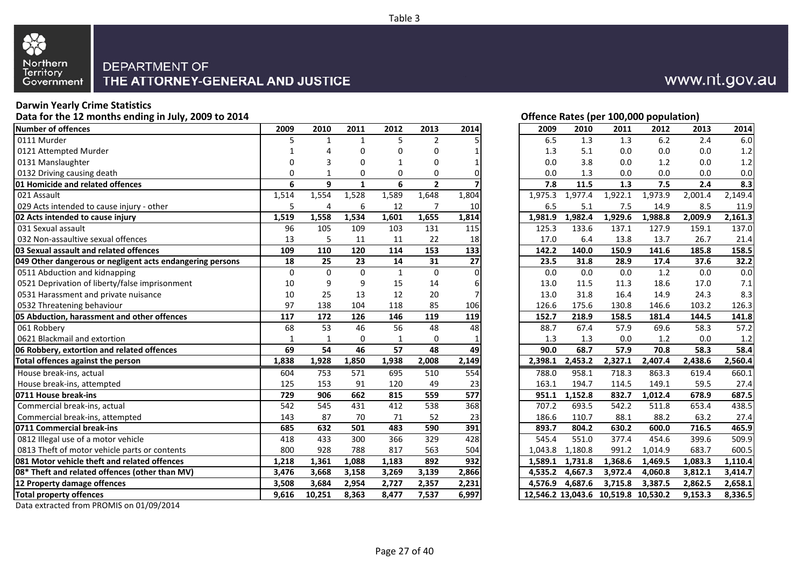

#### **Darwin Yearly Crime Statistics**

**Data for the 12 months ending in July, 2009 to 2014**

| Number of offences                                        | 2009        | 2010     | 2011         | 2012         | 2013           | 2014  | 2009    | 2010    | 2011                                | 2012    | 2013    | 2014    |
|-----------------------------------------------------------|-------------|----------|--------------|--------------|----------------|-------|---------|---------|-------------------------------------|---------|---------|---------|
| 0111 Murder                                               | 5           |          | 1            | 5            | $\overline{2}$ |       | 6.5     | 1.3     | 1.3                                 | 6.2     | 2.4     | 6.0     |
| 0121 Attempted Murder                                     |             | Δ        | 0            | O            | $\Omega$       |       | 1.3     | 5.1     | 0.0                                 | 0.0     | 0.0     | 1.2     |
| 0131 Manslaughter                                         | $\Omega$    | 3        | 0            | 1            | $\Omega$       |       | 0.0     | 3.8     | 0.0                                 | 1.2     | 0.0     | 1.2     |
| 0132 Driving causing death                                | 0           |          | 0            | 0            | 0              |       | 0.0     | 1.3     | 0.0                                 | 0.0     | 0.0     | 0.0     |
| <b>01 Homicide and related offences</b>                   | 6           | 9        | $\mathbf{1}$ | 6            | $\overline{2}$ |       | 7.8     | 11.5    | 1.3                                 | 7.5     | 2.4     | 8.3     |
| 021 Assault                                               | 1,514       | 1,554    | 1,528        | 1,589        | 1,648          | 1,804 | 1,975.3 | 1.977.4 | 1,922.1                             | 1,973.9 | 2,001.4 | 2,149.4 |
| 029 Acts intended to cause injury - other                 | 5           | 4        | 6            | 12           | 7              | 10    | 6.5     | 5.1     | 7.5                                 | 14.9    | 8.5     | 11.9    |
| 02 Acts intended to cause injury                          | 1,519       | 1,558    | 1,534        | 1,601        | 1,655          | 1,814 | 1,981.9 | 1,982.4 | 1,929.6                             | 1,988.8 | 2,009.9 | 2,161.3 |
| 031 Sexual assault                                        | 96          | 105      | 109          | 103          | 131            | 115   | 125.3   | 133.6   | 137.1                               | 127.9   | 159.1   | 137.0   |
| 032 Non-assaultive sexual offences                        | 13          | 5        | 11           | 11           | 22             | 18    | 17.0    | 6.4     | 13.8                                | 13.7    | 26.7    | 21.4    |
| 03 Sexual assault and related offences                    | 109         | 110      | 120          | 114          | 153            | 133   | 142.2   | 140.0   | 150.9                               | 141.6   | 185.8   | 158.5   |
| 049 Other dangerous or negligent acts endangering persons | 18          | 25       | 23           | 14           | 31             | 27    | 23.5    | 31.8    | 28.9                                | 17.4    | 37.6    | 32.2    |
| 0511 Abduction and kidnapping                             | $\mathbf 0$ | $\Omega$ | $\mathbf{0}$ | $\mathbf{1}$ | $\Omega$       |       | 0.0     | 0.0     | 0.0                                 | 1.2     | 0.0     | 0.0     |
| 0521 Deprivation of liberty/false imprisonment            | 10          | 9        | 9            | 15           | 14             |       | 13.0    | 11.5    | 11.3                                | 18.6    | 17.0    | 7.1     |
| 0531 Harassment and private nuisance                      | 10          | 25       | 13           | 12           | 20             |       | 13.0    | 31.8    | 16.4                                | 14.9    | 24.3    | 8.3     |
| 0532 Threatening behaviour                                | 97          | 138      | 104          | 118          | 85             | 106   | 126.6   | 175.6   | 130.8                               | 146.6   | 103.2   | 126.3   |
| 05 Abduction, harassment and other offences               | 117         | 172      | 126          | 146          | 119            | 119   | 152.7   | 218.9   | 158.5                               | 181.4   | 144.5   | 141.8   |
| 061 Robberv                                               | 68          | 53       | 46           | 56           | 48             | 48    | 88.7    | 67.4    | 57.9                                | 69.6    | 58.3    | 57.2    |
| 0621 Blackmail and extortion                              | 1           | 1        | $\Omega$     | 1            | $\Omega$       |       | 1.3     | 1.3     | 0.0                                 | 1.2     | 0.0     | 1.2     |
| 06 Robbery, extortion and related offences                | 69          | 54       | 46           | 57           | 48             | 49    | 90.0    | 68.7    | 57.9                                | 70.8    | 58.3    | 58.4    |
| Total offences against the person                         | 1,838       | 1,928    | 1,850        | 1,938        | 2,008          | 2,149 | 2,398.1 | 2,453.2 | 2,327.1                             | 2,407.4 | 2,438.6 | 2,560.4 |
| House break-ins, actual                                   | 604         | 753      | 571          | 695          | 510            | 554   | 788.0   | 958.1   | 718.3                               | 863.3   | 619.4   | 660.1   |
| House break-ins, attempted                                | 125         | 153      | 91           | 120          | 49             | 23    | 163.1   | 194.7   | 114.5                               | 149.1   | 59.5    | 27.4    |
| 0711 House break-ins                                      | 729         | 906      | 662          | 815          | 559            | 577   | 951.1   | 1,152.8 | 832.7                               | 1,012.4 | 678.9   | 687.5   |
| Commercial break-ins, actual                              | 542         | 545      | 431          | 412          | 538            | 368   | 707.2   | 693.5   | 542.2                               | 511.8   | 653.4   | 438.5   |
| Commercial break-ins, attempted                           | 143         | 87       | 70           | 71           | 52             | 23    | 186.6   | 110.7   | 88.1                                | 88.2    | 63.2    | 27.4    |
| 0711 Commercial break-ins                                 | 685         | 632      | 501          | 483          | 590            | 391   | 893.7   | 804.2   | 630.2                               | 600.0   | 716.5   | 465.9   |
| 0812 Illegal use of a motor vehicle                       | 418         | 433      | 300          | 366          | 329            | 428   | 545.4   | 551.0   | 377.4                               | 454.6   | 399.6   | 509.9   |
| 0813 Theft of motor vehicle parts or contents             | 800         | 928      | 788          | 817          | 563            | 504   | 1,043.8 | 1,180.8 | 991.2                               | 1,014.9 | 683.7   | 600.5   |
| 081 Motor vehicle theft and related offences              | 1,218       | 1,361    | 1,088        | 1,183        | 892            | 932   | 1,589.1 | 1,731.8 | 1,368.6                             | 1,469.5 | 1,083.3 | 1,110.4 |
| 08* Theft and related offences (other than MV)            | 3,476       | 3,668    | 3,158        | 3,269        | 3,139          | 2,866 | 4,535.2 | 4,667.3 | 3,972.4                             | 4,060.8 | 3,812.1 | 3,414.7 |
| 12 Property damage offences                               | 3,508       | 3,684    | 2,954        | 2,727        | 2,357          | 2,231 | 4.576.9 | 4.687.6 | 3,715.8                             | 3,387.5 | 2,862.5 | 2,658.1 |
| <b>Total property offences</b>                            | 9,616       | 10,251   | 8,363        | 8,477        | 7,537          | 6,997 |         |         | 12,546.2 13,043.6 10,519.8 10,530.2 |         | 9,153.3 | 8,336.5 |
|                                                           |             |          |              |              |                |       |         |         |                                     |         |         |         |

### **Offence Rates (per 100,000 population)**

www.nt.gov.au

| 9                       | 2010           | 2011         | 2012         | 2013           | 2014     | 2009    | 2010                 | 2011                                | 2012    | 2013    | 2014    |
|-------------------------|----------------|--------------|--------------|----------------|----------|---------|----------------------|-------------------------------------|---------|---------|---------|
| 5                       | $\mathbf{1}$   | $\mathbf{1}$ | 5            | $\overline{2}$ | 5        | 6.5     | 1.3                  | 1.3                                 | 6.2     | 2.4     | 6.0     |
| 1                       | 4              | $\mathbf 0$  | 0            | $\pmb{0}$      | 1        | 1.3     | 5.1                  | $0.0\,$                             | 0.0     | 0.0     | 1.2     |
| 0                       | 3              | $\mathbf 0$  | 1            | $\mathbf 0$    | 1        | 0.0     | 3.8                  | 0.0                                 | 1.2     | 0.0     | 1.2     |
| 0                       | $\mathbf 1$    | $\mathbf 0$  | 0            | 0              | 0        | 0.0     | 1.3                  | 0.0                                 | 0.0     | 0.0     | 0.0     |
| 6                       | $\overline{9}$ | $\mathbf{1}$ | 6            | $\overline{2}$ |          | 7.8     | 11.5                 | 1.3                                 | 7.5     | 2.4     | 8.3     |
| 4                       | 1,554          | 1,528        | 1,589        | 1,648          | 1,804    | 1,975.3 | $\overline{1,}977.4$ | 1,922.1                             | 1,973.9 | 2,001.4 | 2,149.4 |
| $\overline{5}$          | 4              | 6            | 12           | $\overline{7}$ | $10\,$   | 6.5     | 5.1                  | 7.5                                 | 14.9    | 8.5     | 11.9    |
| 9                       | 1,558          | 1,534        | 1,601        | 1,655          | 1,814    | 1,981.9 | 1,982.4              | 1,929.6                             | 1,988.8 | 2,009.9 | 2,161.3 |
| 6                       | 105            | 109          | 103          | 131            | 115      | 125.3   | 133.6                | 137.1                               | 127.9   | 159.1   | 137.0   |
| 3                       | 5              | 11           | 11           | 22             | 18       | 17.0    | 6.4                  | 13.8                                | 13.7    | 26.7    | 21.4    |
| 9                       | 110            | 120          | 114          | 153            | 133      | 142.2   | 140.0                | 150.9                               | 141.6   | 185.8   | 158.5   |
| 8                       | 25             | 23           | 14           | 31             | 27       | 23.5    | 31.8                 | 28.9                                | 17.4    | 37.6    | 32.2    |
| $\overline{0}$          | $\overline{0}$ | $\mathbf 0$  | $\mathbf 1$  | $\pmb{0}$      | $\Omega$ | $0.0\,$ | $0.0\,$              | $0.0\,$                             | 1.2     | $0.0\,$ | 0.0     |
| 0                       | 9              | 9            | 15           | 14             | 6        | 13.0    | 11.5                 | 11.3                                | 18.6    | 17.0    | 7.1     |
| 0                       | 25             | 13           | 12           | 20             | 7        | 13.0    | 31.8                 | 16.4                                | 14.9    | 24.3    | 8.3     |
| 7                       | 138            | 104          | 118          | 85             | 106      | 126.6   | 175.6                | 130.8                               | 146.6   | 103.2   | 126.3   |
| 7                       | 172            | 126          | 146          | 119            | 119      | 152.7   | 218.9                | 158.5                               | 181.4   | 144.5   | 141.8   |
| 8                       | 53             | 46           | 56           | 48             | 48       | 88.7    | 67.4                 | 57.9                                | 69.6    | 58.3    | 57.2    |
| 1                       | 1              | 0            | $\mathbf{1}$ | $\pmb{0}$      | 1        | 1.3     | 1.3                  | 0.0                                 | $1.2\,$ | $0.0\,$ | 1.2     |
| 9                       | 54             | 46           | 57           | 48             | 49       | 90.0    | 68.7                 | 57.9                                | 70.8    | 58.3    | 58.4    |
| 8                       | 1,928          | 1,850        | 1,938        | 2,008          | 2,149    | 2,398.1 | 2,453.2              | 2,327.1                             | 2,407.4 | 2,438.6 | 2,560.4 |
| 4                       | 753            | 571          | 695          | 510            | 554      | 788.0   | 958.1                | 718.3                               | 863.3   | 619.4   | 660.1   |
| 5                       | 153            | 91           | 120          | 49             | 23       | 163.1   | 194.7                | 114.5                               | 149.1   | 59.5    | 27.4    |
| 9                       | 906            | 662          | 815          | 559            | 577      | 951.1   | 1,152.8              | 832.7                               | 1,012.4 | 678.9   | 687.5   |
| $\overline{2}$          | 545            | 431          | 412          | 538            | 368      | 707.2   | 693.5                | 542.2                               | 511.8   | 653.4   | 438.5   |
| $\overline{\mathbf{3}}$ | 87             | 70           | 71           | 52             | 23       | 186.6   | 110.7                | 88.1                                | 88.2    | 63.2    | 27.4    |
|                         | 632            | 501          | 483          | 590            | 391      | 893.7   | 804.2                | 630.2                               | 600.0   | 716.5   | 465.9   |
| $\frac{5}{8}$           | 433            | 300          | 366          | 329            | 428      | 545.4   | 551.0                | 377.4                               | 454.6   | 399.6   | 509.9   |
| 0                       | 928            | 788          | 817          | 563            | 504      | 1,043.8 | 1,180.8              | 991.2                               | 1,014.9 | 683.7   | 600.5   |
| 8                       | 1,361          | 1,088        | 1,183        | 892            | 932      | 1,589.1 | 1,731.8              | 1,368.6                             | 1,469.5 | 1,083.3 | 1,110.4 |
| 6                       | 3,668          | 3,158        | 3,269        | 3,139          | 2,866    | 4,535.2 | 4,667.3              | 3,972.4                             | 4,060.8 | 3,812.1 | 3,414.7 |
| 8                       | 3,684          | 2,954        | 2,727        | 2,357          | 2,231    | 4,576.9 | 4,687.6              | 3,715.8                             | 3,387.5 | 2,862.5 | 2,658.1 |
| 6                       | 10,251         | 8,363        | 8,477        | 7,537          | 6,997    |         |                      | 12,546.2 13,043.6 10,519.8 10,530.2 |         | 9,153.3 | 8,336.5 |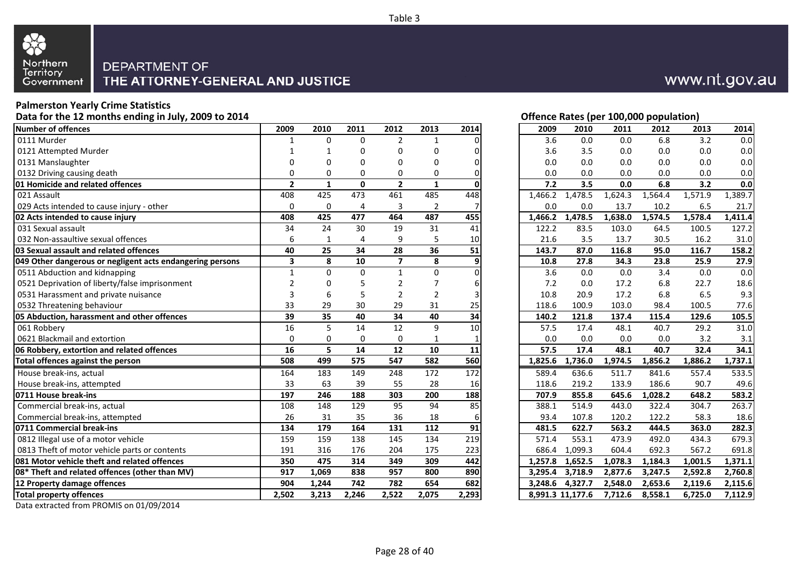

#### **Palmerston Yearly Crime Statistics**

**Data for the 12 months ending in July, 2009 to 2014**

| <b>Number of offences</b>                                 | 2009                    | 2010         | 2011         | 2012                    | 2013            | 2014  | 2009    | 2010             | 2011    | 2012    | 2013    | 2014    |
|-----------------------------------------------------------|-------------------------|--------------|--------------|-------------------------|-----------------|-------|---------|------------------|---------|---------|---------|---------|
| 0111 Murder                                               | 1                       | 0            | $\Omega$     | $\overline{2}$          | $\mathbf{1}$    |       | 3.6     | 0.0              | 0.0     | 6.8     | 3.2     | 0.0     |
| 0121 Attempted Murder                                     | 1                       | 1            | 0            | 0                       | $\Omega$        |       | 3.6     | 3.5              | 0.0     | 0.0     | 0.0     | 0.0     |
| 0131 Manslaughter                                         | 0                       | 0            | 0            | 0                       | 0               |       | 0.0     | 0.0              | 0.0     | 0.0     | 0.0     | 0.0     |
| 0132 Driving causing death                                | 0                       | 0            | 0            | $\Omega$                | 0               |       | 0.0     | 0.0              | 0.0     | 0.0     | 0.0     | 0.0     |
| <b>01 Homicide and related offences</b>                   | $\overline{2}$          | $\mathbf{1}$ | $\mathbf{0}$ | $\overline{2}$          | $\mathbf{1}$    |       | 7.2     | 3.5              | 0.0     | 6.8     | 3.2     | 0.0     |
| 021 Assault                                               | 408                     | 425          | 473          | 461                     | 485             | 448   | 1,466.2 | 1,478.5          | 1,624.3 | 1,564.4 | 1,571.9 | 1,389.7 |
| 029 Acts intended to cause injury - other                 | 0                       | 0            | 4            | 3                       | $\overline{2}$  |       | 0.0     | 0.0              | 13.7    | 10.2    | 6.5     | 21.7    |
| 02 Acts intended to cause injury                          | 408                     | 425          | 477          | 464                     | 487             | 455   | 1,466.2 | 1,478.5          | 1,638.0 | 1,574.5 | 1,578.4 | 1,411.4 |
| 031 Sexual assault                                        | 34                      | 24           | 30           | 19                      | 31              | 41    | 122.2   | 83.5             | 103.0   | 64.5    | 100.5   | 127.2   |
| 032 Non-assaultive sexual offences                        | 6                       | $\mathbf{1}$ | 4            | 9                       | 5               | 10    | 21.6    | 3.5              | 13.7    | 30.5    | 16.2    | 31.0    |
| 03 Sexual assault and related offences                    | 40                      | 25           | 34           | 28                      | 36              | 51    | 143.7   | 87.0             | 116.8   | 95.0    | 116.7   | 158.2   |
| 049 Other dangerous or negligent acts endangering persons | $\overline{\mathbf{3}}$ | 8            | 10           | $\overline{\mathbf{z}}$ | 8               | 9     | 10.8    | 27.8             | 34.3    | 23.8    | 25.9    | 27.9    |
| 0511 Abduction and kidnapping                             | $\mathbf{1}$            | $\Omega$     | $\Omega$     | $\mathbf{1}$            | $\Omega$        |       | 3.6     | 0.0              | 0.0     | 3.4     | 0.0     | 0.0     |
| 0521 Deprivation of liberty/false imprisonment            | $\overline{2}$          | $\Omega$     | 5            | $\mathfrak{p}$          |                 | 6     | 7.2     | 0.0              | 17.2    | 6.8     | 22.7    | 18.6    |
| 0531 Harassment and private nuisance                      | 3                       | 6            | 5            | $\overline{2}$          | $\overline{2}$  |       | 10.8    | 20.9             | 17.2    | 6.8     | 6.5     | 9.3     |
| 0532 Threatening behaviour                                | 33                      | 29           | 30           | 29                      | 31              | 25    | 118.6   | 100.9            | 103.0   | 98.4    | 100.5   | 77.6    |
| 05 Abduction, harassment and other offences               | 39                      | 35           | 40           | 34                      | 40              | 34    | 140.2   | 121.8            | 137.4   | 115.4   | 129.6   | 105.5   |
| 061 Robbery                                               | 16                      | 5            | 14           | 12                      | 9               | 10    | 57.5    | 17.4             | 48.1    | 40.7    | 29.2    | 31.0    |
| 0621 Blackmail and extortion                              | 0                       | 0            | 0            | 0                       | 1               |       | 0.0     | 0.0              | 0.0     | 0.0     | 3.2     | 3.1     |
| 06 Robbery, extortion and related offences                | $\overline{16}$         | 5            | 14           | $\overline{12}$         | $\overline{10}$ | 11    | 57.5    | 17.4             | 48.1    | 40.7    | 32.4    | 34.1    |
| Total offences against the person                         | 508                     | 499          | 575          | 547                     | 582             | 560   | 1,825.6 | 1,736.0          | 1,974.5 | 1,856.2 | 1,886.2 | 1,737.1 |
| House break-ins, actual                                   | 164                     | 183          | 149          | 248                     | 172             | 172   | 589.4   | 636.6            | 511.7   | 841.6   | 557.4   | 533.5   |
| House break-ins, attempted                                | 33                      | 63           | 39           | 55                      | 28              | 16    | 118.6   | 219.2            | 133.9   | 186.6   | 90.7    | 49.6    |
| 0711 House break-ins                                      | 197                     | 246          | 188          | 303                     | 200             | 188   | 707.9   | 855.8            | 645.6   | 1,028.2 | 648.2   | 583.2   |
| Commercial break-ins, actual                              | 108                     | 148          | 129          | 95                      | 94              | 85    | 388.1   | 514.9            | 443.0   | 322.4   | 304.7   | 263.7   |
| Commercial break-ins, attempted                           | 26                      | 31           | 35           | 36                      | 18              | 6     | 93.4    | 107.8            | 120.2   | 122.2   | 58.3    | 18.6    |
| 0711 Commercial break-ins                                 | 134                     | 179          | 164          | 131                     | 112             | 91    | 481.5   | 622.7            | 563.2   | 444.5   | 363.0   | 282.3   |
| 0812 Illegal use of a motor vehicle                       | 159                     | 159          | 138          | 145                     | 134             | 219   | 571.4   | 553.1            | 473.9   | 492.0   | 434.3   | 679.3   |
| 0813 Theft of motor vehicle parts or contents             | 191                     | 316          | 176          | 204                     | 175             | 223   | 686.4   | 1,099.3          | 604.4   | 692.3   | 567.2   | 691.8   |
| 081 Motor vehicle theft and related offences              | 350                     | 475          | 314          | 349                     | 309             | 442   | 1,257.8 | 1,652.5          | 1,078.3 | 1,184.3 | 1,001.5 | 1,371.1 |
| 08* Theft and related offences (other than MV)            | 917                     | 1,069        | 838          | 957                     | 800             | 890   | 3,295.4 | 3,718.9          | 2,877.6 | 3,247.5 | 2,592.8 | 2,760.8 |
| 12 Property damage offences                               | 904                     | 1,244        | 742          | 782                     | 654             | 682   | 3.248.6 | 4.327.7          | 2,548.0 | 2,653.6 | 2,119.6 | 2,115.6 |
| <b>Total property offences</b>                            | 2,502                   | 3,213        | 2,246        | 2,522                   | 2,075           | 2,293 |         | 8,991.3 11,177.6 | 7,712.6 | 8,558.1 | 6,725.0 | 7,112.9 |
|                                                           |                         |              |              |                         |                 |       |         |                  |         |         |         |         |

| www.nt.gov.au |  |
|---------------|--|
|---------------|--|

| 9              | 2010                    | 2011             | 2012            | 2013            | 2014        |
|----------------|-------------------------|------------------|-----------------|-----------------|-------------|
| $\mathbf{1}$   | 0                       | $\Omega$         | $\overline{2}$  | 1               | 0           |
| 1              | 1                       | 0                | 0               | 0               | 0           |
| 0              | 0                       | $\mathbf 0$      | 0               | 0               | $\mathbf 0$ |
|                | 0                       | $\mathbf 0$      | 0               | 0               | $\mathbf 0$ |
| $\frac{0}{2}$  | 1                       | 0                | $\mathbf{2}$    | 1               | $\mathbf 0$ |
|                | 425                     | 473              | 461             | 485             | 448         |
| 0              | 0                       | 4                | 3               | 2               | 7           |
| 8              | 425                     | 477              | 464             | 487             | 455         |
| 4              | 24                      | 30               | 19              | 31              | 41          |
| 6              | $\mathbf 1$             | $\overline{4}$   | 9               | 5               | 10          |
| 0              | 25                      | 34               | $\overline{28}$ | $\overline{36}$ | 51          |
| 3              | $\overline{\mathbf{8}}$ | 10               |                 | 8               | 9           |
| $\mathbf 1$    | $\pmb{0}$               | $\pmb{0}$        | $\mathbf{1}$    | $\pmb{0}$       | $\Omega$    |
| 2              | 0                       | 5                | 2               | 7               | 6           |
| 3              | 6                       | 5                | $\overline{2}$  | $\overline{2}$  | 3           |
| 3              | 29                      | 30               | 29              | 31              | 25          |
| 9              | 35                      | 40               | 34              | 40              | 34          |
| 6              | 5                       | 14               | 12              | 9               | 10          |
| $\overline{0}$ | 0                       | 0                | $\mathbf 0$     | $\mathbf{1}$    | 1           |
| 6              | 5                       | 14               | 12              | 10              | 11          |
| 8              | 499                     | 575              | 547             | 582             | 560         |
| 4              | 183                     | 149              | 248             | 172             | 172         |
| <u>3</u>       | 63                      | 39               | 55              | 28              | 16          |
| 7              | 246                     | 188              | 303             | 200             | 188         |
| 8              | 148                     | 129              | 95              | 94              | 85          |
|                | 31                      | 35               | 36              | 18              | 6           |
| $\frac{6}{4}$  | 179                     | 164              | 131             | 112             | 91          |
| 9              | 159                     | 138              | 145             | 134             | 219         |
| 1              | 316                     | 176              | 204             | 175             | 223         |
| 0              | 475                     | 314              | 349             | 309             | 442         |
| 7              | 1,069                   | 838              | 957             | 800             | 890         |
| 4              | 1,244                   | $\overline{742}$ | 782             | 654             | 682         |
| $\overline{2}$ | 3,213                   | 2,246            | 2,522           | 2,075           | 2,293       |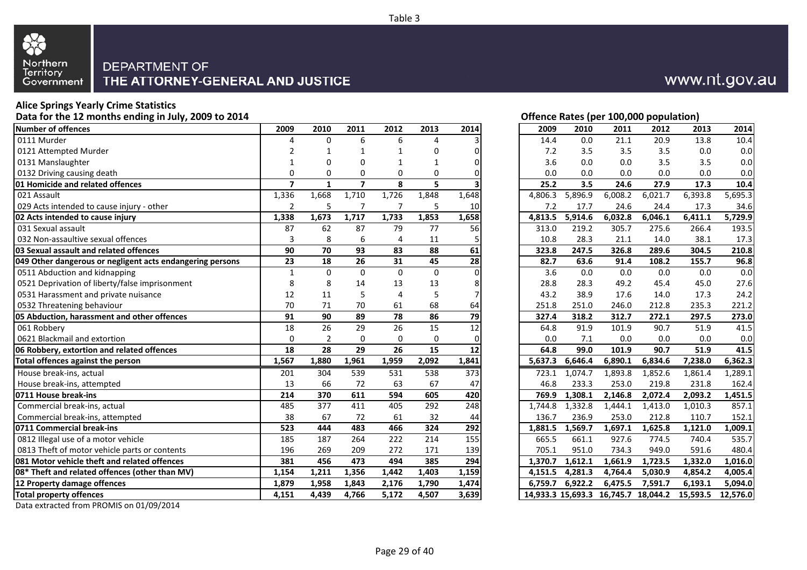

### **Alice Springs Yearly Crime Statistics**

**Data for the 12 months ending in July, 2009 to 2014**

| <b>Number of offences</b>                                 | 2009             | 2010             | 2011                    | 2012            | 2013            | 2014  | 2009    | 2010    | 2011    | 2012                                | 2013     | 2014     |
|-----------------------------------------------------------|------------------|------------------|-------------------------|-----------------|-----------------|-------|---------|---------|---------|-------------------------------------|----------|----------|
| 0111 Murder                                               | 4                | $\Omega$         | 6                       | 6               | 4               |       | 14.4    | 0.0     | 21.1    | 20.9                                | 13.8     | 10.4     |
| 0121 Attempted Murder                                     | $\overline{2}$   | 1                |                         | $\mathbf 1$     | 0               | U     | 7.2     | 3.5     | 3.5     | 3.5                                 | 0.0      | 0.0      |
| 0131 Manslaughter                                         | $\mathbf{1}$     | 0                | 0                       | 1               |                 | 0     | 3.6     | 0.0     | 0.0     | 3.5                                 | 3.5      | 0.0      |
| 0132 Driving causing death                                | 0                | $\Omega$         | 0                       | 0               | 0               |       | 0.0     | 0.0     | 0.0     | 0.0                                 | 0.0      | 0.0      |
| 01 Homicide and related offences                          | $\overline{7}$   | $\mathbf{1}$     | $\overline{\mathbf{z}}$ | 8               | 5               |       | 25.2    | 3.5     | 24.6    | 27.9                                | 17.3     | 10.4     |
| 021 Assault                                               | 1,336            | 1,668            | 1,710                   | 1,726           | 1,848           | 1,648 | 4,806.3 | 5,896.9 | 6,008.2 | 6,021.7                             | 6,393.8  | 5,695.3  |
| 029 Acts intended to cause injury - other                 | 2                | 5                | 7                       | 7               | 5               | 10    | 7.2     | 17.7    | 24.6    | 24.4                                | 17.3     | 34.6     |
| 02 Acts intended to cause injury                          | 1,338            | 1,673            | 1,717                   | 1,733           | 1,853           | 1,658 | 4,813.5 | 5,914.6 | 6,032.8 | 6,046.1                             | 6,411.1  | 5,729.9  |
| 031 Sexual assault                                        | 87               | 62               | 87                      | 79              | 77              | 56    | 313.0   | 219.2   | 305.7   | 275.6                               | 266.4    | 193.5    |
| 032 Non-assaultive sexual offences                        | 3                | 8                | 6                       | 4               | 11              |       | 10.8    | 28.3    | 21.1    | 14.0                                | 38.1     | 17.3     |
| 03 Sexual assault and related offences                    | 90               | 70               | 93                      | 83              | 88              | 61    | 323.8   | 247.5   | 326.8   | 289.6                               | 304.5    | 210.8    |
| 049 Other dangerous or negligent acts endangering persons | $\overline{23}$  | 18               | $\overline{26}$         | 31              | 45              | 28    | 82.7    | 63.6    | 91.4    | 108.2                               | 155.7    | 96.8     |
| 0511 Abduction and kidnapping                             | $\mathbf{1}$     | $\Omega$         | $\mathbf{0}$            | $\Omega$        | $\Omega$        |       | 3.6     | 0.0     | 0.0     | 0.0                                 | 0.0      | 0.0      |
| 0521 Deprivation of liberty/false imprisonment            | 8                | 8                | 14                      | 13              | 13              | 8     | 28.8    | 28.3    | 49.2    | 45.4                                | 45.0     | 27.6     |
| 0531 Harassment and private nuisance                      | 12               | 11               | 5                       | 4               | 5               |       | 43.2    | 38.9    | 17.6    | 14.0                                | 17.3     | 24.2     |
| 0532 Threatening behaviour                                | 70               | 71               | 70                      | 61              | 68              | 64    | 251.8   | 251.0   | 246.0   | 212.8                               | 235.3    | 221.2    |
| 05 Abduction, harassment and other offences               | 91               | 90               | 89                      | 78              | 86              | 79    | 327.4   | 318.2   | 312.7   | 272.1                               | 297.5    | 273.0    |
| 061 Robbery                                               | 18               | 26               | 29                      | 26              | 15              | 12    | 64.8    | 91.9    | 101.9   | 90.7                                | 51.9     | 41.5     |
| 0621 Blackmail and extortion                              | 0                | $\overline{2}$   | $\Omega$                | $\Omega$        | 0               |       | 0.0     | 7.1     | 0.0     | 0.0                                 | 0.0      | 0.0      |
| 06 Robbery, extortion and related offences                | 18               | 28               | $\overline{29}$         | $\overline{26}$ | $\overline{15}$ | 12    | 64.8    | 99.0    | 101.9   | 90.7                                | 51.9     | 41.5     |
| Total offences against the person                         | 1,567            | 1,880            | 1,961                   | 1,959           | 2,092           | 1,841 | 5,637.3 | 6,646.4 | 6,890.1 | 6,834.6                             | 7,238.0  | 6,362.3  |
| House break-ins, actual                                   | 201              | 304              | 539                     | 531             | 538             | 373   | 723.1   | 1,074.7 | 1,893.8 | 1,852.6                             | 1,861.4  | 1,289.1  |
| House break-ins, attempted                                | 13               | 66               | 72                      | 63              | 67              | 47    | 46.8    | 233.3   | 253.0   | 219.8                               | 231.8    | 162.4    |
| 0711 House break-ins                                      | $\overline{214}$ | $\overline{370}$ | 611                     | 594             | 605             | 420   | 769.9   | 1,308.1 | 2,146.8 | 2,072.4                             | 2,093.2  | 1,451.5  |
| Commercial break-ins, actual                              | 485              | 377              | 411                     | 405             | 292             | 248   | 1.744.8 | 1,332.8 | 1,444.1 | 1,413.0                             | 1,010.3  | 857.1    |
| Commercial break-ins, attempted                           | 38               | 67               | 72                      | 61              | 32              | 44    | 136.7   | 236.9   | 253.0   | 212.8                               | 110.7    | 152.1    |
| 0711 Commercial break-ins                                 | 523              | 444              | 483                     | 466             | 324             | 292   | 1,881.5 | 1,569.7 | 1,697.1 | 1,625.8                             | 1,121.0  | 1,009.1  |
| 0812 Illegal use of a motor vehicle                       | 185              | 187              | 264                     | 222             | 214             | 155   | 665.5   | 661.1   | 927.6   | 774.5                               | 740.4    | 535.7    |
| 0813 Theft of motor vehicle parts or contents             | 196              | 269              | 209                     | 272             | 171             | 139   | 705.1   | 951.0   | 734.3   | 949.0                               | 591.6    | 480.4    |
| 081 Motor vehicle theft and related offences              | 381              | 456              | 473                     | 494             | 385             | 294   | 1.370.7 | 1.612.1 | 1,661.9 | 1,723.5                             | 1,332.0  | 1,016.0  |
| 08* Theft and related offences (other than MV)            | 1,154            | 1,211            | 1,356                   | 1,442           | 1,403           | 1,159 | 4,151.5 | 4,281.3 | 4,764.4 | 5,030.9                             | 4,854.2  | 4,005.4  |
| 12 Property damage offences                               | 1,879            | 1,958            | 1,843                   | 2,176           | 1,790           | 1,474 | 6.759.7 | 6,922.2 | 6,475.5 | 7,591.7                             | 6,193.1  | 5,094.0  |
| <b>Total property offences</b>                            | 4.151            | 4.439            | 4,766                   | 5,172           | 4.507           | 3,639 |         |         |         | 14,933.3 15,693.3 16,745.7 18,044.2 | 15,593.5 | 12.576.0 |

|  | Data extracted from PROMIS on 01/09/2014 |
|--|------------------------------------------|
|--|------------------------------------------|

| 4 |                |                |                 |             |                 |       |         |         | Offence Rates (per 100,000 population) |         |          |          |
|---|----------------|----------------|-----------------|-------------|-----------------|-------|---------|---------|----------------------------------------|---------|----------|----------|
|   | 2009           | 2010           | 2011            | 2012        | 2013            | 2014  | 2009    | 2010    | 2011                                   | 2012    | 2013     |          |
|   | 4              | 0              | 6               | 6           | 4               | 3     | 14.4    | $0.0\,$ | 21.1                                   | 20.9    | 13.8     |          |
|   | 2              | 1              | 1               | 1           | 0               | 0     | 7.2     | 3.5     | 3.5                                    | 3.5     | 0.0      |          |
|   | 1              | 0              | 0               | 1           | 1               | 0     | 3.6     | 0.0     | $0.0\,$                                | 3.5     | 3.5      |          |
|   | 0              | 0              | 0               | 0           | 0               | 0     | 0.0     | 0.0     | 0.0                                    | 0.0     | 0.0      |          |
|   | $\overline{7}$ | $\mathbf{1}$   | $\overline{7}$  | 8           | 5               |       | 25.2    | 3.5     | 24.6                                   | 27.9    | 17.3     |          |
|   | 1,336          | 1,668          | 1,710           | 1,726       | 1,848           | 1,648 | 4,806.3 | 5,896.9 | 6,008.2                                | 6,021.7 | 6,393.8  | 5,695.3  |
|   | 2              | 5              | 7               | 7           | 5               | 10    | 7.2     | 17.7    | 24.6                                   | 24.4    | 17.3     |          |
|   | 1,338          | 1,673          | 1,717           | 1,733       | 1,853           | 1,658 | 4,813.5 | 5,914.6 | 6,032.8                                | 6,046.1 | 6,411.1  | 5,729.9  |
|   | 87             | 62             | 87              | 79          | 77              | 56    | 313.0   | 219.2   | 305.7                                  | 275.6   | 266.4    | 193.5    |
|   | 3              | 8              | 6               | 4           | 11              | 5     | 10.8    | 28.3    | 21.1                                   | 14.0    | 38.1     |          |
|   | 90             | 70             | 93              | 83          | 88              | 61    | 323.8   | 247.5   | 326.8                                  | 289.6   | 304.5    | 210.8    |
|   | 23             | 18             | $\overline{26}$ | 31          | 45              | 28    | 82.7    | 63.6    | 91.4                                   | 108.2   | 155.7    | 96.8     |
|   | 1              | 0              | 0               | $\mathbf 0$ | 0               | 0     | 3.6     | 0.0     | $0.0\,$                                | 0.0     | 0.0      |          |
|   | 8              | 8              | 14              | 13          | 13              | 8     | 28.8    | 28.3    | 49.2                                   | 45.4    | 45.0     |          |
|   | 12             | 11             | 5               | 4           | 5               | 7     | 43.2    | 38.9    | 17.6                                   | 14.0    | 17.3     |          |
|   | 70             | 71             | 70              | 61          | 68              | 64    | 251.8   | 251.0   | 246.0                                  | 212.8   | 235.3    | 221.2    |
|   | 91             | 90             | 89              | 78          | 86              | 79    | 327.4   | 318.2   | 312.7                                  | 272.1   | 297.5    | 273.0    |
|   | 18             | 26             | 29              | 26          | 15              | 12    | 64.8    | 91.9    | 101.9                                  | 90.7    | 51.9     | 41.5     |
|   | $\mathbf 0$    | $\overline{2}$ | 0               | 0           | 0               | 0     | 0.0     | 7.1     | 0.0                                    | 0.0     | 0.0      |          |
|   | 18             | 28             | 29              | 26          | $\overline{15}$ | 12    | 64.8    | 99.0    | 101.9                                  | 90.7    | 51.9     | 41.5     |
|   | 1,567          | 1,880          | 1,961           | 1,959       | 2,092           | 1,841 | 5,637.3 | 6,646.4 | 6,890.1                                | 6,834.6 | 7,238.0  | 6,362.3  |
|   | 201            | 304            | 539             | 531         | 538             | 373   | 723.1   | 1,074.7 | 1,893.8                                | 1,852.6 | 1,861.4  | 1,289.1  |
|   | 13             | 66             | 72              | 63          | 67              | 47    | 46.8    | 233.3   | 253.0                                  | 219.8   | 231.8    | 162.4    |
|   | 214            | 370            | 611             | 594         | 605             | 420   | 769.9   | 1,308.1 | 2,146.8                                | 2,072.4 | 2,093.2  | 1,451.5  |
|   | 485            | 377            | 411             | 405         | 292             | 248   | 1,744.8 | 1,332.8 | 1,444.1                                | 1,413.0 | 1,010.3  | 857.1    |
|   | 38             | 67             | 72              | 61          | 32              | 44    | 136.7   | 236.9   | 253.0                                  | 212.8   | 110.7    | 152.1    |
|   | 523            | 444            | 483             | 466         | 324             | 292   | 1,881.5 | 1,569.7 | 1,697.1                                | 1,625.8 | 1,121.0  | 1,009.1  |
|   | 185            | 187            | 264             | 222         | 214             | 155   | 665.5   | 661.1   | 927.6                                  | 774.5   | 740.4    | 535.7    |
|   | 196            | 269            | 209             | 272         | 171             | 139   | 705.1   | 951.0   | 734.3                                  | 949.0   | 591.6    | 480.4    |
|   | 381            | 456            | 473             | 494         | 385             | 294   | 1,370.7 | 1,612.1 | 1,661.9                                | 1,723.5 | 1,332.0  | 1,016.0  |
|   | 1,154          | 1,211          | 1,356           | 1,442       | 1,403           | 1,159 | 4,151.5 | 4,281.3 | 4,764.4                                | 5,030.9 | 4,854.2  | 4,005.4  |
|   | 1,879          | 1,958          | 1,843           | 2,176       | 1,790           | 1,474 | 6,759.7 | 6,922.2 | 6,475.5                                | 7,591.7 | 6,193.1  | 5,094.0  |
|   | 4,151          | 4,439          | 4,766           | 5,172       | 4,507           | 3,639 |         |         | 14,933.3 15,693.3 16,745.7 18,044.2    |         | 15,593.5 | 12,576.0 |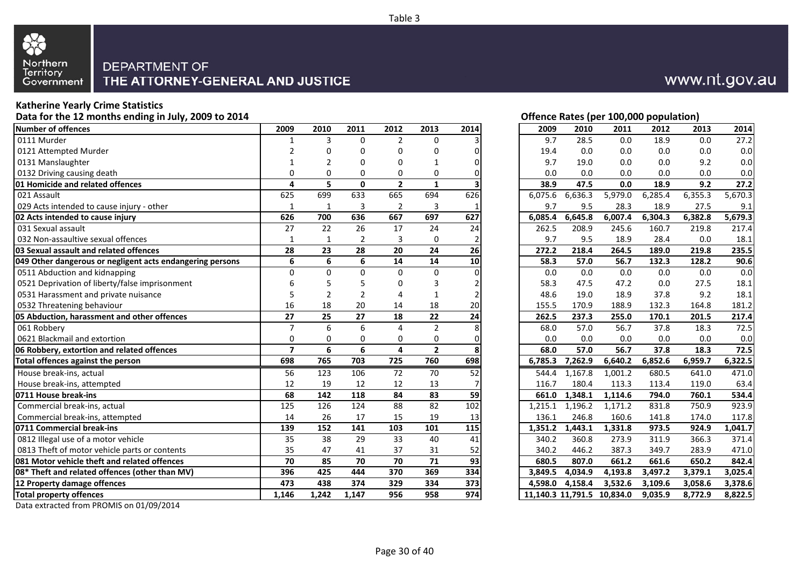

#### **Katherine Yearly Crime Statistics**

**Data for the 12 months ending in July, 2009 to 2014**

| <b>Number of offences</b>                                 | 2009           | 2010            | 2011         | 2012           | 2013           | 2014 | 2009    | 2010    | 2011                       | 2012    | 2013    | 2014    |
|-----------------------------------------------------------|----------------|-----------------|--------------|----------------|----------------|------|---------|---------|----------------------------|---------|---------|---------|
| 0111 Murder                                               | 1              | 3               | 0            | $\overline{2}$ | $\Omega$       |      | 9.7     | 28.5    | 0.0                        | 18.9    | 0.0     | 27.2    |
| 0121 Attempted Murder                                     | 2              | 0               | 0            | 0              | $\Omega$       |      | 19.4    | 0.0     | 0.0                        | 0.0     | 0.0     | 0.0     |
| 0131 Manslaughter                                         | 1              | $\overline{2}$  | 0            | 0              |                |      | 9.7     | 19.0    | 0.0                        | 0.0     | 9.2     | 0.0     |
| 0132 Driving causing death                                | 0              | O               | 0            | $\Omega$       | 0              |      | 0.0     | 0.0     | 0.0                        | 0.0     | 0.0     | 0.0     |
| <b>01 Homicide and related offences</b>                   | 4              | 5               | $\mathbf{0}$ | $\overline{2}$ | $\mathbf{1}$   |      | 38.9    | 47.5    | 0.0                        | 18.9    | 9.2     | 27.2    |
| 021 Assault                                               | 625            | 699             | 633          | 665            | 694            | 626  | 6,075.6 | 6,636.3 | 5,979.0                    | 6,285.4 | 6,355.3 | 5,670.3 |
| 029 Acts intended to cause injury - other                 | 1              | 1               | 3            | $\overline{2}$ | 3              |      | 9.7     | 9.5     | 28.3                       | 18.9    | 27.5    | 9.1     |
| 02 Acts intended to cause injury                          | 626            | 700             | 636          | 667            | 697            | 627  | 6.085.4 | 6,645.8 | 6,007.4                    | 6,304.3 | 6,382.8 | 5,679.3 |
| 031 Sexual assault                                        | 27             | $\overline{22}$ | 26           | 17             | 24             | 24   | 262.5   | 208.9   | 245.6                      | 160.7   | 219.8   | 217.4   |
| 032 Non-assaultive sexual offences                        | $\mathbf{1}$   | $\mathbf{1}$    | 2            | 3              | 0              |      | 9.7     | 9.5     | 18.9                       | 28.4    | 0.0     | 18.1    |
| 03 Sexual assault and related offences                    | 28             | 23              | 28           | 20             | 24             | 26   | 272.2   | 218.4   | 264.5                      | 189.0   | 219.8   | 235.5   |
| 049 Other dangerous or negligent acts endangering persons | 6              | 6               | 6            | 14             | 14             | 10   | 58.3    | 57.0    | 56.7                       | 132.3   | 128.2   | 90.6    |
| 0511 Abduction and kidnapping                             | $\Omega$       | $\Omega$        | $\Omega$     | $\Omega$       | $\Omega$       |      | 0.0     | 0.0     | 0.0                        | 0.0     | 0.0     | 0.0     |
| 0521 Deprivation of liberty/false imprisonment            | 6              | 5               | 5            | $\Omega$       | 3              |      | 58.3    | 47.5    | 47.2                       | 0.0     | 27.5    | 18.1    |
| 0531 Harassment and private nuisance                      | 5              | $\overline{2}$  | 2            | Δ              | 1              |      | 48.6    | 19.0    | 18.9                       | 37.8    | 9.2     | 18.1    |
| 0532 Threatening behaviour                                | 16             | 18              | 20           | 14             | 18             | 20   | 155.5   | 170.9   | 188.9                      | 132.3   | 164.8   | 181.2   |
| 05 Abduction, harassment and other offences               | 27             | 25              | 27           | 18             | 22             | 24   | 262.5   | 237.3   | 255.0                      | 170.1   | 201.5   | 217.4   |
| 061 Robbery                                               | $\overline{7}$ | 6               | 6            | 4              | $\overline{2}$ |      | 68.0    | 57.0    | 56.7                       | 37.8    | 18.3    | 72.5    |
| 0621 Blackmail and extortion                              | 0              | 0               | 0            | 0              | 0              |      | 0.0     | 0.0     | 0.0                        | 0.0     | 0.0     | 0.0     |
| 06 Robbery, extortion and related offences                | $\overline{7}$ | 6               | 6            | 4              | $\mathbf{2}$   | 8    | 68.0    | 57.0    | 56.7                       | 37.8    | 18.3    | 72.5    |
| Total offences against the person                         | 698            | 765             | 703          | 725            | 760            | 698  | 6,785.3 | 7,262.9 | 6,640.2                    | 6,852.6 | 6,959.7 | 6,322.5 |
| House break-ins, actual                                   | 56             | 123             | 106          | 72             | 70             | 52   | 544.4   | 1,167.8 | 1,001.2                    | 680.5   | 641.0   | 471.0   |
| House break-ins, attempted                                | 12             | 19              | 12           | 12             | 13             |      | 116.7   | 180.4   | 113.3                      | 113.4   | 119.0   | 63.4    |
| 0711 House break-ins                                      | 68             | 142             | 118          | 84             | 83             | 59   | 661.0   | 1,348.1 | 1,114.6                    | 794.0   | 760.1   | 534.4   |
| Commercial break-ins, actual                              | 125            | 126             | 124          | 88             | 82             | 102  | 1,215.1 | 1,196.2 | 1,171.2                    | 831.8   | 750.9   | 923.9   |
| Commercial break-ins, attempted                           | 14             | 26              | 17           | 15             | 19             | 13   | 136.1   | 246.8   | 160.6                      | 141.8   | 174.0   | 117.8   |
| 0711 Commercial break-ins                                 | 139            | 152             | 141          | 103            | 101            | 115  | 1.351.2 | 1,443.1 | 1,331.8                    | 973.5   | 924.9   | 1,041.7 |
| 0812 Illegal use of a motor vehicle                       | 35             | 38              | 29           | 33             | 40             | 41   | 340.2   | 360.8   | 273.9                      | 311.9   | 366.3   | 371.4   |
| 0813 Theft of motor vehicle parts or contents             | 35             | 47              | 41           | 37             | 31             | 52   | 340.2   | 446.2   | 387.3                      | 349.7   | 283.9   | 471.0   |
| 081 Motor vehicle theft and related offences              | 70             | 85              | 70           | 70             | 71             | 93   | 680.5   | 807.0   | 661.2                      | 661.6   | 650.2   | 842.4   |
| 08* Theft and related offences (other than MV)            | 396            | 425             | 444          | 370            | 369            | 334  | 3,849.5 | 4,034.9 | 4,193.8                    | 3,497.2 | 3,379.1 | 3,025.4 |
| 12 Property damage offences                               | 473            | 438             | 374          | 329            | 334            | 373  | 4.598.0 | 4.158.4 | 3,532.6                    | 3,109.6 | 3,058.6 | 3,378.6 |
| <b>Total property offences</b>                            | 1,146          | 1,242           | 1,147        | 956            | 958            | 974  |         |         | 11,140.3 11,791.5 10,834.0 | 9,035.9 | 8,772.9 | 8,822.5 |
|                                                           |                |                 |              |                |                |      |         |         |                            |         |         |         |

#### Data extracted from PROMIS on 01/09/2014

|  |  | Offence Rates (per 100,000 population) |  |
|--|--|----------------------------------------|--|
|  |  |                                        |  |

| 9              | 2010           | 2011             | 2012                    | 2013           | 2014 | 2009    | 2010    | 2011                       | 2012    | 2013    | 2014    |
|----------------|----------------|------------------|-------------------------|----------------|------|---------|---------|----------------------------|---------|---------|---------|
|                |                |                  |                         |                |      |         |         |                            |         |         |         |
| $\mathbf 1$    | 3              | 0                | $\overline{2}$          | $\mathbf 0$    | 3    | 9.7     | 28.5    | 0.0                        | 18.9    | 0.0     | 27.2    |
| 2              | 0              | 0                | 0                       | 0              | 0    | 19.4    | 0.0     | 0.0                        | 0.0     | 0.0     | $0.0\,$ |
| 1              | $\overline{2}$ | 0                | 0                       | 1              | 0    | 9.7     | 19.0    | 0.0                        | 0.0     | 9.2     | 0.0     |
| 0              | 0              | 0                | 0                       | 0              | 0    | 0.0     | 0.0     | 0.0                        | 0.0     | 0.0     | 0.0     |
| 4              | 5              | $\mathbf{0}$     | $\overline{2}$          | $\mathbf{1}$   | 3    | 38.9    | 47.5    | 0.0                        | 18.9    | 9.2     | 27.2    |
| 5              | 699            | 633              | 665                     | 694            | 626  | 6,075.6 | 6,636.3 | 5,979.0                    | 6,285.4 | 6,355.3 | 5,670.3 |
| 1              | $\mathbf 1$    | 3                | $\overline{\mathbf{c}}$ | 3              | 1    | 9.7     | 9.5     | 28.3                       | 18.9    | 27.5    | 9.1     |
| 6              | 700            | 636              | 667                     | 697            | 627  | 6,085.4 | 6,645.8 | 6,007.4                    | 6,304.3 | 6,382.8 | 5,679.3 |
| $\overline{7}$ | 22             | 26               | 17                      | 24             | 24   | 262.5   | 208.9   | 245.6                      | 160.7   | 219.8   | 217.4   |
| 1              | $\mathbf{1}$   | $\overline{2}$   | 3                       | $\mathbf 0$    | 2    | 9.7     | 9.5     | 18.9                       | 28.4    | 0.0     | 18.1    |
| 8              | 23             | 28               | 20                      | 24             | 26   | 272.2   | 218.4   | 264.5                      | 189.0   | 219.8   | 235.5   |
| 6              | 6              | 6                | 14                      | 14             | 10   | 58.3    | 57.0    | 56.7                       | 132.3   | 128.2   | 90.6    |
| 0              | 0              | $\boldsymbol{0}$ | $\pmb{0}$               | $\pmb{0}$      | 0    | 0.0     | 0.0     | 0.0                        | 0.0     | 0.0     | 0.0     |
| 6              | 5              | 5                | 0                       | 3              | 2    | 58.3    | 47.5    | 47.2                       | 0.0     | 27.5    | 18.1    |
| 5              | $\overline{2}$ | $\overline{2}$   | 4                       | 1              | 2    | 48.6    | 19.0    | 18.9                       | 37.8    | 9.2     | 18.1    |
| 6              | 18             | 20               | 14                      | 18             | 20   | 155.5   | 170.9   | 188.9                      | 132.3   | 164.8   | 181.2   |
| 7              | 25             | 27               | 18                      | 22             | 24   | 262.5   | 237.3   | 255.0                      | 170.1   | 201.5   | 217.4   |
| 7              | 6              | 6                | 4                       | $\overline{2}$ | 8    | 68.0    | 57.0    | 56.7                       | 37.8    | 18.3    | 72.5    |
|                | 0              | 0                | 0                       | 0              | 0    | 0.0     | 0.0     | 0.0                        | 0.0     | 0.0     | 0.0     |
| $\frac{0}{7}$  | 6              | 6                | 4                       | $\overline{2}$ | 8    | 68.0    | 57.0    | 56.7                       | 37.8    | 18.3    | 72.5    |
| 8              | 765            | 703              | $\overline{725}$        | 760            | 698  | 6,785.3 | 7,262.9 | 6,640.2                    | 6,852.6 | 6,959.7 | 6,322.5 |
| 6              | 123            | 106              | 72                      | 70             | 52   | 544.4   | 1,167.8 | 1,001.2                    | 680.5   | 641.0   | 471.0   |
| $\overline{2}$ | 19             | 12               | 12                      | 13             | 7    | 116.7   | 180.4   | 113.3                      | 113.4   | 119.0   | 63.4    |
| 8              | 142            | 118              | 84                      | 83             | 59   | 661.0   | 1,348.1 | 1,114.6                    | 794.0   | 760.1   | 534.4   |
| $\overline{5}$ | 126            | 124              | 88                      | 82             | 102  | 1,215.1 | 1,196.2 | 1,171.2                    | 831.8   | 750.9   | 923.9   |
| $\frac{4}{1}$  | 26             | 17               | 15                      | 19             | 13   | 136.1   | 246.8   | 160.6                      | 141.8   | 174.0   | 117.8   |
| 9              | 152            | 141              | 103                     | 101            | 115  | 1,351.2 | 1,443.1 | 1,331.8                    | 973.5   | 924.9   | 1,041.7 |
| $\overline{5}$ | 38             | 29               | 33                      | 40             | 41   | 340.2   | 360.8   | 273.9                      | 311.9   | 366.3   | 371.4   |
| 5              | 47             | 41               | 37                      | 31             | 52   | 340.2   | 446.2   | 387.3                      | 349.7   | 283.9   | 471.0   |
| 0              | 85             | 70               | 70                      | 71             | 93   | 680.5   | 807.0   | 661.2                      | 661.6   | 650.2   | 842.4   |
| 6              | 425            | 444              | 370                     | 369            | 334  | 3,849.5 | 4,034.9 | 4,193.8                    | 3,497.2 | 3,379.1 | 3,025.4 |
| 3              | 438            | 374              | 329                     | 334            | 373  | 4,598.0 | 4,158.4 | 3,532.6                    | 3,109.6 | 3,058.6 | 3,378.6 |
| 6              | 1.242          | 1.147            | 956                     | 958            | 974  |         |         | 11.140.3 11.791.5 10.834.0 | 9.035.9 | 8.772.9 | 8.822.5 |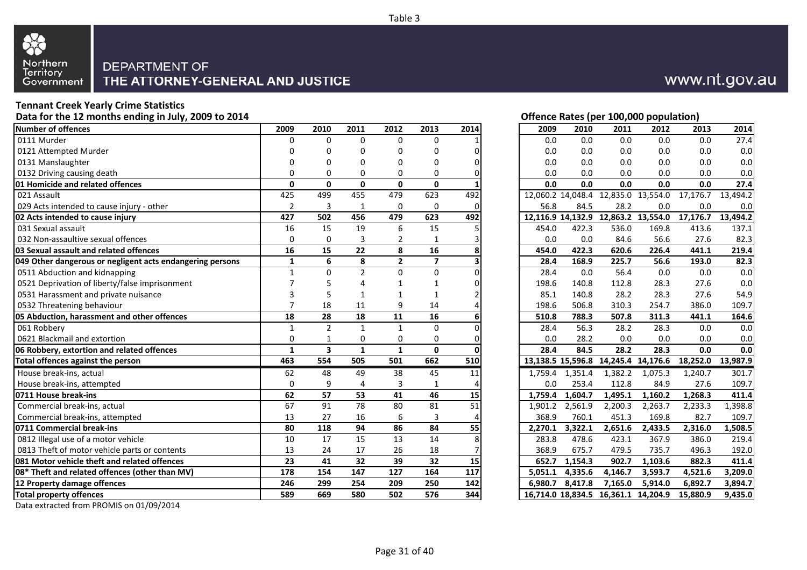

## **Tennant Creek Yearly Crime Statistics**

**Data for the 12 months ending in July, 2009 to 2014**

| Number of offences                                        | 2009           | 2010                    | 2011           | 2012           | 2013            | 2014 | 2009    | 2010              | 2011    | 2012                                    | 2013     | 2014     |
|-----------------------------------------------------------|----------------|-------------------------|----------------|----------------|-----------------|------|---------|-------------------|---------|-----------------------------------------|----------|----------|
| 0111 Murder                                               | O              | 0                       | $\Omega$       | 0              | 0               |      | 0.0     | 0.0               | 0.0     | 0.0                                     | 0.0      | 27.4     |
| 0121 Attempted Murder                                     |                | 0                       | O              | n              |                 |      | 0.0     | 0.0               | 0.0     | 0.0                                     | 0.0      | 0.0      |
| 0131 Manslaughter                                         |                | 0                       | O              | O              |                 |      | 0.0     | 0.0               | 0.0     | 0.0                                     | 0.0      | 0.0      |
| 0132 Driving causing death                                | $\Omega$       | 0                       | $\Omega$       | $\Omega$       | 0               |      | 0.0     | 0.0               | 0.0     | 0.0                                     | 0.0      | 0.0      |
| 01 Homicide and related offences                          | $\Omega$       | $\Omega$                | $\mathbf{0}$   | $\mathbf 0$    | $\mathbf{0}$    |      | 0.0     | 0.0               | 0.0     | 0.0                                     | 0.0      | 27.4     |
| 021 Assault                                               | 425            | 499                     | 455            | 479            | 623             | 492  |         | 12.060.2 14.048.4 |         | 12,835.0 13,554.0                       | 17,176.7 | 13.494.2 |
| 029 Acts intended to cause injury - other                 | 2              | 3                       | 1              | 0              | $\Omega$        |      | 56.8    | 84.5              | 28.2    | 0.0                                     | 0.0      | 0.0      |
| 02 Acts intended to cause injury                          | 427            | 502                     | 456            | 479            | 623             | 492  |         |                   |         | 12,116.9 14,132.9 12,863.2 13,554.0     | 17,176.7 | 13,494.2 |
| 031 Sexual assault                                        | 16             | $\overline{15}$         | 19             | 6              | $\overline{15}$ |      | 454.0   | 422.3             | 536.0   | 169.8                                   | 413.6    | 137.1    |
| 032 Non-assaultive sexual offences                        | 0              | 0                       | 3              | $\overline{2}$ | $\mathbf{1}$    |      | 0.0     | 0.0               | 84.6    | 56.6                                    | 27.6     | 82.3     |
| 03 Sexual assault and related offences                    | 16             | 15                      | 22             | 8              | 16              |      | 454.0   | 422.3             | 620.6   | 226.4                                   | 441.1    | 219.4    |
| 049 Other dangerous or negligent acts endangering persons | $\mathbf{1}$   | 6                       | 8              | $\overline{2}$ | $\overline{7}$  |      | 28.4    | 168.9             | 225.7   | 56.6                                    | 193.0    | 82.3     |
| 0511 Abduction and kidnapping                             | $\mathbf{1}$   | $\Omega$                | $\overline{2}$ | $\Omega$       | $\Omega$        |      | 28.4    | 0.0               | 56.4    | 0.0                                     | 0.0      | 0.0      |
| 0521 Deprivation of liberty/false imprisonment            |                | 5                       |                |                |                 |      | 198.6   | 140.8             | 112.8   | 28.3                                    | 27.6     | 0.0      |
| 0531 Harassment and private nuisance                      | 3              | 5                       |                |                |                 |      | 85.1    | 140.8             | 28.2    | 28.3                                    | 27.6     | 54.9     |
| 0532 Threatening behaviour                                | $\overline{7}$ | 18                      | 11             | 9              | 14              |      | 198.6   | 506.8             | 310.3   | 254.7                                   | 386.0    | 109.7    |
| 05 Abduction, harassment and other offences               | 18             | 28                      | 18             | 11             | 16              |      | 510.8   | 788.3             | 507.8   | 311.3                                   | 441.1    | 164.6    |
| 061 Robbery                                               | 1              | $\overline{2}$          | $\mathbf{1}$   | 1              | $\Omega$        |      | 28.4    | 56.3              | 28.2    | 28.3                                    | 0.0      | 0.0      |
| 0621 Blackmail and extortion                              | 0              | $\mathbf{1}$            | 0              | 0              | 0               |      | 0.0     | 28.2              | 0.0     | 0.0                                     | 0.0      | 0.0      |
| 06 Robbery, extortion and related offences                | $\mathbf{1}$   | $\overline{\mathbf{3}}$ | $\mathbf{1}$   | $\mathbf{1}$   | $\mathbf{0}$    |      | 28.4    | 84.5              | 28.2    | 28.3                                    | 0.0      | 0.0      |
| Total offences against the person                         | 463            | 554                     | 505            | 501            | 662             | 510  |         |                   |         | 13, 138.5 15, 596.8 14, 245.4 14, 176.6 | 18,252.0 | 13,987.9 |
| House break-ins, actual                                   | 62             | 48                      | 49             | 38             | 45              | 11   | 1,759.4 | 1,351.4           | 1,382.2 | 1,075.3                                 | 1,240.7  | 301.7    |
| House break-ins, attempted                                | $\mathbf 0$    | 9                       | 4              | 3              |                 |      | 0.0     | 253.4             | 112.8   | 84.9                                    | 27.6     | 109.7    |
| 0711 House break-ins                                      | 62             | 57                      | 53             | 41             | 46              | 15   | 1.759.4 | 1,604.7           | 1,495.1 | 1,160.2                                 | 1,268.3  | 411.4    |
| Commercial break-ins, actual                              | 67             | 91                      | 78             | 80             | 81              | 51   | 1,901.2 | 2,561.9           | 2,200.3 | 2,263.7                                 | 2,233.3  | 1,398.8  |
| Commercial break-ins, attempted                           | 13             | 27                      | 16             | 6              | 3               |      | 368.9   | 760.1             | 451.3   | 169.8                                   | 82.7     | 109.7    |
| 0711 Commercial break-ins                                 | 80             | 118                     | 94             | 86             | 84              | 55   | 2.270.1 | 3,322.1           | 2,651.6 | 2,433.5                                 | 2,316.0  | 1,508.5  |
| 0812 Illegal use of a motor vehicle                       | 10             | 17                      | 15             | 13             | 14              |      | 283.8   | 478.6             | 423.1   | 367.9                                   | 386.0    | 219.4    |
| 0813 Theft of motor vehicle parts or contents             | 13             | 24                      | 17             | 26             | 18              |      | 368.9   | 675.7             | 479.5   | 735.7                                   | 496.3    | 192.0    |
| 081 Motor vehicle theft and related offences              | 23             | 41                      | 32             | 39             | 32              | 15   | 652.7   | 1,154.3           | 902.7   | 1,103.6                                 | 882.3    | 411.4    |
| [08* Theft and related offences (other than MV)           | 178            | 154                     | 147            | 127            | 164             | 117  | 5,051.1 | 4,335.6           | 4,146.7 | 3,593.7                                 | 4,521.6  | 3,209.0  |
| 12 Property damage offences                               | 246            | 299                     | 254            | 209            | 250             | 142  | 6.980.7 | 8,417.8           | 7,165.0 | 5,914.0                                 | 6,892.7  | 3,894.7  |
| <b>Total property offences</b>                            | 589            | 669                     | 580            | 502            | 576             | 344  |         |                   |         | 16,714.0 18,834.5 16,361.1 14,204.9     | 15,880.9 | 9,435.0  |
|                                                           |                |                         |                |                |                 |      |         |                   |         |                                         |          |          |

Data extracted from PROMIS on 01/09/2014

|              |                         |                 |                |              |                 |         |                   |                                     | Offence Rates (per 100,000 population) |          |          |
|--------------|-------------------------|-----------------|----------------|--------------|-----------------|---------|-------------------|-------------------------------------|----------------------------------------|----------|----------|
| 2009         | 2010                    | 2011            | 2012           | 2013         | 2014            | 2009    | 2010              | 2011                                | 2012                                   | 2013     |          |
| $\Omega$     | 0                       | $\Omega$        | $\Omega$       | $\Omega$     |                 | 0.0     | 0.0               | 0.0                                 | 0.0                                    | 0.0      |          |
| 0            | 0                       | 0               | 0              | 0            | 0               | 0.0     | 0.0               | 0.0                                 | 0.0                                    | 0.0      |          |
| 0            | 0                       | $\Omega$        | 0              | 0            | 0               | 0.0     | 0.0               | 0.0                                 | 0.0                                    | 0.0      |          |
| 0            | 0                       | $\Omega$        | 0              | 0            |                 | 0.0     | 0.0               | 0.0                                 | 0.0                                    | 0.0      |          |
| 0            | 0                       | $\mathbf{0}$    | 0              | 0            |                 | 0.0     | 0.0               | 0.0                                 | 0.0                                    | 0.0      |          |
| 425          | 499                     | 455             | 479            | 623          | 492             |         |                   |                                     | 12,060.2 14,048.4 12,835.0 13,554.0    | 17,176.7 | 13,494.2 |
| 2            | 3                       | 1               | 0              | 0            | 0               | 56.8    | 84.5              | 28.2                                | 0.0                                    | 0.0      |          |
| 427          | 502                     | 456             | 479            | 623          | 492             |         | 12,116.9 14,132.9 |                                     | 12,863.2 13,554.0                      | 17,176.7 | 13,494.2 |
| 16           | 15                      | 19              | 6              | 15           | 5               | 454.0   | 422.3             | 536.0                               | 169.8                                  | 413.6    | 137.1    |
| 0            | 0                       | 3               | $\overline{2}$ | 1            |                 | 0.0     | 0.0               | 84.6                                | 56.6                                   | 27.6     |          |
| 16           | 15                      | 22              | 8              | 16           | 8               | 454.0   | 422.3             | 620.6                               | 226.4                                  | 441.1    | 219.4    |
| $\mathbf{1}$ | 6                       | 8               | $\overline{2}$ | 7            |                 | 28.4    | 168.9             | 225.7                               | 56.6                                   | 193.0    |          |
| $\mathbf{1}$ | 0                       | $\overline{2}$  | $\mathbf 0$    | 0            | 0               | 28.4    | 0.0               | 56.4                                | 0.0                                    | 0.0      |          |
| 7            | 5                       | 4               | 1              | 1            | 0               | 198.6   | 140.8             | 112.8                               | 28.3                                   | 27.6     |          |
| 3            | 5                       | $\mathbf{1}$    | 1              | 1            |                 | 85.1    | 140.8             | 28.2                                | 28.3                                   | 27.6     |          |
| 7            | 18                      | 11              | 9              | 14           |                 | 198.6   | 506.8             | 310.3                               | 254.7                                  | 386.0    | 109.7    |
| 18           | 28                      | 18              | 11             | 16           |                 | 510.8   | 788.3             | 507.8                               | 311.3                                  | 441.1    | 164.6    |
| $\mathbf{1}$ | $\overline{2}$          | $\mathbf{1}$    | $\mathbf{1}$   | 0            | 0               | 28.4    | 56.3              | 28.2                                | 28.3                                   | 0.0      |          |
| 0            | 1                       | 0               | 0              | 0            | 0               | 0.0     | 28.2              | 0.0                                 | 0.0                                    | 0.0      |          |
| $\mathbf{1}$ | $\overline{\mathbf{3}}$ | $\mathbf{1}$    | $\mathbf{1}$   | 0            | 0               | 28.4    | 84.5              | 28.2                                | 28.3                                   | 0.0      |          |
| 463          | 554                     | 505             | 501            | 662          | 510             |         | 13,138.5 15,596.8 |                                     | 14,245.4 14,176.6                      | 18,252.0 | 13,987.9 |
| 62           | 48                      | 49              | 38             | 45           | 11              | 1,759.4 | 1,351.4           | 1,382.2                             | 1,075.3                                | 1,240.7  | 301.7    |
| 0            | 9                       | $\overline{4}$  | 3              | $\mathbf{1}$ | 4               | 0.0     | 253.4             | 112.8                               | 84.9                                   | 27.6     | 109.7    |
| 62           | 57                      | $\overline{53}$ | 41             | 46           | 15              | 1,759.4 | 1,604.7           | 1,495.1                             | 1,160.2                                | 1,268.3  | 411.4    |
| 67           | $\overline{91}$         | $\overline{78}$ | 80             | 81           | $\overline{51}$ | 1,901.2 | 2,561.9           | 2,200.3                             | 2,263.7                                | 2,233.3  | 1,398.8  |
| 13           | 27                      | 16              | 6              | 3            | 4               | 368.9   | 760.1             | 451.3                               | 169.8                                  | 82.7     | 109.7    |
| 80           | 118                     | 94              | 86             | 84           | 55              | 2.270.1 | 3,322.1           | 2,651.6                             | 2,433.5                                | 2,316.0  | 1,508.5  |
| 10           | 17                      | 15              | 13             | 14           | 8               | 283.8   | 478.6             | 423.1                               | 367.9                                  | 386.0    | 219.4    |
| 13           | 24                      | 17              | 26             | 18           |                 | 368.9   | 675.7             | 479.5                               | 735.7                                  | 496.3    | 192.0    |
| 23           | 41                      | 32              | 39             | 32           | 15              | 652.7   | 1,154.3           | 902.7                               | 1,103.6                                | 882.3    | 411.4    |
| 178          | 154                     | 147             | 127            | 164          | 117             | 5,051.1 | 4,335.6           | 4,146.7                             | 3,593.7                                | 4,521.6  | 3,209.0  |
| 246          | 299                     | 254             | 209            | 250          | 142             | 6,980.7 | 8,417.8           | 7,165.0                             | 5,914.0                                | 6,892.7  | 3,894.7  |
| 589          | 669                     | 580             | 502            | 576          | 344             |         |                   | 16.714.0 18.834.5 16.361.1 14.204.9 |                                        | 15.880.9 | 9.435.0  |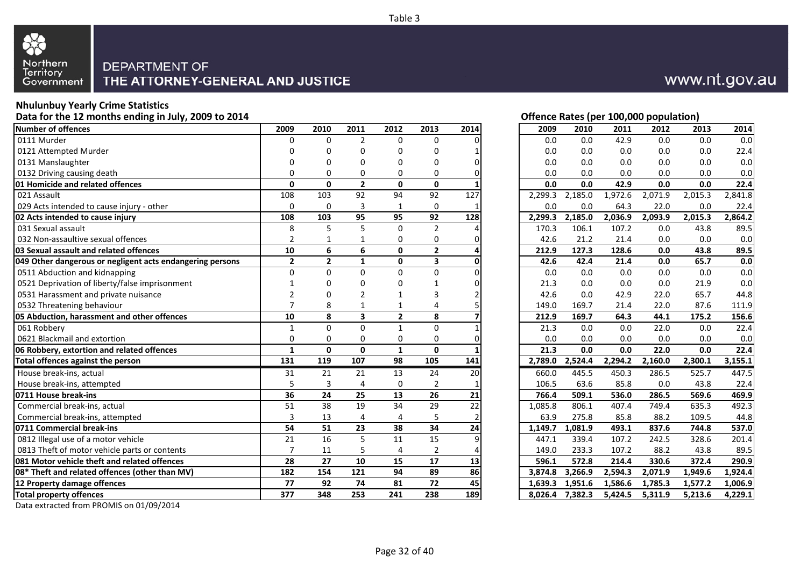

#### **Nhulunbuy Yearly Crime Statistics**

**Data for the 12 months ending in July, 2009 to 2014**

| <b>Number of offences</b>                                 | 2009                    | 2010           | 2011                    | 2012            | 2013                    | 2014 | 2009    | 2010    | 2011    | 2012    | 2013    | 2014    |
|-----------------------------------------------------------|-------------------------|----------------|-------------------------|-----------------|-------------------------|------|---------|---------|---------|---------|---------|---------|
| 0111 Murder                                               | 0                       | 0              | $\overline{2}$          | $\Omega$        | $\Omega$                |      | 0.0     | 0.0     | 42.9    | 0.0     | 0.0     | 0.0     |
| 0121 Attempted Murder                                     | 0                       | 0              | U                       | <sup>0</sup>    | 0                       |      | 0.0     | 0.0     | 0.0     | 0.0     | 0.0     | 22.4    |
| 0131 Manslaughter                                         | 0                       | 0              | 0                       | U               | 0                       |      | 0.0     | 0.0     | 0.0     | 0.0     | 0.0     | 0.0     |
| 0132 Driving causing death                                | 0                       | $\Omega$       | 0                       | $\Omega$        | 0                       |      | 0.0     | 0.0     | 0.0     | 0.0     | 0.0     | 0.0     |
| 01 Homicide and related offences                          | 0                       | 0              | $\overline{2}$          | $\mathbf{0}$    | $\mathbf{0}$            |      | 0.0     | 0.0     | 42.9    | 0.0     | 0.0     | 22.4    |
| 021 Assault                                               | 108                     | 103            | 92                      | 94              | 92                      | 127  | 2,299.3 | 2,185.0 | 1,972.6 | 2,071.9 | 2,015.3 | 2,841.8 |
| 029 Acts intended to cause injury - other                 | 0                       | 0              | 3                       | 1               | 0                       |      | 0.0     | 0.0     | 64.3    | 22.0    | 0.0     | 22.4    |
| 02 Acts intended to cause injury                          | 108                     | 103            | 95                      | 95              | 92                      | 128  | 2.299.3 | 2,185.0 | 2,036.9 | 2,093.9 | 2,015.3 | 2,864.2 |
| 031 Sexual assault                                        | 8                       | 5              | 5                       | $\Omega$        | $\overline{2}$          |      | 170.3   | 106.1   | 107.2   | 0.0     | 43.8    | 89.5    |
| 032 Non-assaultive sexual offences                        | 2                       | 1              |                         | 0               | 0                       |      | 42.6    | 21.2    | 21.4    | 0.0     | 0.0     | 0.0     |
| 03 Sexual assault and related offences                    | 10                      | 6              | 6                       | $\mathbf{0}$    | $\overline{2}$          |      | 212.9   | 127.3   | 128.6   | 0.0     | 43.8    | 89.5    |
| 049 Other dangerous or negligent acts endangering persons | $\overline{\mathbf{2}}$ | $\overline{2}$ | $\mathbf{1}$            | $\mathbf{0}$    | $\overline{\mathbf{3}}$ |      | 42.6    | 42.4    | 21.4    | 0.0     | 65.7    | 0.0     |
| 0511 Abduction and kidnapping                             | $\Omega$                | $\Omega$       | $\Omega$                | $\Omega$        | $\Omega$                |      | 0.0     | 0.0     | 0.0     | 0.0     | 0.0     | 0.0     |
| 0521 Deprivation of liberty/false imprisonment            |                         | 0              | 0                       | 0               |                         |      | 21.3    | 0.0     | 0.0     | 0.0     | 21.9    | 0.0     |
| 0531 Harassment and private nuisance                      | 2                       | 0              | 2                       | 1               |                         |      | 42.6    | 0.0     | 42.9    | 22.0    | 65.7    | 44.8    |
| 0532 Threatening behaviour                                | $\overline{7}$          | 8              |                         | $\mathbf 1$     | 4                       |      | 149.0   | 169.7   | 21.4    | 22.0    | 87.6    | 111.9   |
| 05 Abduction, harassment and other offences               | 10                      | 8              | $\overline{\mathbf{3}}$ | $\overline{2}$  | 8                       |      | 212.9   | 169.7   | 64.3    | 44.1    | 175.2   | 156.6   |
| 061 Robbery                                               | $\mathbf{1}$            | 0              | $\Omega$                | $\mathbf{1}$    | $\Omega$                |      | 21.3    | 0.0     | 0.0     | 22.0    | 0.0     | 22.4    |
| 0621 Blackmail and extortion                              | 0                       | 0              | 0                       | 0               | 0                       |      | 0.0     | 0.0     | 0.0     | 0.0     | 0.0     | 0.0     |
| 06 Robbery, extortion and related offences                | $\mathbf{1}$            | $\Omega$       | $\mathbf{0}$            | $\mathbf{1}$    | $\mathbf{0}$            |      | 21.3    | 0.0     | 0.0     | 22.0    | 0.0     | 22.4    |
| Total offences against the person                         | 131                     | 119            | 107                     | 98              | 105                     | 141  | 2,789.0 | 2,524.4 | 2,294.2 | 2,160.0 | 2,300.1 | 3,155.1 |
| House break-ins, actual                                   | 31                      | 21             | 21                      | 13              | 24                      | 20   | 660.0   | 445.5   | 450.3   | 286.5   | 525.7   | 447.5   |
| House break-ins, attempted                                | 5                       | 3              | 4                       | $\mathbf 0$     | $\overline{2}$          |      | 106.5   | 63.6    | 85.8    | 0.0     | 43.8    | 22.4    |
| 0711 House break-ins                                      | $\overline{36}$         | 24             | 25                      | 13              | $\overline{26}$         | 21   | 766.4   | 509.1   | 536.0   | 286.5   | 569.6   | 469.9   |
| Commercial break-ins, actual                              | 51                      | 38             | 19                      | 34              | 29                      | 22   | 1,085.8 | 806.1   | 407.4   | 749.4   | 635.3   | 492.3   |
| Commercial break-ins, attempted                           | 3                       | 13             | 4                       | 4               | 5                       |      | 63.9    | 275.8   | 85.8    | 88.2    | 109.5   | 44.8    |
| 0711 Commercial break-ins                                 | 54                      | 51             | 23                      | 38              | 34                      | 24   | 1,149.7 | 1,081.9 | 493.1   | 837.6   | 744.8   | 537.0   |
| 0812 Illegal use of a motor vehicle                       | $\overline{21}$         | 16             | 5                       | $\overline{11}$ | 15                      |      | 447.1   | 339.4   | 107.2   | 242.5   | 328.6   | 201.4   |
| 0813 Theft of motor vehicle parts or contents             | $\overline{7}$          | 11             | 5                       | 4               | $\overline{2}$          |      | 149.0   | 233.3   | 107.2   | 88.2    | 43.8    | 89.5    |
| 081 Motor vehicle theft and related offences              | 28                      | 27             | 10                      | 15              | 17                      | 13   | 596.1   | 572.8   | 214.4   | 330.6   | 372.4   | 290.9   |
| 08* Theft and related offences (other than MV)            | 182                     | 154            | 121                     | 94              | 89                      | 86   | 3,874.8 | 3,266.9 | 2,594.3 | 2,071.9 | 1,949.6 | 1,924.4 |
| 12 Property damage offences                               | 77                      | 92             | 74                      | 81              | 72                      | 45   | 1.639.3 | 1,951.6 | 1,586.6 | 1,785.3 | 1,577.2 | 1,006.9 |
| <b>Total property offences</b>                            | 377                     | 348            | 253                     | 241             | 238                     | 189  | 8.026.4 | 7.382.3 | 5.424.5 | 5,311.9 | 5.213.6 | 4.229.1 |

Data extracted from PROMIS on 01/09/2014

|                         |                |                         |              |                         |                 |         |         |         | Offence Rates (per 100,000 population) |         |         |
|-------------------------|----------------|-------------------------|--------------|-------------------------|-----------------|---------|---------|---------|----------------------------------------|---------|---------|
| 2009                    | 2010           | 2011                    | 2012         | 2013                    | 2014            | 2009    | 2010    | 2011    | 2012                                   | 2013    |         |
| 0                       | 0              | $\overline{2}$          | $\mathbf 0$  | $\mathbf 0$             | 0               | 0.0     | 0.0     | 42.9    | 0.0                                    | 0.0     |         |
| 0                       | 0              | 0                       | 0            | 0                       |                 | 0.0     | 0.0     | 0.0     | 0.0                                    | 0.0     |         |
| 0                       | 0              | 0                       | 0            | 0                       | 0               | 0.0     | 0.0     | 0.0     | 0.0                                    | 0.0     |         |
| 0                       | 0              | 0                       | 0            | 0                       | 0               | 0.0     | 0.0     | 0.0     | 0.0                                    | 0.0     |         |
| 0                       | 0              | $\overline{\mathbf{2}}$ | 0            | 0                       |                 | 0.0     | 0.0     | 42.9    | 0.0                                    | 0.0     |         |
| 108                     | 103            | 92                      | 94           | 92                      | 127             | 2,299.3 | 2,185.0 | 1,972.6 | 2,071.9                                | 2,015.3 | 2,841.8 |
| 0                       | 0              | 3                       | 1            | 0                       |                 | 0.0     | 0.0     | 64.3    | 22.0                                   | 0.0     |         |
| 108                     | 103            | 95                      | 95           | 92                      | 128             | 2,299.3 | 2,185.0 | 2,036.9 | 2,093.9                                | 2,015.3 | 2,864.2 |
| 8                       | 5              | $\overline{5}$          | $\pmb{0}$    | $\overline{2}$          | 4               | 170.3   | 106.1   | 107.2   | 0.0                                    | 43.8    |         |
| $\overline{2}$          | 1              | 1                       | 0            | 0                       | 0               | 42.6    | 21.2    | 21.4    | 0.0                                    | 0.0     |         |
| 10                      | 6              | 6                       | 0            | 2                       | 4               | 212.9   | 127.3   | 128.6   | 0.0                                    | 43.8    | 89.5    |
| $\mathbf{2}$            | $\overline{2}$ | $\mathbf{1}$            | $\pmb{0}$    | $\overline{\mathbf{3}}$ | 0               | 42.6    | 42.4    | 21.4    | 0.0                                    | 65.7    |         |
| 0                       | 0              | 0                       | 0            | 0                       | 0               | 0.0     | 0.0     | 0.0     | 0.0                                    | 0.0     |         |
| 1                       | 0              | 0                       | 0            | 1                       | 0               | 21.3    | 0.0     | 0.0     | 0.0                                    | 21.9    |         |
| $\overline{\mathbf{c}}$ | 0              | $\overline{2}$          | 1            | 3                       |                 | 42.6    | 0.0     | 42.9    | 22.0                                   | 65.7    | 44.8    |
| $\overline{7}$          | 8              | $\mathbf{1}$            | 1            | 4                       | 5               | 149.0   | 169.7   | 21.4    | 22.0                                   | 87.6    | 111.9   |
| ${\bf 10}$              | 8              | 3                       | $\mathbf 2$  | 8                       |                 | 212.9   | 169.7   | 64.3    | 44.1                                   | 175.2   | 156.6   |
| $\mathbf{1}$            | 0              | 0                       | $\mathbf{1}$ | 0                       |                 | 21.3    | 0.0     | 0.0     | 22.0                                   | 0.0     | 22.4    |
| 0                       | 0              | 0                       | 0            | 0                       | 0               | 0.0     | 0.0     | 0.0     | 0.0                                    | 0.0     |         |
| $\mathbf{1}$            | 0              | 0                       | $\mathbf{1}$ | 0                       |                 | 21.3    | 0.0     | 0.0     | 22.0                                   | 0.0     | 22.4    |
| 131                     | 119            | 107                     | 98           | 105                     | 141             | 2,789.0 | 2,524.4 | 2,294.2 | 2,160.0                                | 2,300.1 | 3,155.1 |
| 31                      | 21             | 21                      | 13           | 24                      | 20              | 660.0   | 445.5   | 450.3   | 286.5                                  | 525.7   | 447.5   |
| 5                       | 3              | 4                       | 0            | 2                       | 1               | 106.5   | 63.6    | 85.8    | 0.0                                    | 43.8    | 22.4    |
| $\overline{36}$         | 24             | 25                      | 13           | 26                      | 21              | 766.4   | 509.1   | 536.0   | 286.5                                  | 569.6   | 469.9   |
| 51                      | 38             | $\overline{19}$         | 34           | 29                      | $\overline{22}$ | 1,085.8 | 806.1   | 407.4   | 749.4                                  | 635.3   | 492.3   |
| 3                       | 13             | 4                       | 4            | 5                       | $\overline{2}$  | 63.9    | 275.8   | 85.8    | 88.2                                   | 109.5   | 44.8    |
| 54                      | 51             | 23                      | 38           | 34                      | 24              | 1,149.7 | 1,081.9 | 493.1   | 837.6                                  | 744.8   | 537.0   |
| 21                      | 16             | $\overline{5}$          | 11           | 15                      | 9               | 447.1   | 339.4   | 107.2   | 242.5                                  | 328.6   | 201.4   |
| $\overline{7}$          | 11             | 5                       | 4            | $\overline{\mathbf{c}}$ |                 | 149.0   | 233.3   | 107.2   | 88.2                                   | 43.8    | 89.5    |
| 28                      | 27             | 10                      | 15           | 17                      | 13              | 596.1   | 572.8   | 214.4   | 330.6                                  | 372.4   | 290.9   |
| 182                     | 154            | 121                     | 94           | 89                      | 86              | 3,874.8 | 3,266.9 | 2,594.3 | 2,071.9                                | 1,949.6 | 1,924.4 |
| 77                      | 92             | 74                      | 81           | 72                      | 45              | 1,639.3 | 1,951.6 | 1,586.6 | 1,785.3                                | 1,577.2 | 1,006.9 |
| 377                     | 348            | 253                     | 241          | 238                     | 189             | 8,026.4 | 7,382.3 | 5,424.5 | 5,311.9                                | 5,213.6 | 4,229.1 |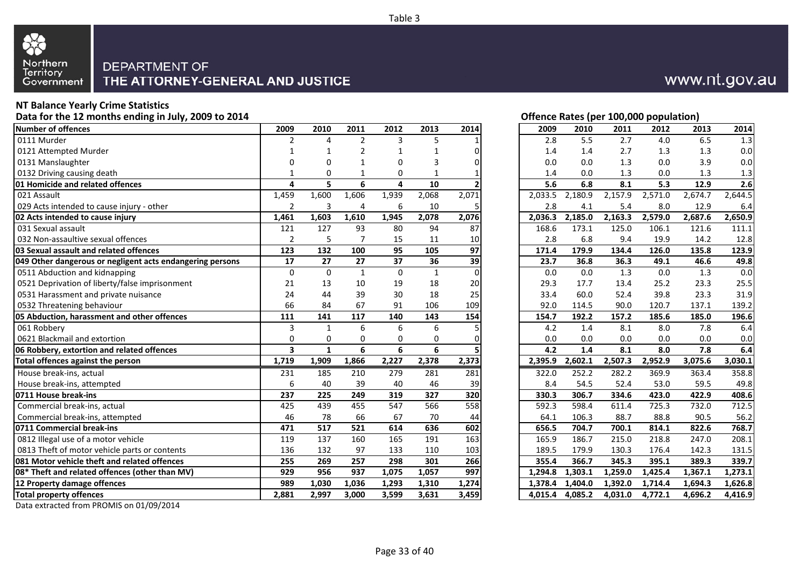

#### **NT Balance Yearly Crime Statistics**

**Data for the 12 months ending in July, 2009 to 2014**

| <b>Number of offences</b>                                 | 2009                    | 2010         | 2011           | 2012     | 2013         | 2014     | 2009    | 2010    | 2011                 | 2012    | 2013    | 2014    |
|-----------------------------------------------------------|-------------------------|--------------|----------------|----------|--------------|----------|---------|---------|----------------------|---------|---------|---------|
| 0111 Murder                                               | $\overline{2}$          | 4            | 2              | 3        | 5            |          | 2.8     | 5.5     | 2.7                  | 4.0     | 6.5     | 1.3     |
| 0121 Attempted Murder                                     | 1                       | 1            | 2              | 1        |              | ი        | 1.4     | 1.4     | 2.7                  | 1.3     | 1.3     | 0.0     |
| 0131 Manslaughter                                         | 0                       | 0            |                | $\Omega$ | 3            |          | 0.0     | 0.0     | 1.3                  | 0.0     | 3.9     | 0.0     |
| 0132 Driving causing death                                | 1                       | $\Omega$     |                | 0        |              |          | 1.4     | 0.0     | 1.3                  | 0.0     | 1.3     | 1.3     |
| 01 Homicide and related offences                          | 4                       | 5            | 6              | 4        | 10           |          | 5.6     | 6.8     | 8.1                  | 5.3     | 12.9    | 2.6     |
| 021 Assault                                               | 1,459                   | 1,600        | 1,606          | 1,939    | 2,068        | 2,071    | 2,033.5 | 2,180.9 | 2,157.9              | 2,571.0 | 2,674.7 | 2,644.5 |
| 029 Acts intended to cause injury - other                 | $\overline{2}$          | 3            | 4              | 6        | 10           | 5        | 2.8     | 4.1     | 5.4                  | 8.0     | 12.9    | 6.4     |
| 02 Acts intended to cause injury                          | 1,461                   | 1,603        | 1,610          | 1,945    | 2,078        | 2,076    | 2,036.3 | 2,185.0 | 2,163.3              | 2,579.0 | 2,687.6 | 2,650.9 |
| 031 Sexual assault                                        | 121                     | 127          | 93             | 80       | 94           | 87       | 168.6   | 173.1   | 125.0                | 106.1   | 121.6   | 111.1   |
| 032 Non-assaultive sexual offences                        | $\overline{2}$          | 5            | $\overline{7}$ | 15       | 11           | 10       | 2.8     | 6.8     | 9.4                  | 19.9    | 14.2    | 12.8    |
| 03 Sexual assault and related offences                    | 123                     | 132          | 100            | 95       | 105          | 97       | 171.4   | 179.9   | 134.4                | 126.0   | 135.8   | 123.9   |
| 049 Other dangerous or negligent acts endangering persons | 17                      | 27           | 27             | 37       | 36           | 39       | 23.7    | 36.8    | 36.3                 | 49.1    | 46.6    | 49.8    |
| 0511 Abduction and kidnapping                             | $\mathbf 0$             | $\Omega$     | $\mathbf{1}$   | $\Omega$ | $\mathbf{1}$ | $\Omega$ | 0.0     | 0.0     | 1.3                  | 0.0     | 1.3     | 0.0     |
| 0521 Deprivation of liberty/false imprisonment            | 21                      | 13           | 10             | 19       | 18           | 20       | 29.3    | 17.7    | 13.4                 | 25.2    | 23.3    | 25.5    |
| 0531 Harassment and private nuisance                      | 24                      | 44           | 39             | 30       | 18           | 25       | 33.4    | 60.0    | 52.4                 | 39.8    | 23.3    | 31.9    |
| 0532 Threatening behaviour                                | 66                      | 84           | 67             | 91       | 106          | 109      | 92.0    | 114.5   | 90.0                 | 120.7   | 137.1   | 139.2   |
| 05 Abduction, harassment and other offences               | 111                     | 141          | 117            | 140      | 143          | 154      | 154.7   | 192.2   | 157.2                | 185.6   | 185.0   | 196.6   |
| 061 Robberv                                               | 3                       | $\mathbf{1}$ | 6              | 6        | 6            |          | 4.2     | 1.4     | 8.1                  | 8.0     | 7.8     | 6.4     |
| 0621 Blackmail and extortion                              | $\mathbf 0$             | 0            | 0              | 0        | 0            |          | 0.0     | 0.0     | 0.0                  | 0.0     | 0.0     | 0.0     |
| 06 Robbery, extortion and related offences                | $\overline{\mathbf{3}}$ | $\mathbf{1}$ | 6              | 6        | 6            |          | 4.2     | 1.4     | 8.1                  | 8.0     | 7.8     | 6.4     |
| Total offences against the person                         | 1,719                   | 1,909        | 1,866          | 2,227    | 2,378        | 2,373    | 2.395.9 | 2,602.1 | $2,507.\overline{3}$ | 2,952.9 | 3,075.6 | 3,030.1 |
| House break-ins, actual                                   | 231                     | 185          | 210            | 279      | 281          | 281      | 322.0   | 252.2   | 282.2                | 369.9   | 363.4   | 358.8   |
| House break-ins, attempted                                | 6                       | 40           | 39             | 40       | 46           | 39       | 8.4     | 54.5    | 52.4                 | 53.0    | 59.5    | 49.8    |
| 0711 House break-ins                                      | 237                     | 225          | 249            | 319      | 327          | 320      | 330.3   | 306.7   | 334.6                | 423.0   | 422.9   | 408.6   |
| Commercial break-ins, actual                              | 425                     | 439          | 455            | 547      | 566          | 558      | 592.3   | 598.4   | 611.4                | 725.3   | 732.0   | 712.5   |
| Commercial break-ins, attempted                           | 46                      | 78           | 66             | 67       | 70           | 44       | 64.1    | 106.3   | 88.7                 | 88.8    | 90.5    | 56.2    |
| 0711 Commercial break-ins                                 | 471                     | 517          | 521            | 614      | 636          | 602      | 656.5   | 704.7   | 700.1                | 814.1   | 822.6   | 768.7   |
| 0812 Illegal use of a motor vehicle                       | 119                     | 137          | 160            | 165      | 191          | 163      | 165.9   | 186.7   | 215.0                | 218.8   | 247.0   | 208.1   |
| 0813 Theft of motor vehicle parts or contents             | 136                     | 132          | 97             | 133      | 110          | 103      | 189.5   | 179.9   | 130.3                | 176.4   | 142.3   | 131.5   |
| 081 Motor vehicle theft and related offences              | 255                     | 269          | 257            | 298      | 301          | 266      | 355.4   | 366.7   | 345.3                | 395.1   | 389.3   | 339.7   |
| 08* Theft and related offences (other than MV)            | 929                     | 956          | 937            | 1,075    | 1,057        | 997      | 1,294.8 | 1,303.1 | 1,259.0              | 1,425.4 | 1,367.1 | 1,273.1 |
| 12 Property damage offences                               | 989                     | 1,030        | 1,036          | 1,293    | 1,310        | 1,274    | 1.378.4 | 1.404.0 | 1,392.0              | 1,714.4 | 1,694.3 | 1,626.8 |
| <b>Total property offences</b>                            | 2,881                   | 2,997        | 3,000          | 3,599    | 3,631        | 3,459    | 4.015.4 | 4,085.2 | 4,031.0              | 4,772.1 | 4,696.2 | 4,416.9 |
|                                                           |                         |              |                |          |              |          |         |         |                      |         |         |         |

#### Data extracted from PROMIS on 01/09/2014

| Offence Rates (per 100,000 population) |               |        |               |        |         |
|----------------------------------------|---------------|--------|---------------|--------|---------|
| 2009                                   | 2010          | 2011   | 2012          | 2013   | 2014    |
| 2.8                                    | 5.5           | 2.7    | 4.0           | 6.5    | 1.3     |
| 1.4                                    | 1.4           | 2.7    | 1.3           | 1.3    | $0.0\,$ |
| 0.0                                    | 0.0           | 1.3    | 0.0           | 3.9    | 0.0     |
| $\overline{a}$                         | $\sim$ $\sim$ | $\sim$ | $\sim$ $\sim$ | $\sim$ | $\sim$  |

#### Table 3

## www.nt.gov.au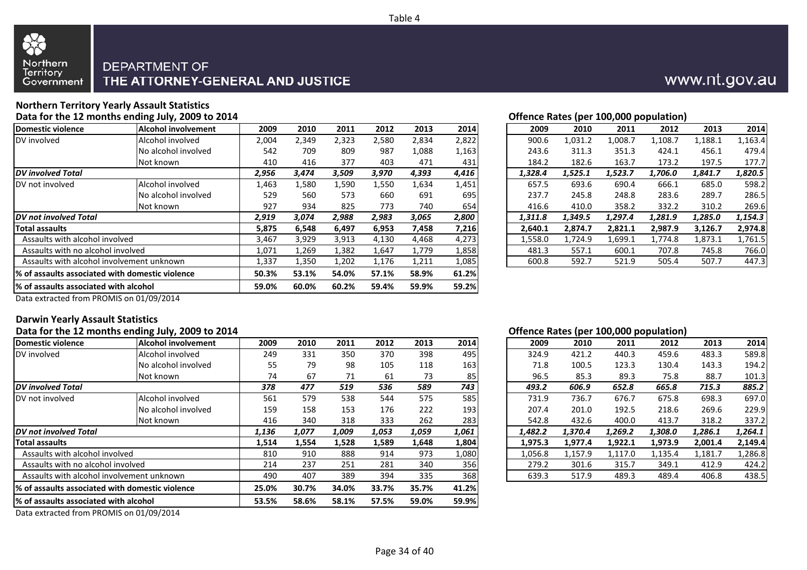



## **Northern Territory Yearly Assault Statistics**

**Data for the 12 months ending July, 2009 to 2014**

| <b>IAlcohol involvement</b>                      | 2009  | 2010  | 2011  | 2012  | 2013  | 2014  | 2009    | 2010    | 2011    | 2012    | 2013    | 2014    |
|--------------------------------------------------|-------|-------|-------|-------|-------|-------|---------|---------|---------|---------|---------|---------|
| Alcohol involved                                 | 2,004 | 2,349 | 2,323 | 2,580 | 2,834 | 2,822 | 900.6   | 1,031.2 | 1,008.7 | 1,108.7 | L,188.1 | 1,163.4 |
| No alcohol involved                              | 542   | 709   | 809   | 987   | 1,088 | 1,163 | 243.6   | 311.3   | 351.3   | 424.1   | 456.1   | 479.4   |
| Not known                                        | 410   | 416   | 377   | 403   | 471   | 431   | 184.2   | 182.6   | 163.7   | 173.2   | 197.5   | 177.7   |
|                                                  | 2,956 | 3,474 | 3,509 | 3,970 | 4,393 | 4,416 | 1,328.4 | 1,525.1 | 1,523.7 | 1,706.0 | 1,841.7 | 1,820.5 |
| Alcohol involved                                 | 1,463 | 1,580 | 1,590 | 1,550 | 1,634 | 1,451 | 657.5   | 693.6   | 690.4   | 666.1   | 685.0   | 598.2   |
| No alcohol involved                              | 529   | 560   | 573   | 660   | 691   | 695   | 237.7   | 245.8   | 248.8   | 283.6   | 289.7   | 286.5   |
| Not known                                        | 927   | 934   | 825   | 773   | 740   | 654   | 416.6   | 410.0   | 358.2   | 332.2   | 310.2   | 269.6   |
| <b>DV</b> not involved Total                     |       | 3,074 | 2,988 | 2,983 | 3,065 | 2,800 | 1,311.8 | 1,349.5 | 1,297.4 | 1,281.9 | 1,285.0 | 1,154.3 |
|                                                  | 5,875 | 6,548 | 6,497 | 6,953 | 7,458 | 7,216 | 2,640.1 | 2,874.7 | 2,821.1 | 2,987.9 | 3,126.7 | 2,974.8 |
| Assaults with alcohol involved                   | 3,467 | 3,929 | 3,913 | 4,130 | 4,468 | 4,273 | 1,558.0 | 1,724.9 | 1,699.1 | 1,774.8 | 1,873.1 | 1,761.5 |
| Assaults with no alcohol involved                | 1,071 | 1,269 | 1,382 | 1,647 | 1,779 | 1,858 | 481.3   | 557.1   | 600.1   | 707.8   | 745.8   | 766.0   |
| Assaults with alcohol involvement unknown        | 1,337 | 1,350 | 1,202 | 1,176 | 1,211 | 1,085 | 600.8   | 592.7   | 521.9   | 505.4   | 507.7   | 447.3   |
| l% of assaults associated with domestic violence | 50.3% | 53.1% | 54.0% | 57.1% | 58.9% | 61.2% |         |         |         |         |         |         |
| % of assaults associated with alcohol            | 59.0% | 60.0% | 60.2% | 59.4% | 59.9% | 59.2% |         |         |         |         |         |         |
|                                                  |       | 2,919 |       |       |       |       |         |         |         |         |         |         |

|       |       |       |       |       |         | Offence Rates (per 100,000 population) |         |         |         |         |
|-------|-------|-------|-------|-------|---------|----------------------------------------|---------|---------|---------|---------|
| 2009  | 2010  | 2011  | 2012  | 2013  | 2014    | 2009                                   | 2010    | 2011    | 2012    | 2013    |
| 2,004 | 2,349 | 2,323 | 2,580 | 2,834 | ا 2,822 | 900.6                                  | 1,031.2 | 1,008.∶ | 1,108.7 | 1,188.1 |

| )4  | 2,349 | 2,323 | 2,580 | 2,834 | 2,822 | 900.6   | 1,031.2 | 1,008.7 | 1,108.7 | 1,188.1 | 1,163.4 |
|-----|-------|-------|-------|-------|-------|---------|---------|---------|---------|---------|---------|
| 12  | 709   | 809   | 987   | 1,088 | 1,163 | 243.6   | 311.3   | 351.3   | 424.1   | 456.1   | 479.4   |
| LO. | 416   | 377   | 403   | 471   | 431   | 184.2   | 182.6   | 163.7   | 173.2   | 197.5   | 177.7   |
| 6   | 3,474 | 3,509 | 3,970 | 4,393 | 4,416 | 1.328.4 | 1,525.1 | 1,523.7 | 1,706.0 | 1,841.7 | 1,820.5 |
| 53  | 1,580 | 1,590 | 1,550 | 1,634 | 1,451 | 657.5   | 693.6   | 690.4   | 666.1   | 685.0   | 598.2   |
| و.  | 560   | 573   | 660   | 691   | 695   | 237.7   | 245.8   | 248.8   | 283.6   | 289.7   | 286.5   |
| 27  | 934   | 825   | 773   | 740   | 654   | 416.6   | 410.0   | 358.2   | 332.2   | 310.2   | 269.6   |
| 9   | 3,074 | 2,988 | 2,983 | 3,065 | 2,800 | 1.311.8 | 1,349.5 | 1.297.4 | 1.281.9 | 1.285.0 | 1,154.3 |
| 75. | 6,548 | 6,497 | 6,953 | 7,458 | 7,216 | 2,640.1 | 2,874.7 | 2,821.1 | 2,987.9 | 3,126.7 | 2,974.8 |
| 57  | 3,929 | 3,913 | 4,130 | 4,468 | 4,273 | 1,558.0 | 1,724.9 | 1,699.1 | 1,774.8 | 1,873.1 | 1,761.5 |
|     | 1,269 | 1,382 | 1,647 | 1,779 | 1,858 | 481.3   | 557.1   | 600.1   | 707.8   | 745.8   | 766.0   |
| 37  | 1,350 | 1,202 | 1,176 | 1,211 | 1,085 | 600.8   | 592.7   | 521.9   | 505.4   | 507.7   | 447.3   |
|     |       |       |       |       |       |         |         |         |         |         |         |

Data extracted from PROMIS on 01/09/2014

#### **Darwin Yearly Assault Statistics**

#### **Data for the 12 months ending July, 2009 to 2014**

|                                                 | . .                 |       |       |       |       |       |       |         |         |         |         |         |         |
|-------------------------------------------------|---------------------|-------|-------|-------|-------|-------|-------|---------|---------|---------|---------|---------|---------|
| Domestic violence                               | Alcohol involvement | 2009  | 2010  | 2011  | 2012  | 2013  | 2014  | 2009    | 2010    | 2011    | 2012    | 2013    | 2014    |
| DV involved                                     | Alcohol involved    | 249   | 331   | 350   | 370   | 398   | 495   | 324.9   | 421.2   | 440.3   | 459.6   | 483.3   | 589.8   |
|                                                 | No alcohol involved | 55    | 79    | 98    | 105   | 118   | 163   | 71.8    | 100.5   | 123.3   | 130.4   | 143.3   | 194.2   |
|                                                 | Not known           | 74    | 67    | 71    | 61    | 73    | 85    | 96.5    | 85.3    | 89.3    | 75.8    | 88.7    | 101.3   |
| <b>IDV</b> involved Total                       |                     | 378   | 477   | 519   | 536   | 589   | 743   | 493.2   | 606.9   | 652.8   | 665.8   | 715.3   | 885.2   |
| DV not involved                                 | Alcohol involved    | 561   | 579   | 538   | 544   | 575   | 585   | 731.9   | 736.7   | 676.7   | 675.8   | 698.3   | 697.0   |
|                                                 | No alcohol involved | 159   | 158   | 153   | 176   | 222   | 193   | 207.4   | 201.0   | 192.5   | 218.6   | 269.6   | 229.9   |
|                                                 | Not known           | 416   | 340   | 318   | 333   | 262   | 283   | 542.8   | 432.6   | 400.0   | 413.7   | 318.2   | 337.2   |
| <b>IDV</b> not involved Total                   |                     | 1,136 | 1,077 | 1,009 | 1,053 | 1,059 | 1,061 | 1,482.2 | 1,370.4 | 1,269.2 | 1,308.0 | 1,286.1 | 1,264.1 |
| Total assaults                                  |                     | 1,514 | 1,554 | 1,528 | 1,589 | 1.648 | 1,804 | 1,975.3 | 1,977.4 | 1,922.1 | 1,973.9 | 2,001.4 | 2,149.4 |
| Assaults with alcohol involved                  |                     | 810   | 910   | 888   | 914   | 973   | 1,080 | 1,056.8 | 1,157.9 | 1,117.0 | 1,135.4 | 1,181.7 | 1,286.8 |
| Assaults with no alcohol involved               |                     | 214   | 237   | 251   | 281   | 340   | 356   | 279.2   | 301.6   | 315.7   | 349.1   | 412.9   | 424.2   |
| Assaults with alcohol involvement unknown       |                     | 490   | 407   | 389   | 394   | 335   | 368   | 639.3   | 517.9   | 489.3   | 489.4   | 406.8   | 438.5   |
| % of assaults associated with domestic violence |                     | 25.0% | 30.7% | 34.0% | 33.7% | 35.7% | 41.2% |         |         |         |         |         |         |
| 1% of assaults associated with alcohol          |                     | 53.5% | 58.6% | 58.1% | 57.5% | 59.0% | 59.9% |         |         |         |         |         |         |
|                                                 |                     |       |       |       |       |       |       |         |         |         |         |         |         |

Data extracted from PROMIS on 01/09/2014

#### **Offence Rates (per 100,000 population)**

| )9  | 2010  | 2011  | 2012  | 2013  | 2014       | 2009    | 2010    | 2011    | 2012    | 2013    | 2014    |
|-----|-------|-------|-------|-------|------------|---------|---------|---------|---------|---------|---------|
| ١9  | 331   | 350   | 370   | 398   | 495        | 324.9   | 421.2   | 440.3   | 459.6   | 483.3   | 589.8   |
| 55  | 79    | 98    | 105   | 118   | 163        | 71.8    | 100.5   | 123.3   | 130.4   | 143.3   | 194.2   |
| 14  | 67    | 71    | 61    | 73    | 85         | 96.5    | 85.3    | 89.3    | 75.8    | 88.7    | 101.3   |
| 8   | 477   | 519   | 536   | 589   | 743        | 493.2   | 606.9   | 652.8   | 665.8   | 715.3   | 885.2   |
| 51  | 579   | 538   | 544   | 575   | <b>585</b> | 731.9   | 736.7   | 676.7   | 675.8   | 698.3   | 697.0   |
| 59  | 158   | 153   | 176   | 222   | 193        | 207.4   | 201.0   | 192.5   | 218.6   | 269.6   | 229.9   |
| 16  | 340   | 318   | 333   | 262   | 283        | 542.8   | 432.6   | 400.0   | 413.7   | 318.2   | 337.2   |
| 6   | 1,077 | 1.009 | 1,053 | 1.059 | 1,061      | 1.482.2 | 1,370.4 | 1.269.2 | 1,308.0 | 1.286.1 | 1,264.1 |
| ι4  | 1,554 | 1,528 | 1,589 | 1,648 | 1,804      | 1.975.3 | 1.977.4 | 1,922.1 | 1,973.9 | 2,001.4 | 2,149.4 |
| LO. | 910   | 888   | 914   | 973   | 1,080      | 1,056.8 | 1,157.9 | 1,117.0 | 1,135.4 | 1,181.7 | 1,286.8 |
| Ι4  | 237   | 251   | 281   | 340   | 356        | 279.2   | 301.6   | 315.7   | 349.1   | 412.9   | 424.2   |
| 90  | 407   | 389   | 394   | 335   | 368        | 639.3   | 517.9   | 489.3   | 489.4   | 406.8   | 438.5   |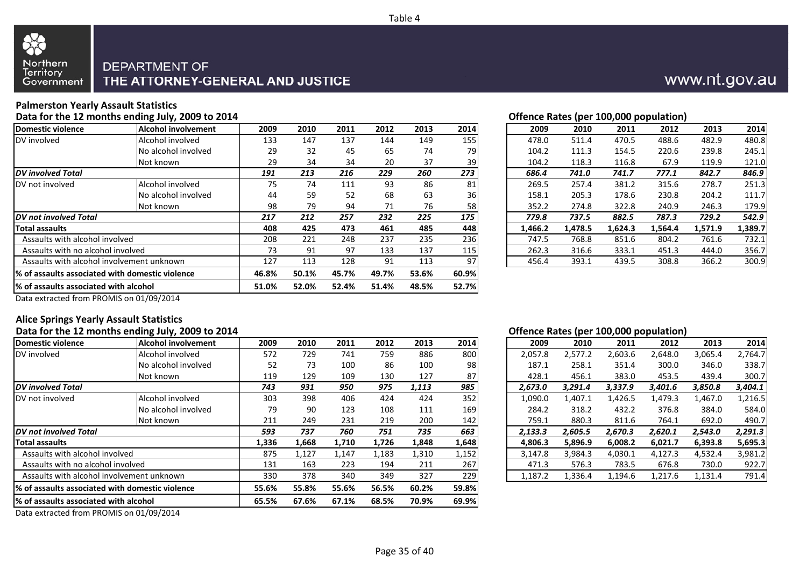



### **Palmerston Yearly Assault Statistics**

**Data for the 12 months ending July, 2009 to 2014**

| <b>Alcohol involvement</b><br>Alcohol involved<br>No alcohol involved | 2009<br>133 | 2010<br>147 | 2011  | 2012  | 2013  | 2014            | 2009    | 2010    | 2011    | 2012    | 2013    | 2014    |
|-----------------------------------------------------------------------|-------------|-------------|-------|-------|-------|-----------------|---------|---------|---------|---------|---------|---------|
|                                                                       |             |             |       |       |       |                 |         |         |         |         |         |         |
|                                                                       |             |             | 137   | 144   | 149   | 155             | 478.0   | 511.4   | 470.5   | 488.6   | 482.9   | 480.8   |
|                                                                       | 29          | 32          | 45    | 65    | 74    | 79              | 104.2   | 111.3   | 154.5   | 220.6   | 239.8   | 245.1   |
| Not known                                                             | 29          | 34          | 34    | 20    | 37    | 39              | 104.2   | 118.3   | 116.8   | 67.9    | 119.9   | 121.0   |
|                                                                       | 191         | 213         | 216   | 229   | 260   | 273             | 686.4   | 741.0   | 741.7   | 777.1   | 842.7   | 846.9   |
| Alcohol involved                                                      | 75          | 74          | 111   | 93    | 86    | 81              | 269.5   | 257.4   | 381.2   | 315.6   | 278.7   | 251.3   |
| No alcohol involved                                                   | 44          | 59          | 52    | 68    | 63    | 36 <sup>I</sup> | 158.1   | 205.3   | 178.6   | 230.8   | 204.2   | 111.7   |
| Not known                                                             | 98          | 79          | 94    | 71    | 76    | 58              | 352.2   | 274.8   | 322.8   | 240.9   | 246.3   | 179.9   |
| <b>IDV</b> not involved Total                                         |             | 212         | 257   | 232   | 225   | 175             | 779.8   | 737.5   | 882.5   | 787.3   | 729.2   | 542.9   |
|                                                                       | 408         | 425         | 473   | 461   | 485   | 448             | 1,466.2 | 1,478.5 | 1,624.3 | 1,564.4 | 1,571.9 | 1,389.7 |
| Assaults with alcohol involved                                        | 208         | 221         | 248   | 237   | 235   | 236             | 747.5   | 768.8   | 851.6   | 804.2   | 761.6   | 732.1   |
| Assaults with no alcohol involved                                     | 73          | 91          | 97    | 133   | 137   | 115             | 262.3   | 316.6   | 333.1   | 451.3   | 444.0   | 356.7   |
| Assaults with alcohol involvement unknown                             | 127         | 113         | 128   | 91    | 113   | 97              | 456.4   | 393.1   | 439.5   | 308.8   | 366.2   | 300.9   |
| 1% of assaults associated with domestic violence                      | 46.8%       | 50.1%       | 45.7% | 49.7% | 53.6% | 60.9%           |         |         |         |         |         |         |
| 1% of assaults associated with alcohol                                | 51.0%       | 52.0%       | 52.4% | 51.4% | 48.5% | 52.7%           |         |         |         |         |         |         |
|                                                                       |             | 217         |       |       |       |                 |         |         |         |         |         |         |

| 4 |      |      |      |      |      |      | Offence Rates (per 100,000 population) |       |       |       |       |       |
|---|------|------|------|------|------|------|----------------------------------------|-------|-------|-------|-------|-------|
|   | 2009 | 2010 | 2011 | 2012 | 2013 | 2014 | 2009                                   | 2010  | 2011  | 2012  | 2013  | 2014  |
|   | 133  | 147  | 137  | 144  | 149  | 155  | 478.0                                  | 511.4 | 470.5 | 488.6 | 482.9 | 480.8 |
|   | 29   | 32   | 45   | 65   | 74   | 79   | 104.2                                  | 111.3 | 154.5 | 220.6 | 239.8 | 245.1 |
|   | 29   | 34   | 34   | 20   | 37   | 39   | 104.2                                  | 118.3 | 116.8 | 67.9  | 119.9 | 121.0 |
|   | 191  | 213  | 216  | 229  | 260  | 273  | 686.4                                  | 741.0 | 741.7 | 777.1 | 842.7 | 846.9 |
|   | 75   | 74   | 111  | 93   | 86   | 81   | 269.5                                  | 257.4 | 381.2 | 315.6 | 278.7 | 251.3 |
|   | 44   | 59   | 52   | 68   | 63   | 36   | 158.1                                  | 205.3 | 178.6 | 230.8 | 204.2 | 111.7 |
|   | 98   | 79   | 94   | 71   | 76   | 58   | 352.2                                  | 274.8 | 322.8 | 240.9 | 246.3 | 179.9 |
|   | 217  | 212  | 257  | 232  | 225  | 175  | 779.8                                  | 737.5 | 882.5 | 787.3 | 729.2 | 542.9 |
|   |      |      |      |      |      |      |                                        |       |       |       |       |       |

Data extracted from PROMIS on 01/09/2014

#### **Alice Springs Yearly Assault Statistics**

#### **Data for the 12 months ending July, 2009 to 2014**

| Domestic violence                               | Alcohol involvement | 2009  | 2010  | 2011  | 2012  | 2013  | 2014  | 2009    | 2010    | 2011    | 2012    | 2013    | 2014    |
|-------------------------------------------------|---------------------|-------|-------|-------|-------|-------|-------|---------|---------|---------|---------|---------|---------|
| DV involved                                     | Alcohol involved    | 572   | 729   | 741   | 759   | 886   | 800   | 2,057.8 | 2,577.2 | 2,603.6 | 2,648.0 | 3,065.4 | 2,764.7 |
|                                                 | No alcohol involved | 52    | 73    | 100   | 86    | 100   | 98    | 187.1   | 258.1   | 351.4   | 300.0   | 346.0   | 338.7   |
|                                                 | Not known           | 119   | 129   | 109   | 130   | 127   | 87    | 428.1   | 456.1   | 383.0   | 453.5   | 439.4   | 300.7   |
| <b>IDV</b> involved Total                       |                     | 743   | 931   | 950   | 975   | 1,113 | 985   | 2,673.0 | 3,291.4 | 3,337.9 | 3,401.6 | 3,850.8 | 3,404.1 |
| DV not involved                                 | Alcohol involved    | 303   | 398   | 406   | 424   | 424   | 352   | 1,090.0 | 1,407.1 | 1,426.5 | 1,479.3 | 1,467.0 | 1,216.5 |
|                                                 | No alcohol involved | 79    | 90    | 123   | 108   | 111   | 169   | 284.2   | 318.2   | 432.2   | 376.8   | 384.0   | 584.0   |
|                                                 | Not known           | 211   | 249   | 231   | 219   | 200   | 142   | 759.1   | 880.3   | 811.6   | 764.1   | 692.0   | 490.7   |
| DV not involved Total                           |                     |       | 737   | 760   | 751   | 735   | 663   | 2,133.3 | 2,605.5 | 2,670.3 | 2,620.1 | 2,543.0 | 2,291.3 |
| <b>Total assaults</b>                           |                     | 1,336 | 1,668 | 1,710 | 1,726 | 1,848 | 1,648 | 4,806.3 | 5.896.9 | 6,008.2 | 6,021.7 | 6,393.8 | 5,695.3 |
| Assaults with alcohol involved                  |                     | 875   | 1,127 | 1,147 | 1,183 | 1,310 | 1,152 | 3,147.8 | 3,984.3 | 4,030.1 | 4,127.3 | 4,532.4 | 3,981.2 |
| Assaults with no alcohol involved               |                     | 131   | 163   | 223   | 194   | 211   | 267   | 471.3   | 576.3   | 783.5   | 676.8   | 730.0   | 922.7   |
| Assaults with alcohol involvement unknown       |                     | 330   | 378   | 340   | 349   | 327   | 229   | 1,187.2 | 1,336.4 | 1,194.6 | 1,217.6 | 1,131.4 | 791.4   |
| % of assaults associated with domestic violence |                     | 55.6% | 55.8% | 55.6% | 56.5% | 60.2% | 59.8% |         |         |         |         |         |         |
| 1% of assaults associated with alcohol          |                     | 65.5% | 67.6% | 67.1% | 68.5% | 70.9% | 69.9% |         |         |         |         |         |         |
|                                                 |                     |       |       |       |       |       |       |         |         |         |         |         |         |

Data extracted from PROMIS on 01/09/2014

#### **Offence Rates (per 100,000 population)**

| )9           | 2010  | 2011  | 2012  | 2013  | 2014  | 2009    | 2010    | 2011    | 2012    | 2013    | 2014    |
|--------------|-------|-------|-------|-------|-------|---------|---------|---------|---------|---------|---------|
| $^{\prime}2$ | 729   | 741   | 759   | 886   | 800   | 2,057.8 | 2,577.2 | 2,603.6 | 2,648.0 | 3,065.4 | 2,764.7 |
| 52           | 73    | 100   | 86    | 100   | 98    | 187.1   | 258.1   | 351.4   | 300.0   | 346.0   | 338.7   |
| و!           | 129   | 109   | 130   | 127   | 87    | 428.1   | 456.1   | 383.0   | 453.5   | 439.4   | 300.7   |
| 3            | 931   | 950   | 975   | 1.113 | 985   | 2.673.0 | 3.291.4 | 3,337.9 | 3.401.6 | 3,850.8 | 3,404.1 |
| )3           | 398   | 406   | 424   | 424   | 352   | 1,090.0 | 1,407.1 | 1,426.5 | 1,479.3 | 1,467.0 | 1,216.5 |
| 79           | 90    | 123   | 108   | 111   | 169   | 284.2   | 318.2   | 432.2   | 376.8   | 384.0   | 584.0   |
| 11           | 249   | 231   | 219   | 200   | 142   | 759.1   | 880.3   | 811.6   | 764.1   | 692.0   | 490.7   |
| 3            | 737   | 760   | 751   | 735   | 663   | 2.133.3 | 2.605.5 | 2.670.3 | 2.620.1 | 2.543.0 | 2,291.3 |
| 16           | 1,668 | 1,710 | 1,726 | 1,848 | 1,648 | 4.806.3 | 5,896.9 | 6,008.2 | 6.021.7 | 6.393.8 | 5,695.3 |
| 75.          | 1,127 | 1,147 | 1,183 | 1,310 | 1,152 | 3,147.8 | 3,984.3 | 4,030.1 | 4.127.3 | 4.532.4 | 3,981.2 |
| 31           | 163   | 223   | 194   | 211   | 267   | 471.3   | 576.3   | 783.5   | 676.8   | 730.0   | 922.7   |
| 80           | 378   | 340   | 349   | 327   | 229   | 1.187.2 | 1.336.4 | 1.194.6 | 1.217.6 | 1.131.4 | 791.4   |

## www.nt.gov.au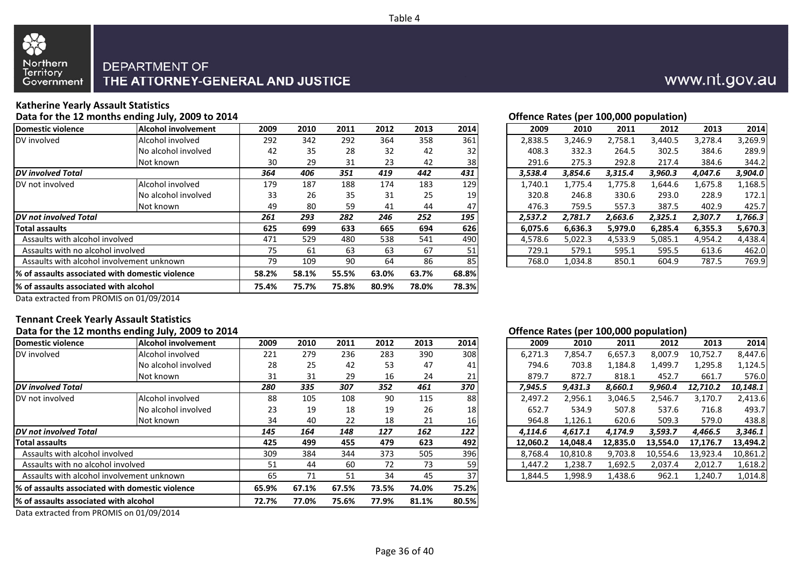



#### **Katherine Yearly Assault Statistics**

**Data for the 12 months ending July, 2009 to 2014**

| Domestic violence                                | <b>Alcohol involvement</b> | 2009  | 2010  | 2011  | 2012  | 2013  | 2014            | 2009    | 2010    | 2011    | 2012    | 2013    | 2014    |
|--------------------------------------------------|----------------------------|-------|-------|-------|-------|-------|-----------------|---------|---------|---------|---------|---------|---------|
| DV involved                                      | Alcohol involved           | 292   | 342   | 292   | 364   | 358   | 361             | 2,838.5 | 3,246.9 | 2,758.1 | 3,440.5 | 3,278.4 | 3,269.9 |
|                                                  | No alcohol involved        | 42    | 35    | 28    | 32    | 42    | 32              | 408.3   | 332.3   | 264.5   | 302.5   | 384.6   | 289.9   |
|                                                  | Not known                  | 30    | 29    | 31    | 23    | 42    | 38 <sub>l</sub> | 291.6   | 275.3   | 292.8   | 217.4   | 384.6   | 344.2   |
| <b>DV</b> involved Total                         |                            | 364   | 406   | 351   | 419   | 442   | 431             | 3,538.4 | 3,854.6 | 3,315.4 | 3,960.3 | 4.047.6 | 3,904.0 |
| DV not involved                                  | Alcohol involved           | 179   | 187   | 188   | 174   | 183   | 129             | 1,740.1 | 1,775.4 | 1,775.8 | 1,644.6 | 1,675.8 | 1,168.5 |
|                                                  | No alcohol involved        | 33    | 26    | 35    | 31    | 25    | 19 I            | 320.8   | 246.8   | 330.6   | 293.0   | 228.9   | 172.1   |
|                                                  | Not known                  | 49    | 80    | 59    | 41    | 44    | 47              | 476.3   | 759.5   | 557.3   | 387.5   | 402.9   | 425.7   |
| <b>IDV</b> not involved Total                    |                            | 261   | 293   | 282   | 246   | 252   | 195             | 2,537.2 | 2,781.7 | 2,663.6 | 2,325.1 | 2,307.7 | 1,766.3 |
| Total assaults                                   |                            | 625   | 699   | 633   | 665   | 694   | 626             | 6,075.6 | 6,636.3 | 5,979.0 | 6,285.4 | 6,355.3 | 5,670.3 |
| Assaults with alcohol involved                   |                            | 471   | 529   | 480   | 538   | 541   | 490             | 4,578.6 | 5,022.3 | 4,533.9 | 5,085.1 | 4,954.2 | 4,438.4 |
| Assaults with no alcohol involved                |                            | 75    | 61    | 63    | 63    | 67    | 51              | 729.1   | 579.1   | 595.1   | 595.5   | 613.6   | 462.0   |
| Assaults with alcohol involvement unknown        |                            | 79    | 109   | 90    | 64    | 86    | 85              | 768.0   | 1,034.8 | 850.1   | 604.9   | 787.5   | 769.9   |
| 1% of assaults associated with domestic violence |                            | 58.2% | 58.1% | 55.5% | 63.0% | 63.7% | 68.8%           |         |         |         |         |         |         |
| 1% of assaults associated with alcohol           |                            | 75.4% | 75.7% | 75.8% | 80.9% | 78.0% | 78.3%           |         |         |         |         |         |         |
|                                                  |                            |       |       |       |       |       |                 |         |         |         |         |         |         |

|  | Offence Rates (per 100,000 population) |
|--|----------------------------------------|

| )9           | 2010 | 2011 | 2012 | 2013 | 2014 | 2009    | 2010    | 2011    | 2012    | 2013    | 2014    |
|--------------|------|------|------|------|------|---------|---------|---------|---------|---------|---------|
| 12           | 342  | 292  | 364  | 358  | 361  | 2,838.5 | 3,246.9 | 2,758.1 | 3,440.5 | 3,278.4 | 3,269.9 |
| 12           | 35   | 28   | 32   | 42   | 32   | 408.3   | 332.3   | 264.5   | 302.5   | 384.6   | 289.9   |
| 80           | 29   | 31   | 23   | 42   | 38   | 291.6   | 275.3   | 292.8   | 217.4   | 384.6   | 344.2   |
| 4            | 406  | 351  | 419  | 442  | 431  | 3,538.4 | 3,854.6 | 3.315.4 | 3.960.3 | 4.047.6 | 3,904.0 |
| 79           | 187  | 188  | 174  | 183  | 129  | 1,740.1 | 1,775.4 | 1,775.8 | 1,644.6 | 1,675.8 | 1,168.5 |
| 33           | 26   | 35   | 31   | 25   | 19   | 320.8   | 246.8   | 330.6   | 293.0   | 228.9   | 172.1   |
| ١9           | 80   | 59   | 41   | 44   | 47   | 476.3   | 759.5   | 557.3   | 387.5   | 402.9   | 425.7   |
| 1            | 293  | 282  | 246  | 252  | 195  | 2.537.2 | 2,781.7 | 2,663.6 | 2.325.1 | 2.307.7 | 1,766.3 |
| !5           | 699  | 633  | 665  | 694  | 626  | 6.075.6 | 6,636.3 | 5,979.0 | 6.285.4 | 6.355.3 | 5,670.3 |
| $^{\prime}1$ | 529  | 480  | 538  | 541  | 490  | 4,578.6 | 5.022.3 | 4,533.9 | 5,085.1 | 4,954.2 | 4,438.4 |
| 75           | 61   | 63   | 63   | 67   | 51   | 729.1   | 579.1   | 595.1   | 595.5   | 613.6   | 462.0   |
| 79           | 109  | 90   | 64   | 86   | 85   | 768.0   | 1,034.8 | 850.1   | 604.9   | 787.5   | 769.9   |
|              |      |      |      |      |      |         |         |         |         |         |         |

Data extracted from PROMIS on 01/09/2014

#### **Tennant Creek Yearly Assault Statistics**

#### **Data for the 12 months ending July, 2009 to 2014**

| Alcohol involvement                             | 2009 | 2010                              | 2011           | 2012  | 2013  | 2014      | 2009     | 2010     | 2011     | 2012     | 2013     | 2014     |
|-------------------------------------------------|------|-----------------------------------|----------------|-------|-------|-----------|----------|----------|----------|----------|----------|----------|
| Alcohol involved                                | 221  | 279                               | 236            | 283   | 390   | 308       | 6,271.3  | 7,854.7  | 6,657.3  | 8,007.9  | 10,752.7 | 8,447.6  |
| No alcohol involved                             | 28   | 25                                | 42             | 53    | 47    | 41        | 794.6    | 703.8    | 1,184.8  | 1,499.7  | 1,295.8  | 1,124.5  |
| Not known                                       | 31   | 31                                | 29             | 16    | 24    | 21        | 879.7    | 872.7    | 818.1    | 452.7    | 661.7    | 576.0    |
| <b>IDV</b> involved Total                       |      | 335                               | 307            | 352   | 461   | 370       | 7,945.5  | 9,431.3  | 8,660.1  | 9,960.4  | 12,710.2 | 10,148.1 |
| Alcohol involved                                | 88   | 105                               | 108            | 90    | 115   | 88        | 2,497.2  | 2,956.1  | 3,046.5  | 2,546.7  | 3,170.7  | 2,413.6  |
| No alcohol involved                             | 23   | 19                                | 18             | 19    | 26    | 18        | 652.7    | 534.9    | 507.8    | 537.6    | 716.8    | 493.7    |
| Not known                                       | 34   | 40                                | 22             | 18    | 21    | <b>16</b> | 964.8    | 1,126.1  | 620.6    | 509.3    | 579.0    | 438.8    |
|                                                 | 145  | 164                               | 148            | 127   | 162   | 122       | 4,114.6  | 4,617.1  | 4,174.9  | 3,593.7  | 4,466.5  | 3,346.1  |
|                                                 | 425  | 499                               | 455            | 479   | 623   | 492       | 12.060.2 | 14.048.4 | 12.835.0 | 13,554.0 | 17,176.7 | 13,494.2 |
| Assaults with alcohol involved                  | 309  | 384                               | 344            | 373   | 505   | 396       | 8,768.4  | 10,810.8 | 9,703.8  | 10,554.6 | 13,923.4 | 10,861.2 |
| Assaults with no alcohol involved               |      | 44                                | 60             | 72    | 73    | 59        | 1,447.2  | 1,238.7  | 1,692.5  | 2,037.4  | 2,012.7  | 1,618.2  |
| Assaults with alcohol involvement unknown       |      | 71                                | 51             | 34    | 45    | 37        | 1,844.5  | 1,998.9  | 1,438.6  | 962.1    | 1,240.7  | 1,014.8  |
| % of assaults associated with domestic violence |      |                                   | 67.5%          | 73.5% | 74.0% | 75.2%     |          |          |          |          |          |          |
| 1% of assaults associated with alcohol          |      |                                   | 75.6%          | 77.9% | 81.1% | 80.5%     |          |          |          |          |          |          |
|                                                 |      | 280<br>51<br>65<br>65.9%<br>72.7% | 67.1%<br>77.0% |       |       |           |          |          |          |          |          |          |

Data extracted from PROMIS on 01/09/2014

#### **Offence Rates (per 100,000 population)**

| )9 | 2010 | 2011 | 2012 | 2013 | 2014 | 2009     | 2010     | 2011     | 2012     | 2013     | 2014     |
|----|------|------|------|------|------|----------|----------|----------|----------|----------|----------|
| !1 | 279  | 236  | 283  | 390  | 308  | 6,271.3  | 7,854.7  | 6,657.3  | 8,007.9  | 10,752.7 | 8,447.6  |
| 28 | 25   | 42   | 53   | 47   | 41   | 794.6    | 703.8    | 1,184.8  | 1,499.7  | 1,295.8  | 1,124.5  |
| 31 | 31   | 29   | 16   | 24   | 21   | 879.7    | 872.7    | 818.1    | 452.7    | 661.7    | 576.0    |
| 0  | 335  | 307  | 352  | 461  | 370  | 7.945.5  | 9,431.3  | 8,660.1  | 9.960.4  | 12,710.2 | 10,148.1 |
| 88 | 105  | 108  | 90   | 115  | 88   | 2.497.2  | 2,956.1  | 3,046.5  | 2,546.7  | 3.170.7  | 2,413.6  |
| !3 | 19   | 18   | 19   | 26   | 18   | 652.7    | 534.9    | 507.8    | 537.6    | 716.8    | 493.7    |
| 34 | 40   | 22   | 18   | 21   | 16   | 964.8    | 1,126.1  | 620.6    | 509.3    | 579.0    | 438.8    |
| 5  | 164  | 148  | 127  | 162  | 122  | 4.114.6  | 4.617.1  | 4.174.9  | 3,593.7  | 4.466.5  | 3,346.1  |
| 25 | 499  | 455  | 479  | 623  | 492  | 12.060.2 | 14.048.4 | 12,835.0 | 13,554.0 | 17.176.7 | 13,494.2 |
| )9 | 384  | 344  | 373  | 505  | 396  | 8.768.4  | 10.810.8 | 9,703.8  | 10,554.6 | 13,923.4 | 10,861.2 |
|    | 44   | 60   | 72   | 73   | 59   | 1.447.2  | 1.238.7  | 1,692.5  | 2.037.4  | 2.012.7  | 1,618.2  |
| 55 | 71   | 51   | 34   | 45   | 37   | 1.844.5  | 1.998.9  | 1,438.6  | 962.1    | 1.240.7  | 1,014.8  |

## www.nt.gov.au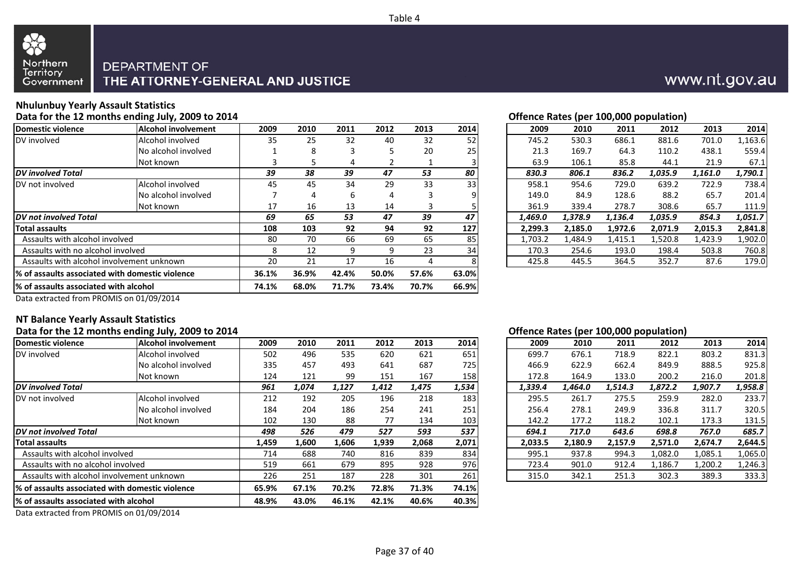



### **Nhulunbuy Yearly Assault Statistics**

**Data for the 12 months ending July, 2009 to 2014**

| <b>Alcohol involvement</b>                       | 2009 | 2010                 | 2011  | 2012  | 2013  | 2014  | 2009    | 2010    | 2011    | 2012    | 2013    | 2014    |
|--------------------------------------------------|------|----------------------|-------|-------|-------|-------|---------|---------|---------|---------|---------|---------|
| Alcohol involved                                 | 35   | 25                   | 32    | 40    | 32    | 52    | 745.2   | 530.3   | 686.1   | 881.6   | 701.0   | 1,163.6 |
| No alcohol involved                              |      | 8                    |       |       | 20    | 25    | 21.3    | 169.7   | 64.3    | 110.2   | 438.1   | 559.4   |
| Not known                                        |      |                      | 4     |       |       |       | 63.9    | 106.1   | 85.8    | 44.1    | 21.9    | 67.1    |
| <b>DV</b> involved Total                         |      | 38                   | 39    | 47    | 53    | 80    | 830.3   | 806.1   | 836.2   | 1,035.9 | 1,161.0 | 1,790.1 |
| Alcohol involved                                 | 45   | 45                   | 34    | 29    | 33    | 33    | 958.1   | 954.6   | 729.0   | 639.2   | 722.9   | 738.4   |
| No alcohol involved                              |      |                      | b     | 4     |       |       | 149.0   | 84.9    | 128.6   | 88.2    | 65.7    | 201.4   |
| Not known                                        | 17   | 16                   | 13    | 14    |       |       | 361.9   | 339.4   | 278.7   | 308.6   | 65.7    | 111.9   |
|                                                  | 69   | 65                   | 53    | 47    | 39    | 47    | 1,469.0 | 1,378.9 | 1,136.4 | 1,035.9 | 854.3   | 1,051.7 |
|                                                  | 108  | 103                  | 92    | 94    | 92    | 127   | 2,299.3 | 2,185.0 | 1,972.6 | 2,071.9 | 2,015.3 | 2,841.8 |
| Assaults with alcohol involved                   | 80   | 70                   | 66    | 69    | 65    | 85    | 1,703.2 | 1,484.9 | 1,415.1 | 1,520.8 | 1,423.9 | 1,902.0 |
| Assaults with no alcohol involved                | 8    | 12                   | q     | 9     | 23    | 34    | 170.3   | 254.6   | 193.0   | 198.4   | 503.8   | 760.8   |
| Assaults with alcohol involvement unknown        | 20   | 21                   | 17    | 16    | 4     |       | 425.8   | 445.5   | 364.5   | 352.7   | 87.6    | 179.0   |
| l% of assaults associated with domestic violence |      | 36.9%                | 42.4% | 50.0% | 57.6% | 63.0% |         |         |         |         |         |         |
| 1% of assaults associated with alcohol           |      |                      | 71.7% | 73.4% | 70.7% | 66.9% |         |         |         |         |         |         |
|                                                  |      | 39<br>36.1%<br>74.1% | 68.0% |       |       |       |         |         |         |         |         |         |

|  | Offence Rates (per 100,000 population) |
|--|----------------------------------------|
|  |                                        |

| )9  | 2010 | 2011 | 2012 | 2013 | 2014 | 2009    | 2010    | 2011    | 2012    | 2013    | 2014    |
|-----|------|------|------|------|------|---------|---------|---------|---------|---------|---------|
| 85  | 25   | 32   | 40   | 32   | 52   | 745.2   | 530.3   | 686.1   | 881.6   | 701.0   | 1,163.6 |
| 1   | 8    | 3    | 5    | 20   | 25   | 21.3    | 169.7   | 64.3    | 110.2   | 438.1   | 559.4   |
| 3   | 5.   | 4    |      |      |      | 63.9    | 106.1   | 85.8    | 44.1    | 21.9    | 67.1    |
| 9   | 38   | 39   | 47   | 53   | 80   | 830.3   | 806.1   | 836.2   | 1,035.9 | 1,161.0 | 1,790.1 |
| 15. | 45   | 34   | 29   | 33   | 33   | 958.1   | 954.6   | 729.0   | 639.2   | 722.9   | 738.4   |
| 7   | 4    | 6    | 4    | 3    | 9    | 149.0   | 84.9    | 128.6   | 88.2    | 65.7    | 201.4   |
|     | 16   | 13   | 14   | 3    |      | 361.9   | 339.4   | 278.7   | 308.6   | 65.7    | 111.9   |
| 9   | 65   | 53   | 47   | 39   | 47   | 1,469.0 | 1,378.9 | 1,136.4 | 1,035.9 | 854.3   | 1,051.7 |
| 18  | 103  | 92   | 94   | 92   | 127  | 2.299.3 | 2,185.0 | 1,972.6 | 2.071.9 | 2.015.3 | 2,841.8 |
| 30  | 70   | 66   | 69   | 65   | 85   | 1,703.2 | 1,484.9 | 1,415.1 | 1,520.8 | 1,423.9 | 1,902.0 |
| 8   | 12   | 9    | 9    | 23   | 34   | 170.3   | 254.6   | 193.0   | 198.4   | 503.8   | 760.8   |
| 0.  | 21   | 17   | 16   | 4    | 8    | 425.8   | 445.5   | 364.5   | 352.7   | 87.6    | 179.0   |
|     |      |      |      |      |      |         |         |         |         |         |         |

www.nt.gov.au

Data extracted from PROMIS on 01/09/2014

#### **NT Balance Yearly Assault Statistics**

#### **Data for the 12 months ending July, 2009 to 2014**

| Alcohol involvement<br>Alcohol involved<br>No alcohol involved | 2009<br>502 | 2010<br>496                         | 2011           | 2012  | 2013  | 2014  | 2009    | 2010    | 2011    | 2012    | 2013    | 2014    |
|----------------------------------------------------------------|-------------|-------------------------------------|----------------|-------|-------|-------|---------|---------|---------|---------|---------|---------|
|                                                                |             |                                     |                |       |       |       |         |         |         |         |         |         |
|                                                                |             |                                     | 535            | 620   | 621   | 651   | 699.7   | 676.1   | 718.9   | 822.1   | 803.2   | 831.3   |
|                                                                | 335         | 457                                 | 493            | 641   | 687   | 725   | 466.9   | 622.9   | 662.4   | 849.9   | 888.5   | 925.8   |
| Not known                                                      | 124         | 121                                 | 99             | 151   | 167   | 158   | 172.8   | 164.9   | 133.0   | 200.2   | 216.0   | 201.8   |
| <b>IDV</b> involved Total                                      |             | 1,074                               | 1,127          | 1,412 | 1,475 | 1,534 | 1,339.4 | 1,464.0 | 1,514.3 | 1,872.2 | 1,907.7 | 1,958.8 |
| Alcohol involved                                               | 212         | 192                                 | 205            | 196   | 218   | 183   | 295.5   | 261.7   | 275.5   | 259.9   | 282.0   | 233.7   |
| No alcohol involved                                            | 184         | 204                                 | 186            | 254   | 241   | 251   | 256.4   | 278.1   | 249.9   | 336.8   | 311.7   | 320.5   |
| Not known                                                      | 102         | 130                                 | 88             | 77    | 134   | 103   | 142.2   | 177.2   | 118.2   | 102.1   | 173.3   | 131.5   |
|                                                                | 498         | 526                                 | 479            | 527   | 593   | 537   | 694.1   | 717.0   | 643.6   | 698.8   | 767.0   | 685.7   |
|                                                                | 1,459       | 1,600                               | 1,606          | 1,939 | 2,068 | 2,071 | 2,033.5 | 2,180.9 | 2,157.9 | 2,571.0 | 2.674.7 | 2,644.5 |
| Assaults with alcohol involved                                 | 714         | 688                                 | 740            | 816   | 839   | 834   | 995.1   | 937.8   | 994.3   | 1,082.0 | 1,085.1 | 1,065.0 |
| Assaults with no alcohol involved                              |             | 661                                 | 679            | 895   | 928   | 976   | 723.4   | 901.0   | 912.4   | 1,186.7 | 1,200.2 | 1,246.3 |
| Assaults with alcohol involvement unknown                      |             | 251                                 | 187            | 228   | 301   | 261   | 315.0   | 342.1   | 251.3   | 302.3   | 389.3   | 333.3   |
| % of assaults associated with domestic violence                |             |                                     | 70.2%          | 72.8% | 71.3% | 74.1% |         |         |         |         |         |         |
| 1% of assaults associated with alcohol                         |             |                                     | 46.1%          | 42.1% | 40.6% | 40.3% |         |         |         |         |         |         |
|                                                                |             | 961<br>519<br>226<br>65.9%<br>48.9% | 67.1%<br>43.0% |       |       |       |         |         |         |         |         |         |

Data extracted from PROMIS on 01/09/2014

#### **Offence Rates (per 100,000 population)**

| )9             | 2010  | 2011  | 2012  | 2013  | 2014  | 2009    | 2010    | 2011    | 2012    | 2013    | 2014    |
|----------------|-------|-------|-------|-------|-------|---------|---------|---------|---------|---------|---------|
| $2^{1}$        | 496   | 535   | 620   | 621   | 651   | 699.7   | 676.1   | 718.9   | 822.1   | 803.2   | 831.3   |
| 35             | 457   | 493   | 641   | 687   | 725   | 466.9   | 622.9   | 662.4   | 849.9   | 888.5   | 925.8   |
| ؛4             | 121   | 99    | 151   | 167   | 158   | 172.8   | 164.9   | 133.0   | 200.2   | 216.0   | 201.8   |
| 1              | 1,074 | 1,127 | 1,412 | 1.475 | 1,534 | 1.339.4 | 1.464.0 | 1,514.3 | 1.872.2 | 1.907.7 | 1,958.8 |
| $\overline{2}$ | 192   | 205   | 196   | 218   | 183   | 295.5   | 261.7   | 275.5   | 259.9   | 282.0   | 233.7   |
| 34             | 204   | 186   | 254   | 241   | 251   | 256.4   | 278.1   | 249.9   | 336.8   | 311.7   | 320.5   |
| )2             | 130   | 88    | 77    | 134   | 103   | 142.2   | 177.2   | 118.2   | 102.1   | 173.3   | 131.5   |
| 8              | 526   | 479   | 527   | 593   | 537   | 694.1   | 717.0   | 643.6   | 698.8   | 767.0   | 685.7   |
| 59             | 1.600 | 1,606 | 1,939 | 2.068 | 2,071 | 2.033.5 | 2.180.9 | 2.157.9 | 2.571.0 | 2.674.7 | 2,644.5 |
| ι4             | 688   | 740   | 816   | 839   | 834   | 995.1   | 937.8   | 994.3   | 1,082.0 | 1,085.1 | 1,065.0 |
| و!             | 661   | 679   | 895   | 928   | 976   | 723.4   | 901.0   | 912.4   | 1,186.7 | 1,200.2 | 1,246.3 |
| 26             | 251   | 187   | 228   | 301   | 261   | 315.0   | 342.1   | 251.3   | 302.3   | 389.3   | 333.3   |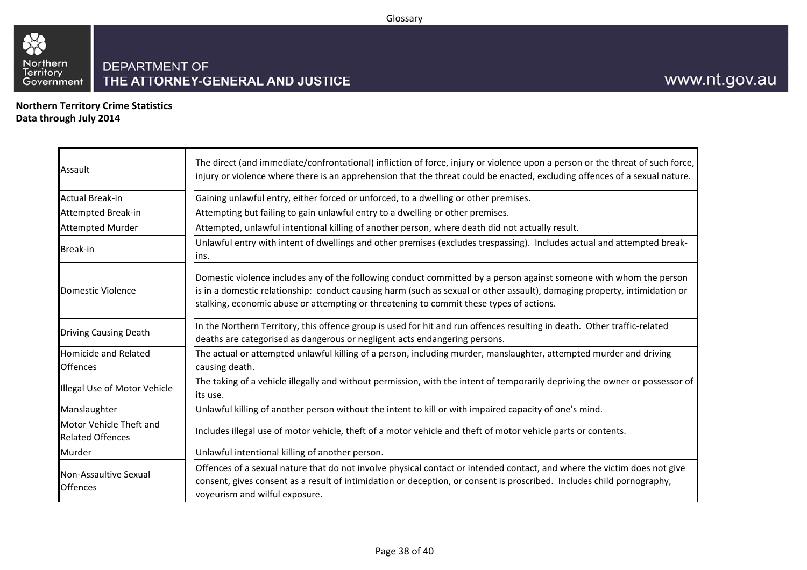

**Northern Territory Crime Statistics Data through July 2014**

| Assault                                            | The direct (and immediate/confrontational) infliction of force, injury or violence upon a person or the threat of such force,<br>injury or violence where there is an apprehension that the threat could be enacted, excluding offences of a sexual nature.                                                                                |
|----------------------------------------------------|--------------------------------------------------------------------------------------------------------------------------------------------------------------------------------------------------------------------------------------------------------------------------------------------------------------------------------------------|
| <b>Actual Break-in</b>                             | Gaining unlawful entry, either forced or unforced, to a dwelling or other premises.                                                                                                                                                                                                                                                        |
| Attempted Break-in                                 | Attempting but failing to gain unlawful entry to a dwelling or other premises.                                                                                                                                                                                                                                                             |
| <b>Attempted Murder</b>                            | Attempted, unlawful intentional killing of another person, where death did not actually result.                                                                                                                                                                                                                                            |
| Break-in                                           | Unlawful entry with intent of dwellings and other premises (excludes trespassing). Includes actual and attempted break-<br>lins.                                                                                                                                                                                                           |
| Domestic Violence                                  | Domestic violence includes any of the following conduct committed by a person against someone with whom the person<br>is in a domestic relationship: conduct causing harm (such as sexual or other assault), damaging property, intimidation or<br>stalking, economic abuse or attempting or threatening to commit these types of actions. |
| <b>Driving Causing Death</b>                       | In the Northern Territory, this offence group is used for hit and run offences resulting in death. Other traffic-related<br>deaths are categorised as dangerous or negligent acts endangering persons.                                                                                                                                     |
| <b>Homicide and Related</b><br><b>Offences</b>     | The actual or attempted unlawful killing of a person, including murder, manslaughter, attempted murder and driving<br>causing death.                                                                                                                                                                                                       |
| Illegal Use of Motor Vehicle                       | The taking of a vehicle illegally and without permission, with the intent of temporarily depriving the owner or possessor of<br>its use.                                                                                                                                                                                                   |
| Manslaughter                                       | Unlawful killing of another person without the intent to kill or with impaired capacity of one's mind.                                                                                                                                                                                                                                     |
| Motor Vehicle Theft and<br><b>Related Offences</b> | Includes illegal use of motor vehicle, theft of a motor vehicle and theft of motor vehicle parts or contents.                                                                                                                                                                                                                              |
| Murder                                             | Unlawful intentional killing of another person.                                                                                                                                                                                                                                                                                            |
| Non-Assaultive Sexual<br><b>Offences</b>           | Offences of a sexual nature that do not involve physical contact or intended contact, and where the victim does not give<br>consent, gives consent as a result of intimidation or deception, or consent is proscribed. Includes child pornography,<br>voyeurism and wilful exposure.                                                       |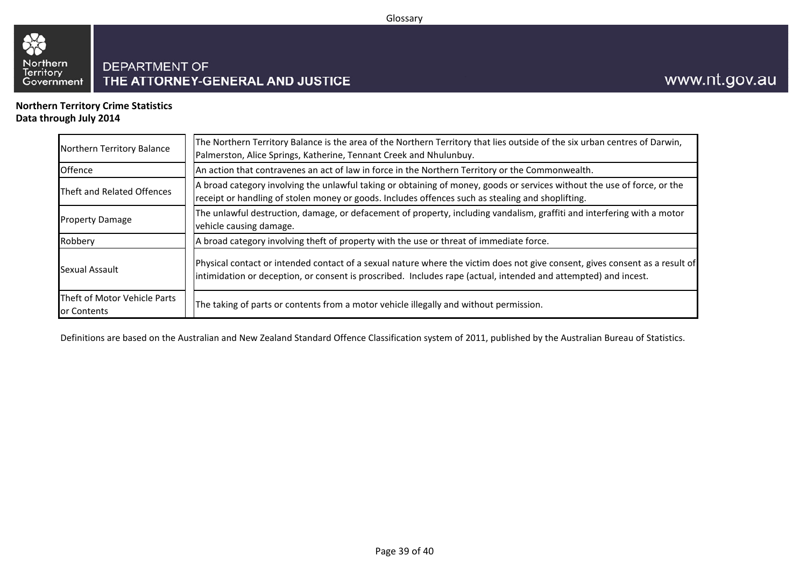#### Glossary



**Northern Territory Crime StatisticsData through July 2014**

88

| Northern Territory Balance                  | The Northern Territory Balance is the area of the Northern Territory that lies outside of the six urban centres of Darwin,<br>Palmerston, Alice Springs, Katherine, Tennant Creek and Nhulunbuy.                                                |
|---------------------------------------------|-------------------------------------------------------------------------------------------------------------------------------------------------------------------------------------------------------------------------------------------------|
| Offence                                     | An action that contravenes an act of law in force in the Northern Territory or the Commonwealth.                                                                                                                                                |
| Theft and Related Offences                  | A broad category involving the unlawful taking or obtaining of money, goods or services without the use of force, or the<br>receipt or handling of stolen money or goods. Includes offences such as stealing and shoplifting.                   |
| <b>Property Damage</b>                      | The unlawful destruction, damage, or defacement of property, including vandalism, graffiti and interfering with a motor<br>vehicle causing damage.                                                                                              |
| Robbery                                     | A broad category involving theft of property with the use or threat of immediate force.                                                                                                                                                         |
| Sexual Assault                              | Physical contact or intended contact of a sexual nature where the victim does not give consent, gives consent as a result of<br>intimidation or deception, or consent is proscribed. Includes rape (actual, intended and attempted) and incest. |
| Theft of Motor Vehicle Parts<br>or Contents | The taking of parts or contents from a motor vehicle illegally and without permission.                                                                                                                                                          |

Definitions are based on the Australian and New Zealand Standard Offence Classification system of 2011, published by the Australian Bureau of Statistics.